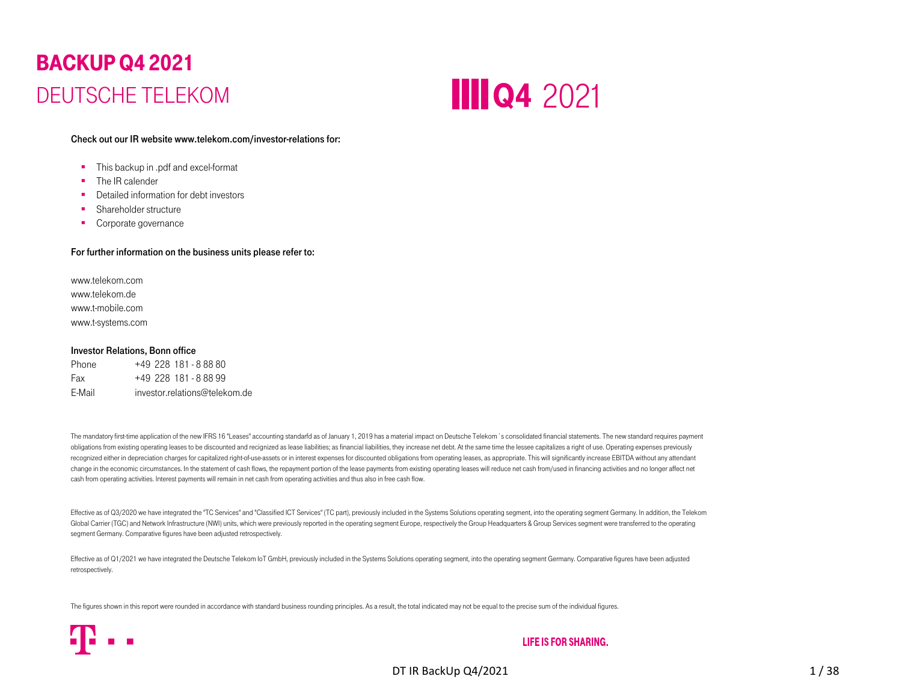# BACKUP Q4 2021 DEUTSCHE TELEKOM**BACKUP**<br>
Check out<br>
This<br>
The Indian Share<br>
The Indian Share<br>
For further<br>
Www.telekd www.telekd<br>
Www.telekd www.telekd<br>
Www.telekd www.telekd<br>
Www.telekd<br>
Www.telekd<br>
Www.telekd<br>
Www.telekd<br>
Www.telekd<br>
Www.telekd<br>
Www.t



#### Check out our IR website www.telekom.com/investor-relations for:

- $\blacksquare$ This backup in .pdf and excel-format
- ٠ The IR calender
- **•** Detailed information for debt investors
- **Shareholder structure**
- **Corporate governance**

#### For further information on the business units please refer to:

www.telekom.comwww.telekom.dewww.t-mobile.comwww.t-systems.com

#### Investor Relations, Bonn office

Phone +49 228 181 - 8 88 80Fax +49 228 181 - 8 88 99 E-Mail investor.relations@telekom.de

The mandatory first-time application of the new IFRS 16 "Leases" accounting standarfd as of January 1, 2019 has a material impact on Deutsche Telekom 's consolidated financial statements. The new standard requires payment obligations from existing operating leases to be discounted and recignized as lease liabilities; as financial liabilities, they increase net debt. At the same time the lessee capitalizes a right of use. Operating expenses recognized either in depreciation charges for capitalized right-of-use-assets or in interest expenses for discounted obligations from operating leases, as appropriate. This will significantly increase EBITDA without any at change in the economic circumstances. In the statement of cash flows, the repayment portion of the lease payments from existing operating leases will reduce net cash from/used in financing activities and no longer affect n cash from operating activities. Interest payments will remain in net cash from operating activities and thus also in free cash flow.

Effective as of Q3/2020 we have integrated the "TC Services" and "Classified ICT Services" (TC part), previously included in the Systems Solutions operating segment, into the operating segment Germany. In addition, the Tel Global Carrier (TGC) and Network Infrastructure (NWI) units, which were previously reported in the operating segment Europe, respectively the Group Headquarters & Group Services segment were transferred to the operating segment Germany. Comparative figures have been adjusted retrospectively.

Effective as of Q1/2021 we have integrated the Deutsche Telekom IoT GmbH, previously included in the Systems Solutions operating segment, into the operating segment Germany. Comparative figures have been adjusted retrospectively.

The figures shown in this report were rounded in accordance with standard business rounding principles. As a result, the total indicated may not be equal to the precise sum of the individual figures.

#### **LIFE IS FOR SHARING.**

DT IR BackUp Q4/2021 1 / 38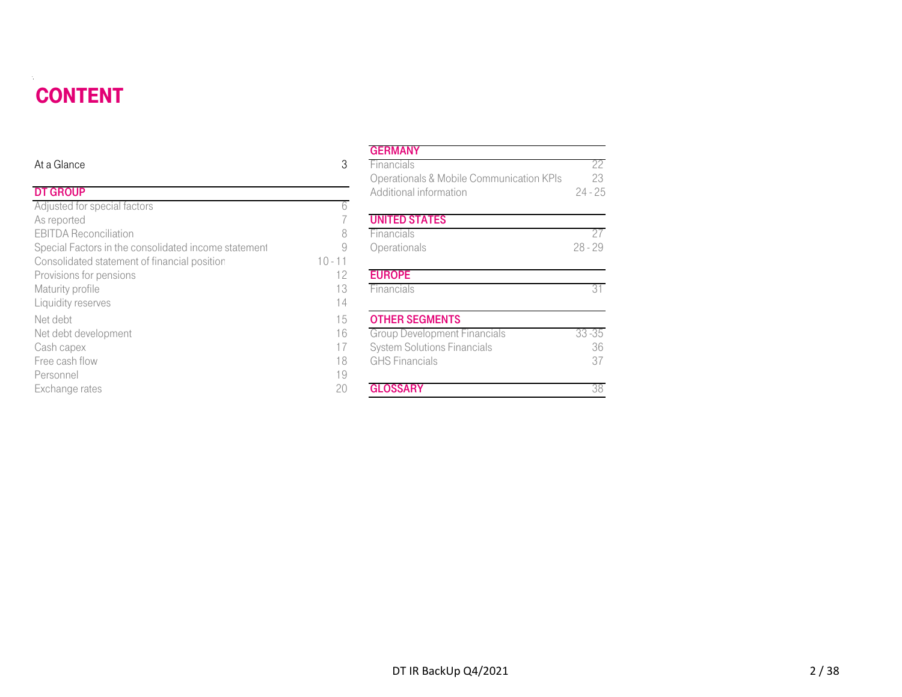# CONTENT

<span id="page-1-0"></span>

| <b>CONTENT</b>                                       |           |                                                                    |                 |
|------------------------------------------------------|-----------|--------------------------------------------------------------------|-----------------|
|                                                      |           | <b>GERMANY</b>                                                     |                 |
| At a Glance                                          | 3         | Financials                                                         | 22              |
| <b>DT GROUP</b>                                      |           | Operationals & Mobile Communication KPIs<br>Additional information | 23<br>$24 - 25$ |
| Adjusted for special factors                         | 6         |                                                                    |                 |
| As reported                                          |           | <b>UNITED STATES</b>                                               |                 |
| <b>EBITDA Reconciliation</b>                         | 8         | Financials                                                         | 27              |
| Special Factors in the consolidated income statement | 9         | Operationals                                                       | $28 - 29$       |
| Consolidated statement of financial position         | $10 - 11$ |                                                                    |                 |
| Provisions for pensions                              | 12        | <b>EUROPE</b>                                                      |                 |
| Maturity profile                                     | 13        | Financials                                                         | 31              |
| Liquidity reserves                                   | 14        |                                                                    |                 |
| Net debt                                             | 15        | <b>OTHER SEGMENTS</b>                                              |                 |
| Net debt development                                 | 16        | <b>Group Development Financials</b>                                | $33 - 35$       |
| Cash capex                                           | 17        | <b>System Solutions Financials</b>                                 | 36              |
| Free cash flow                                       | 18        | <b>GHS Financials</b>                                              | 37              |
| Personnel                                            | 19        |                                                                    |                 |
| Exchange rates                                       | 20        | <b>GLOSSARY</b>                                                    | 38              |

#### **GERMANY**

|                                            |           | ---------                                |           |
|--------------------------------------------|-----------|------------------------------------------|-----------|
| е                                          | 3         | Financials                               | 22        |
|                                            |           | Operationals & Mobile Communication KPIs | 23        |
| Þ                                          |           | Additional information                   | $24 - 25$ |
| or special factors                         | 6         |                                          |           |
| d                                          |           | <b>UNITED STATES</b>                     |           |
| econciliation                              | 8         | Financials                               | 27        |
| ctors in the consolidated income statement |           | Operationals                             | $28 - 29$ |
| ted statement of financial position        | $10 - 11$ |                                          |           |
| for pensions                               | 12        | <b>EUROPE</b>                            |           |
| rofile                                     | 13        | Financials                               | 31        |
| eserves                                    | 14        |                                          |           |
|                                            | 15        | <b>OTHER SEGMENTS</b>                    |           |
| levelopment                                | 16        | <b>Group Development Financials</b>      | $33 - 35$ |
| эΧ                                         | 17        | <b>System Solutions Financials</b>       | 36        |
| flow                                       | 18        | <b>GHS</b> Financials                    | 37        |
|                                            | 19        |                                          |           |
| rates                                      | 20        | <b>GLOSSARY</b>                          | 38        |
|                                            |           |                                          |           |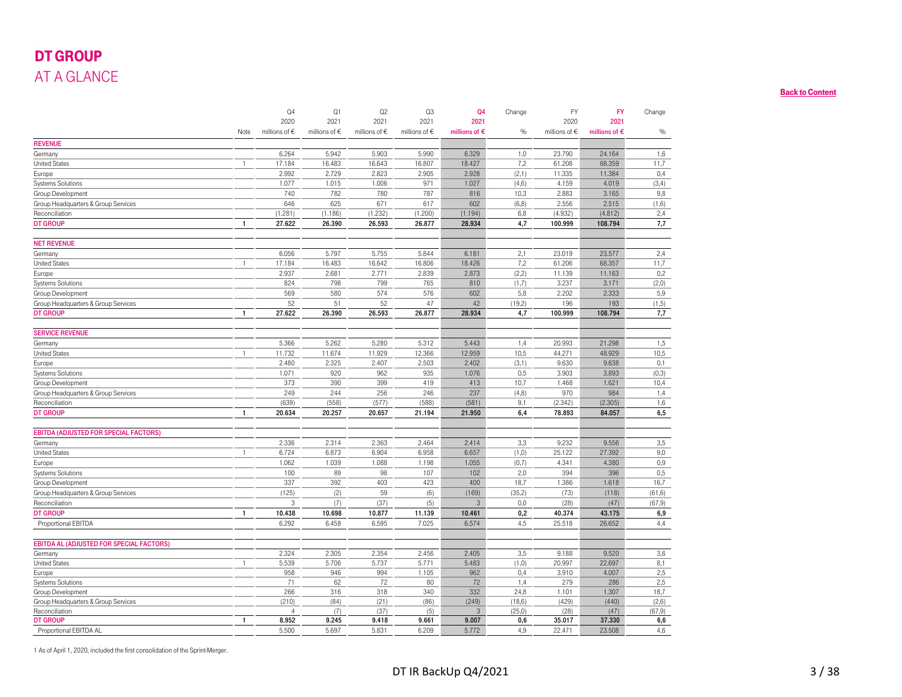## DT GROUP AT A GLANCE

<span id="page-2-0"></span>

| AT A GLANCE<br><b>REVENUE</b><br>Germany<br><b>United States</b><br>Europe<br>Systems Solutions<br>Group Development<br>Group Headquarters & Group Services<br>Reconciliation<br><b>DT GROUP</b><br><b>NET REVENUE</b><br>Germany<br><b>United States</b><br>Europe<br><b>Systems Solutions</b><br>Group Development<br>Group Headquarters & Group Services<br><b>DT GROUP</b><br><b>SERVICE REVENUE</b> | Note<br>$\overline{1}$<br>$\overline{1}$<br>$\overline{1}$<br>$\mathbf{1}$ | Q4<br>2020<br>millions of $\epsilon$<br>6.264<br>17.184<br>2.992<br>1.077<br>740<br>646<br>(1.281)<br>27.622<br>6.056<br>17.184<br>2.937<br>824<br>569 | Q1<br>2021<br>millions of $\epsilon$<br>5.942<br>16.483<br>2.729<br>1.015<br>782<br>625<br>(1.186)<br>26.390<br>5.797<br>16.483<br>2.681<br>798 | Q2<br>2021<br>millions of $\in$<br>5.903<br>16.643<br>2.823<br>1.006<br>780<br>671<br>(1.232)<br>26.593<br>5.755<br>16.642 | Q3<br>2021<br>millions of $\epsilon$<br>5.990<br>16.807<br>2.905<br>971<br>787<br>617<br>(1.200)<br>26.877<br>5.844 | Q4<br>2021<br>millions of $\epsilon$<br>6.329<br>18.427<br>2.928<br>1.027<br>816<br>602<br>(1.194)<br>28.934<br>6.181 | Change<br>%<br>1,0<br>7,2<br>(2,1)<br>(4, 6)<br>10,3<br>(6, 8)<br>6,8<br>4,7 | <b>FY</b><br>2020<br>millions of $\epsilon$<br>23.790<br>61.208<br>11.335<br>4.159<br>2.883<br>2.556<br>(4.932)<br>100.999 | <b>FY</b><br>2021<br>millions of $\epsilon$<br>24.164<br>68.359<br>11.384<br>4.019<br>3.165<br>2.515<br>(4.812)<br>108.794 | Change<br>$\%$<br>1,6<br>11,7<br>0,4<br>(3,4)<br>9,8<br>(1,6)<br>2,4<br>7,7 |
|----------------------------------------------------------------------------------------------------------------------------------------------------------------------------------------------------------------------------------------------------------------------------------------------------------------------------------------------------------------------------------------------------------|----------------------------------------------------------------------------|--------------------------------------------------------------------------------------------------------------------------------------------------------|-------------------------------------------------------------------------------------------------------------------------------------------------|----------------------------------------------------------------------------------------------------------------------------|---------------------------------------------------------------------------------------------------------------------|-----------------------------------------------------------------------------------------------------------------------|------------------------------------------------------------------------------|----------------------------------------------------------------------------------------------------------------------------|----------------------------------------------------------------------------------------------------------------------------|-----------------------------------------------------------------------------|
|                                                                                                                                                                                                                                                                                                                                                                                                          |                                                                            |                                                                                                                                                        |                                                                                                                                                 |                                                                                                                            |                                                                                                                     |                                                                                                                       |                                                                              |                                                                                                                            |                                                                                                                            |                                                                             |
|                                                                                                                                                                                                                                                                                                                                                                                                          |                                                                            |                                                                                                                                                        |                                                                                                                                                 |                                                                                                                            |                                                                                                                     |                                                                                                                       |                                                                              |                                                                                                                            |                                                                                                                            |                                                                             |
|                                                                                                                                                                                                                                                                                                                                                                                                          |                                                                            |                                                                                                                                                        |                                                                                                                                                 |                                                                                                                            |                                                                                                                     |                                                                                                                       |                                                                              |                                                                                                                            |                                                                                                                            |                                                                             |
|                                                                                                                                                                                                                                                                                                                                                                                                          |                                                                            |                                                                                                                                                        |                                                                                                                                                 |                                                                                                                            |                                                                                                                     |                                                                                                                       |                                                                              |                                                                                                                            |                                                                                                                            |                                                                             |
|                                                                                                                                                                                                                                                                                                                                                                                                          |                                                                            |                                                                                                                                                        |                                                                                                                                                 |                                                                                                                            |                                                                                                                     |                                                                                                                       |                                                                              |                                                                                                                            |                                                                                                                            |                                                                             |
|                                                                                                                                                                                                                                                                                                                                                                                                          |                                                                            |                                                                                                                                                        |                                                                                                                                                 |                                                                                                                            |                                                                                                                     |                                                                                                                       |                                                                              |                                                                                                                            |                                                                                                                            |                                                                             |
|                                                                                                                                                                                                                                                                                                                                                                                                          |                                                                            |                                                                                                                                                        |                                                                                                                                                 |                                                                                                                            |                                                                                                                     |                                                                                                                       |                                                                              |                                                                                                                            |                                                                                                                            |                                                                             |
|                                                                                                                                                                                                                                                                                                                                                                                                          |                                                                            |                                                                                                                                                        |                                                                                                                                                 |                                                                                                                            |                                                                                                                     |                                                                                                                       |                                                                              |                                                                                                                            |                                                                                                                            |                                                                             |
|                                                                                                                                                                                                                                                                                                                                                                                                          |                                                                            |                                                                                                                                                        |                                                                                                                                                 |                                                                                                                            |                                                                                                                     |                                                                                                                       |                                                                              |                                                                                                                            |                                                                                                                            |                                                                             |
|                                                                                                                                                                                                                                                                                                                                                                                                          |                                                                            |                                                                                                                                                        |                                                                                                                                                 |                                                                                                                            |                                                                                                                     |                                                                                                                       |                                                                              |                                                                                                                            |                                                                                                                            |                                                                             |
|                                                                                                                                                                                                                                                                                                                                                                                                          |                                                                            |                                                                                                                                                        |                                                                                                                                                 |                                                                                                                            |                                                                                                                     |                                                                                                                       |                                                                              |                                                                                                                            |                                                                                                                            |                                                                             |
|                                                                                                                                                                                                                                                                                                                                                                                                          |                                                                            |                                                                                                                                                        |                                                                                                                                                 |                                                                                                                            |                                                                                                                     |                                                                                                                       |                                                                              |                                                                                                                            |                                                                                                                            |                                                                             |
|                                                                                                                                                                                                                                                                                                                                                                                                          |                                                                            |                                                                                                                                                        |                                                                                                                                                 |                                                                                                                            |                                                                                                                     |                                                                                                                       |                                                                              |                                                                                                                            |                                                                                                                            |                                                                             |
|                                                                                                                                                                                                                                                                                                                                                                                                          |                                                                            |                                                                                                                                                        |                                                                                                                                                 |                                                                                                                            |                                                                                                                     |                                                                                                                       |                                                                              |                                                                                                                            |                                                                                                                            |                                                                             |
|                                                                                                                                                                                                                                                                                                                                                                                                          |                                                                            |                                                                                                                                                        |                                                                                                                                                 |                                                                                                                            |                                                                                                                     |                                                                                                                       | 2,1                                                                          | 23.019                                                                                                                     | 23.577                                                                                                                     | 2,4                                                                         |
|                                                                                                                                                                                                                                                                                                                                                                                                          |                                                                            |                                                                                                                                                        |                                                                                                                                                 |                                                                                                                            | 16.806                                                                                                              | 18.426                                                                                                                | 7,2                                                                          | 61.206                                                                                                                     | 68.357                                                                                                                     | 11,7                                                                        |
|                                                                                                                                                                                                                                                                                                                                                                                                          |                                                                            |                                                                                                                                                        |                                                                                                                                                 | 2.771                                                                                                                      | 2.839                                                                                                               | 2.873                                                                                                                 | (2,2)                                                                        | 11.139                                                                                                                     | 11.163                                                                                                                     | 0,2                                                                         |
|                                                                                                                                                                                                                                                                                                                                                                                                          |                                                                            |                                                                                                                                                        |                                                                                                                                                 | 799                                                                                                                        | 765                                                                                                                 | 810                                                                                                                   | (1,7)                                                                        | 3.237                                                                                                                      | 3.171                                                                                                                      | (2,0)                                                                       |
|                                                                                                                                                                                                                                                                                                                                                                                                          |                                                                            |                                                                                                                                                        | 580                                                                                                                                             | 574                                                                                                                        | 576                                                                                                                 | 602                                                                                                                   | 5,8                                                                          | 2.202                                                                                                                      | 2.333                                                                                                                      | 5,9                                                                         |
|                                                                                                                                                                                                                                                                                                                                                                                                          |                                                                            | 52                                                                                                                                                     | 51                                                                                                                                              | 52                                                                                                                         | 47                                                                                                                  | 42                                                                                                                    | (19,2)                                                                       | 196                                                                                                                        | 193                                                                                                                        | (1, 5)                                                                      |
|                                                                                                                                                                                                                                                                                                                                                                                                          |                                                                            | 27.622                                                                                                                                                 | 26.390                                                                                                                                          | 26.593                                                                                                                     | 26.877                                                                                                              | 28.934                                                                                                                | 4,7                                                                          | 100.999                                                                                                                    | 108.794                                                                                                                    | 7,7                                                                         |
|                                                                                                                                                                                                                                                                                                                                                                                                          |                                                                            |                                                                                                                                                        |                                                                                                                                                 |                                                                                                                            |                                                                                                                     |                                                                                                                       |                                                                              |                                                                                                                            |                                                                                                                            |                                                                             |
| Germany                                                                                                                                                                                                                                                                                                                                                                                                  |                                                                            | 5.366                                                                                                                                                  | 5.262                                                                                                                                           | 5.280                                                                                                                      | 5.312                                                                                                               | 5.443                                                                                                                 | 1,4                                                                          | 20.993                                                                                                                     | 21.298                                                                                                                     | 1,5                                                                         |
| <b>United States</b>                                                                                                                                                                                                                                                                                                                                                                                     | -1                                                                         | 11.732                                                                                                                                                 | 11.674                                                                                                                                          | 11.929                                                                                                                     | 12.366                                                                                                              | 12.959                                                                                                                | 10,5                                                                         | 44.271                                                                                                                     | 48.929                                                                                                                     | 10,5                                                                        |
| Europe                                                                                                                                                                                                                                                                                                                                                                                                   |                                                                            | 2.480                                                                                                                                                  | 2.325                                                                                                                                           | 2.407                                                                                                                      | 2.503                                                                                                               | 2.402                                                                                                                 | (3,1)                                                                        | 9.630                                                                                                                      | 9.638                                                                                                                      | 0,1                                                                         |
| Systems Solutions                                                                                                                                                                                                                                                                                                                                                                                        |                                                                            | 1.071                                                                                                                                                  | 920                                                                                                                                             | 962                                                                                                                        | 935                                                                                                                 | 1.076                                                                                                                 | 0,5                                                                          | 3.903                                                                                                                      | 3.893                                                                                                                      | (0,3)                                                                       |
| Group Development                                                                                                                                                                                                                                                                                                                                                                                        |                                                                            | 373                                                                                                                                                    | 390                                                                                                                                             | 399                                                                                                                        | 419                                                                                                                 | 413                                                                                                                   | 10,7                                                                         | 1.468                                                                                                                      | 1.621                                                                                                                      | 10,4                                                                        |
| Group Headquarters & Group Services                                                                                                                                                                                                                                                                                                                                                                      |                                                                            | 249                                                                                                                                                    | 244                                                                                                                                             | 256                                                                                                                        | 246                                                                                                                 | 237                                                                                                                   | (4, 8)                                                                       | 970                                                                                                                        | 984                                                                                                                        | 1,4                                                                         |
| Reconciliation                                                                                                                                                                                                                                                                                                                                                                                           |                                                                            | (639)                                                                                                                                                  | (558)                                                                                                                                           | (577)                                                                                                                      | (588)                                                                                                               | (581)                                                                                                                 | 9,1                                                                          | (2.342)                                                                                                                    | (2.305)                                                                                                                    | 1,6                                                                         |
| <b>DT GROUP</b>                                                                                                                                                                                                                                                                                                                                                                                          | $\overline{1}$                                                             | 20.634                                                                                                                                                 | 20.257                                                                                                                                          | 20.657                                                                                                                     | 21.194                                                                                                              | 21.950                                                                                                                | 6,4                                                                          | 78.893                                                                                                                     | 84.057                                                                                                                     | 6,5                                                                         |
| <b>EBITDA (ADJUSTED FOR SPECIAL FACTORS)</b>                                                                                                                                                                                                                                                                                                                                                             |                                                                            |                                                                                                                                                        |                                                                                                                                                 |                                                                                                                            |                                                                                                                     |                                                                                                                       |                                                                              |                                                                                                                            |                                                                                                                            |                                                                             |
| Germany                                                                                                                                                                                                                                                                                                                                                                                                  |                                                                            | 2.336                                                                                                                                                  | 2.314                                                                                                                                           | 2.363                                                                                                                      | 2.464                                                                                                               | 2.414                                                                                                                 | 3,3                                                                          | 9.232                                                                                                                      | 9.556                                                                                                                      | 3,5                                                                         |
| <b>United States</b>                                                                                                                                                                                                                                                                                                                                                                                     | $\mathbf{1}$                                                               | 6.724                                                                                                                                                  | 6.873                                                                                                                                           | 6.904                                                                                                                      | 6.958                                                                                                               | 6.657                                                                                                                 | (1,0)                                                                        | 25.122                                                                                                                     | 27.392                                                                                                                     | 9,0                                                                         |
| Europe                                                                                                                                                                                                                                                                                                                                                                                                   |                                                                            | 1.062                                                                                                                                                  | 1.039                                                                                                                                           | 1.088                                                                                                                      | 1.198                                                                                                               | 1.055                                                                                                                 | (0,7)                                                                        | 4.341                                                                                                                      | 4.380                                                                                                                      | 0,9                                                                         |
| Systems Solutions                                                                                                                                                                                                                                                                                                                                                                                        |                                                                            | 100                                                                                                                                                    | 89                                                                                                                                              | 98                                                                                                                         | 107                                                                                                                 | 102                                                                                                                   | 2,0                                                                          | 394                                                                                                                        | 396                                                                                                                        | 0,5                                                                         |
| Group Development                                                                                                                                                                                                                                                                                                                                                                                        |                                                                            | 337                                                                                                                                                    | 392                                                                                                                                             | 403                                                                                                                        | 423                                                                                                                 | 400                                                                                                                   | 18,7                                                                         | 1.386                                                                                                                      | 1.618                                                                                                                      | 16,7                                                                        |
| Group Headquarters & Group Services                                                                                                                                                                                                                                                                                                                                                                      |                                                                            | (125)                                                                                                                                                  | (2)                                                                                                                                             | 59                                                                                                                         | (6)                                                                                                                 | (169)                                                                                                                 | (35,2)                                                                       | (73)                                                                                                                       | (118)                                                                                                                      | (61, 6)                                                                     |
| Reconciliation<br><b>DT GROUP</b>                                                                                                                                                                                                                                                                                                                                                                        |                                                                            | 3<br>10.438                                                                                                                                            | (7)<br>10.698                                                                                                                                   | (37)<br>10.877                                                                                                             | (5)<br>11.139                                                                                                       | 3                                                                                                                     | 0,0<br>0,2                                                                   | (28)                                                                                                                       | (47)                                                                                                                       | (67, 9)                                                                     |
|                                                                                                                                                                                                                                                                                                                                                                                                          | $\mathbf{1}$                                                               | 6.292                                                                                                                                                  | 6.458                                                                                                                                           | 6.595                                                                                                                      | 7.025                                                                                                               | 10.461<br>6.574                                                                                                       | 4,5                                                                          | 40.374<br>25.518                                                                                                           | 43.175<br>26.652                                                                                                           | 6,9                                                                         |
| Proportional EBITDA                                                                                                                                                                                                                                                                                                                                                                                      |                                                                            |                                                                                                                                                        |                                                                                                                                                 |                                                                                                                            |                                                                                                                     |                                                                                                                       |                                                                              |                                                                                                                            |                                                                                                                            | 4,4                                                                         |
| <b>EBITDA AL (ADJUSTED FOR SPECIAL FACTORS)</b>                                                                                                                                                                                                                                                                                                                                                          |                                                                            |                                                                                                                                                        |                                                                                                                                                 |                                                                                                                            |                                                                                                                     |                                                                                                                       |                                                                              |                                                                                                                            |                                                                                                                            |                                                                             |
| Germany                                                                                                                                                                                                                                                                                                                                                                                                  |                                                                            | 2.324                                                                                                                                                  | 2.305                                                                                                                                           | 2.354                                                                                                                      | 2.456                                                                                                               | 2.405                                                                                                                 | 3,5                                                                          | 9.188                                                                                                                      | 9.520                                                                                                                      | 3,6                                                                         |
| <b>United States</b>                                                                                                                                                                                                                                                                                                                                                                                     | $\mathbf{1}$                                                               | 5.539                                                                                                                                                  | 5.706                                                                                                                                           | 5.737                                                                                                                      | 5.771                                                                                                               | 5.483                                                                                                                 | (1,0)                                                                        | 20.997                                                                                                                     | 22.697                                                                                                                     | 8,1                                                                         |
| Europe                                                                                                                                                                                                                                                                                                                                                                                                   |                                                                            | 958                                                                                                                                                    | 946                                                                                                                                             | 994                                                                                                                        | 1.105                                                                                                               | 962                                                                                                                   | 0,4                                                                          | 3.910                                                                                                                      | 4.007                                                                                                                      | 2,5                                                                         |
| Systems Solutions                                                                                                                                                                                                                                                                                                                                                                                        |                                                                            | 71                                                                                                                                                     | 62                                                                                                                                              | 72                                                                                                                         | 80                                                                                                                  | 72                                                                                                                    | 1,4                                                                          | 279                                                                                                                        | 286                                                                                                                        | 2,5                                                                         |
| Group Development                                                                                                                                                                                                                                                                                                                                                                                        |                                                                            | 266                                                                                                                                                    | 316                                                                                                                                             | 318                                                                                                                        | 340                                                                                                                 | 332                                                                                                                   | 24,8                                                                         | 1.101                                                                                                                      | 1.307                                                                                                                      | 18,7                                                                        |
| Group Headquarters & Group Services                                                                                                                                                                                                                                                                                                                                                                      |                                                                            | (210)<br>$\overline{4}$                                                                                                                                | (84)<br>(7)                                                                                                                                     | (21)                                                                                                                       | (86)                                                                                                                | (249)<br>$\mathbf{3}$                                                                                                 | (18, 6)                                                                      | (429)                                                                                                                      | (440)<br>(47)                                                                                                              | (2,6)                                                                       |
| Reconciliation<br><b>DT GROUP</b>                                                                                                                                                                                                                                                                                                                                                                        | $\mathbf{1}$                                                               | 8.952                                                                                                                                                  | 9.245                                                                                                                                           | (37)<br>9.418                                                                                                              | (5)<br>9.661                                                                                                        | 9.007                                                                                                                 | (25, 0)<br>0,6                                                               | (28)<br>35.017                                                                                                             | 37.330                                                                                                                     | (67, 9)<br>6,6                                                              |
| Proportional EBITDA AL                                                                                                                                                                                                                                                                                                                                                                                   |                                                                            | 5.500                                                                                                                                                  | 5.697                                                                                                                                           | 5.831                                                                                                                      | 6.209                                                                                                               | 5.772                                                                                                                 | 4,9                                                                          | 22.471                                                                                                                     | 23.508                                                                                                                     | 4,6                                                                         |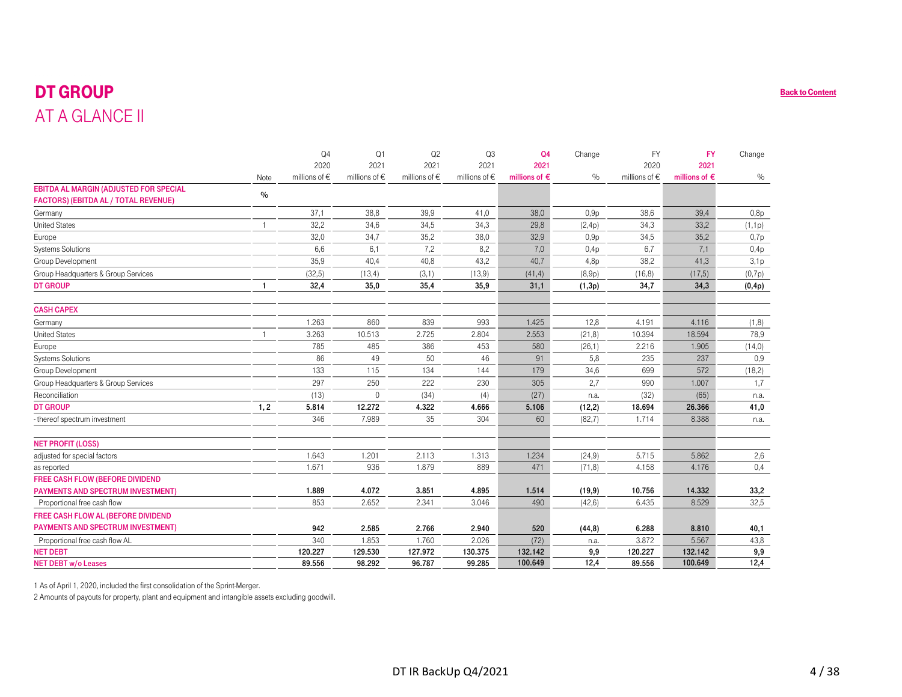## DT GROUP AT A GLANCE II

|                                               |                | Q <sub>4</sub>    | Q <sub>1</sub>    | Q <sub>2</sub>    | Q <sub>3</sub>    | Q <sub>4</sub>         | Change  | <b>FY</b>         | <b>FY</b>              | Change |
|-----------------------------------------------|----------------|-------------------|-------------------|-------------------|-------------------|------------------------|---------|-------------------|------------------------|--------|
|                                               |                | 2020              | 2021              | 2021              | 2021              | 2021                   |         | 2020              | 2021                   |        |
|                                               | Note           | millions of $\in$ | millions of $\in$ | millions of $\in$ | millions of $\in$ | millions of $\epsilon$ | $\%$    | millions of $\in$ | millions of $\epsilon$ | $\%$   |
| <b>EBITDA AL MARGIN (ADJUSTED FOR SPECIAL</b> | $\frac{0}{0}$  |                   |                   |                   |                   |                        |         |                   |                        |        |
| <b>FACTORS) (EBITDA AL / TOTAL REVENUE)</b>   |                |                   |                   |                   |                   |                        |         |                   |                        |        |
| Germany                                       |                | 37,1              | 38,8              | 39,9              | 41,0              | 38,0                   | 0,9p    | 38,6              | 39,4                   | 0,8p   |
| <b>United States</b>                          |                | 32,2              | 34,6              | 34,5              | 34,3              | 29,8                   | (2,4p)  | 34,3              | 33,2                   | (1,1p) |
| Europe                                        |                | 32,0              | 34,7              | 35,2              | 38,0              | 32,9                   | 0,9p    | 34,5              | 35,2                   | 0,7p   |
| <b>Systems Solutions</b>                      |                | 6,6               | 6,1               | 7,2               | 8,2               | 7,0                    | 0,4p    | 6,7               | 7,1                    | 0,4p   |
| Group Development                             |                | 35,9              | 40,4              | 40,8              | 43,2              | 40,7                   | 4,8p    | 38,2              | 41,3                   | 3,1p   |
| Group Headquarters & Group Services           |                | (32,5)            | (13, 4)           | (3,1)             | (13,9)            | (41, 4)                | (8,9p)  | (16, 8)           | (17,5)                 | (0,7p) |
| <b>DT GROUP</b>                               |                | 32,4              | 35,0              | 35,4              | 35,9              | 31,1                   | (1,3p)  | 34,7              | 34,3                   | (0,4p) |
| <b>CASH CAPEX</b>                             |                |                   |                   |                   |                   |                        |         |                   |                        |        |
| Germany                                       |                | 1.263             | 860               | 839               | 993               | 1.425                  | 12,8    | 4.191             | 4.116                  | (1,8)  |
| <b>United States</b>                          | $\overline{1}$ | 3.263             | 10.513            | 2.725             | 2.804             | 2.553                  | (21, 8) | 10.394            | 18.594                 | 78,9   |
| Europe                                        |                | 785               | 485               | 386               | 453               | 580                    | (26,1)  | 2.216             | 1.905                  | (14,0) |
| <b>Systems Solutions</b>                      |                | 86                | 49                | 50                | 46                | 91                     | 5,8     | 235               | 237                    | 0,9    |
| Group Development                             |                | 133               | 115               | 134               | 144               | 179                    | 34,6    | 699               | 572                    | (18,2) |
| Group Headquarters & Group Services           |                | 297               | 250               | 222               | 230               | 305                    | 2,7     | 990               | 1.007                  | 1,7    |
| Reconciliation                                |                | (13)              | $\Omega$          | (34)              | (4)               | (27)                   | n.a.    | (32)              | (65)                   | n.a.   |
| <b>DT GROUP</b>                               | 1, 2           | 5.814             | 12.272            | 4.322             | 4.666             | 5.106                  | (12, 2) | 18.694            | 26.366                 | 41,0   |
| - thereof spectrum investment                 |                | 346               | 7.989             | 35                | 304               | 60                     | (82,7)  | 1.714             | 8.388                  | n.a.   |
| <b>NET PROFIT (LOSS)</b>                      |                |                   |                   |                   |                   |                        |         |                   |                        |        |
| adjusted for special factors                  |                | 1.643             | 1.201             | 2.113             | 1.313             | 1.234                  | (24, 9) | 5.715             | 5.862                  | 2,6    |
| as reported                                   |                | 1.671             | 936               | 1.879             | 889               | 471                    | (71, 8) | 4.158             | 4.176                  | 0,4    |
| FREE CASH FLOW (BEFORE DIVIDEND               |                |                   |                   |                   |                   |                        |         |                   |                        |        |
| <b>PAYMENTS AND SPECTRUM INVESTMENT)</b>      |                | 1.889             | 4.072             | 3.851             | 4.895             | 1.514                  | (19, 9) | 10.756            | 14.332                 | 33,2   |
| Proportional free cash flow                   |                | 853               | 2.652             | 2.341             | 3.046             | 490                    | (42.6)  | 6.435             | 8.529                  | 32,5   |
| FREE CASH FLOW AL (BEFORE DIVIDEND            |                |                   |                   |                   |                   |                        |         |                   |                        |        |
| <b>PAYMENTS AND SPECTRUM INVESTMENT)</b>      |                | 942               | 2.585             | 2.766             | 2.940             | 520                    | (44, 8) | 6.288             | 8.810                  | 40,1   |
| Proportional free cash flow AL                |                | 340               | 1.853             | 1.760             | 2.026             | (72)                   | n.a.    | 3.872             | 5.567                  | 43,8   |
| <b>NET DEBT</b>                               |                | 120.227           | 129.530           | 127.972           | 130.375           | 132.142                | 9,9     | 120.227           | 132.142                | 9,9    |
| <b>NET DEBT w/o Leases</b>                    |                | 89.556            | 98.292            | 96.787            | 99.285            | 100.649                | 12,4    | 89.556            | 100.649                | 12,4   |

1 As of April 1, 2020, included the first consolidation of the Sprint-Merger.

2 Amounts of payouts for property, plant and equipment and intangible assets excluding goodwill.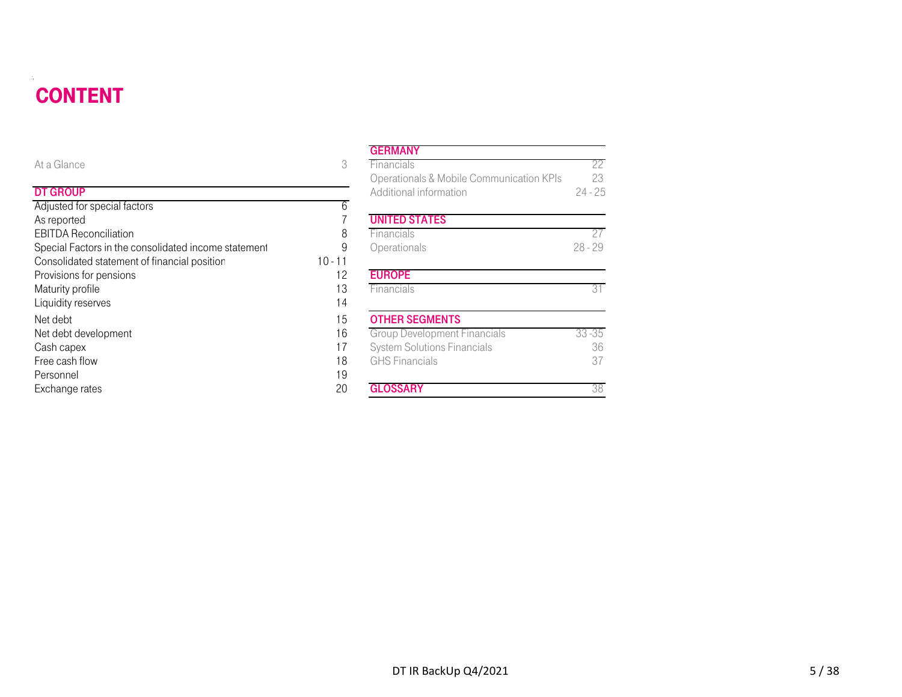#### **CONTENT** DT DE STATISTISKE REGENERALIGE EN DE STATISTISKE REGENERALIGE EN DE STATISTISKE REGENERALIGE EN DE STATISTISKE

| <b>CONTENT</b>                                       |           |                                          |           |
|------------------------------------------------------|-----------|------------------------------------------|-----------|
|                                                      |           | <b>GERMANY</b>                           |           |
| At a Glance                                          | 3         | Financials                               | 22        |
|                                                      |           | Operationals & Mobile Communication KPIs | 23        |
| <b>DT GROUP</b>                                      |           | Additional information                   | $24 - 25$ |
| Adjusted for special factors                         | 6         |                                          |           |
| As reported                                          |           | <b>UNITED STATES</b>                     |           |
| <b>EBITDA Reconciliation</b>                         | 8         | Financials                               | 27        |
| Special Factors in the consolidated income statement | 9         | Operationals                             | $28 - 29$ |
| Consolidated statement of financial position         | $10 - 11$ |                                          |           |
| Provisions for pensions                              | 12        | <b>EUROPE</b>                            |           |
| Maturity profile                                     | 13        | Financials                               | 31        |
| Liquidity reserves                                   | 14        |                                          |           |
| Net debt                                             | 15        | <b>OTHER SEGMENTS</b>                    |           |
| Net debt development                                 | 16        | <b>Group Development Financials</b>      | $33 - 35$ |
| Cash capex                                           | 17        | <b>System Solutions Financials</b>       | 36        |
| Free cash flow                                       | 18        | <b>GHS Financials</b>                    | 37        |
| Personnel                                            | 19        |                                          |           |
| Exchange rates                                       | 20        | <b>GLOSSARY</b>                          | 38        |

#### **GERMANY**

| е                                          | 3         | Financials                               | 22        |
|--------------------------------------------|-----------|------------------------------------------|-----------|
|                                            |           | Operationals & Mobile Communication KPIs | 23        |
| P                                          |           | Additional information                   | $24 - 25$ |
| or special factors                         | 6         |                                          |           |
| d                                          |           | <b>UNITED STATES</b>                     |           |
| econciliation                              | 8         | Financials                               | 27        |
| ctors in the consolidated income statement | 9         | Operationals                             | $28 - 29$ |
| ted statement of financial position        | $10 - 11$ |                                          |           |
| for pensions                               | 12        | <b>EUROPE</b>                            |           |
| rofile                                     | 13        | Financials                               | 31        |
| eserves                                    | 14        |                                          |           |
|                                            | 15        | <b>OTHER SEGMENTS</b>                    |           |
| levelopment                                | 16        | <b>Group Development Financials</b>      | $33 - 35$ |
| эX                                         | 17        | <b>System Solutions Financials</b>       | 36        |
| flow                                       | 18        | <b>GHS</b> Financials                    | 37        |
|                                            | 19        |                                          |           |
| rates                                      | 20        | <b>GLOSSARY</b>                          | 38        |
|                                            |           |                                          |           |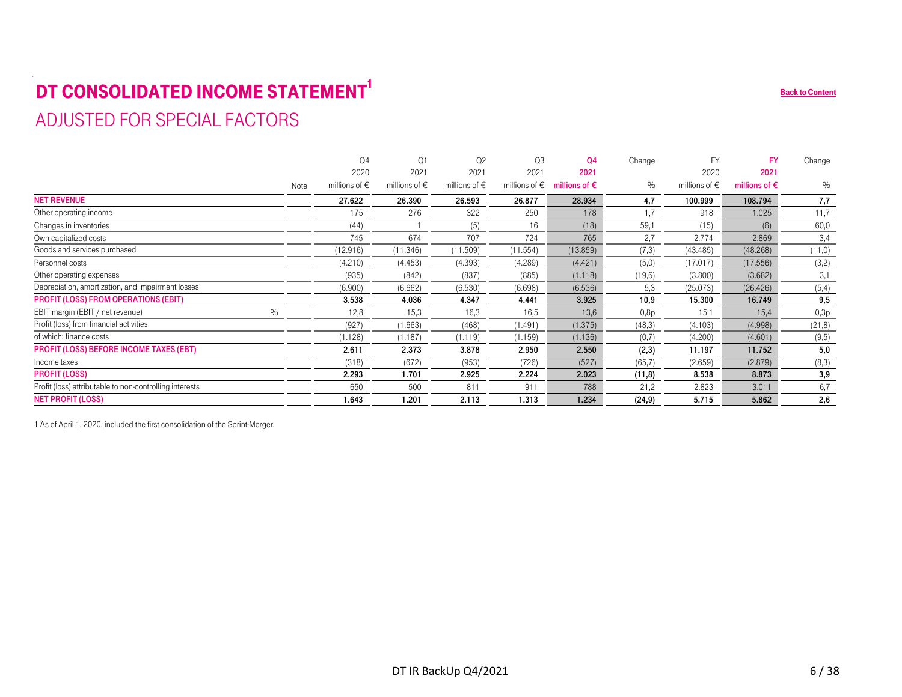# <span id="page-5-0"></span>**DT CONSOLIDATED INCOME STATEMENT<sup>1</sup>**

## ADJUSTED FOR SPECIAL FACTORS

| DT CONSOLIDATED INCOME STATEMENT                        |      |                        |                        |                        |                        |                        |         |                        |                        | <b>Back to Content</b> |
|---------------------------------------------------------|------|------------------------|------------------------|------------------------|------------------------|------------------------|---------|------------------------|------------------------|------------------------|
| ADJUSTED FOR SPECIAL FACTORS                            |      |                        |                        |                        |                        |                        |         |                        |                        |                        |
|                                                         |      |                        |                        |                        |                        |                        |         |                        |                        |                        |
|                                                         |      |                        |                        |                        |                        |                        |         |                        |                        |                        |
|                                                         |      | Q <sub>4</sub>         | Q1                     | Q <sub>2</sub>         | Q3                     | <b>Q4</b>              | Change  | <b>FY</b>              | <b>FY</b>              | Change                 |
|                                                         |      | 2020                   | 2021                   | 2021                   | 2021                   | 2021                   |         | 2020                   | 2021                   |                        |
|                                                         | Note | millions of $\epsilon$ | millions of $\epsilon$ | millions of $\epsilon$ | millions of $\epsilon$ | millions of $\epsilon$ | $\%$    | millions of $\epsilon$ | millions of $\epsilon$ | $\%$                   |
| <b>NET REVENUE</b>                                      |      | 27.622                 | 26.390                 | 26.593                 | 26.877                 | 28.934                 | 4,7     | 100.999                | 108.794                | 7,7                    |
| Other operating income                                  |      | 175                    | 276                    | 322                    | 250                    | 178                    | 1.7     | 918                    | 1.025                  | 11,7                   |
| Changes in inventories                                  |      | (44)                   |                        | (5)                    | 16                     | (18)                   | 59,1    | (15)                   | (6)                    | 60,0                   |
| Own capitalized costs                                   |      | 745                    | 674                    | 707                    | 724                    | 765                    | 2,7     | 2.774                  | 2.869                  | 3,4                    |
| Goods and services purchased                            |      | (12.916)               | (11.346)               | (11.509)               | (11.554)               | (13.859)               | (7,3)   | (43.485)               | (48.268)               | (11,0)                 |
| Personnel costs                                         |      | (4.210)                | (4.453)                | (4.393)                | (4.289)                | (4.421)                | (5,0)   | (17.017)               | (17.556)               | (3,2)                  |
| Other operating expenses                                |      | (935)                  | (842)                  | (837)                  | (885)                  | (1.118)                | (19,6)  | (3.800)                | (3.682)                | 3,1                    |
| Depreciation, amortization, and impairment losses       |      | (6.900)                | (6.662)                | (6.530)                | (6.698)                | (6.536)                | 5,3     | (25.073)               | (26.426)               | (5,4)                  |
| <b>PROFIT (LOSS) FROM OPERATIONS (EBIT)</b>             |      | 3.538                  | 4.036                  | 4.347                  | 4.441                  | 3.925                  | 10,9    | 15.300                 | 16.749                 | 9,5                    |
| EBIT margin (EBIT / net revenue)<br>$\%$                |      | 12,8                   | 15,3                   | 16,3                   | 16,5                   | 13,6                   | 0,8p    | 15,1                   | 15,4                   | 0,3p                   |
| Profit (loss) from financial activities                 |      | (927)                  | (1.663)                | (468)                  | (1.491)                | (1.375)                | (48,3)  | (4.103)                | (4.998)                | (21, 8)                |
| of which: finance costs                                 |      | (1.128)                | (1.187)                | (1.119)                | (1.159)                | (1.136)                | (0,7)   | (4.200)                | (4.601)                | (9,5)                  |
| <b>PROFIT (LOSS) BEFORE INCOME TAXES (EBT)</b>          |      | 2.611                  | 2.373                  | 3.878                  | 2.950                  | 2.550                  | (2,3)   | 11.197                 | 11.752                 | 5,0                    |
| Income taxes                                            |      | (318)                  | (672)                  | (953)                  | (726)                  | (527)                  | (65,7)  | (2.659)                | (2.879)                | (8,3)                  |
| <b>PROFIT (LOSS)</b>                                    |      | 2.293                  | 1.701                  | 2.925                  | 2.224                  | 2.023                  | (11,8)  | 8.538                  | 8.873                  | 3,9                    |
| Profit (loss) attributable to non-controlling interests |      | 650                    | 500                    | 811                    | 911                    | 788                    | 21,2    | 2.823                  | 3.011                  | 6,7                    |
| <b>NET PROFIT (LOSS)</b>                                |      | 1.643                  | 1.201                  | 2.113                  | 1.313                  | 1.234                  | (24, 9) | 5.715                  | 5.862                  | 2,6                    |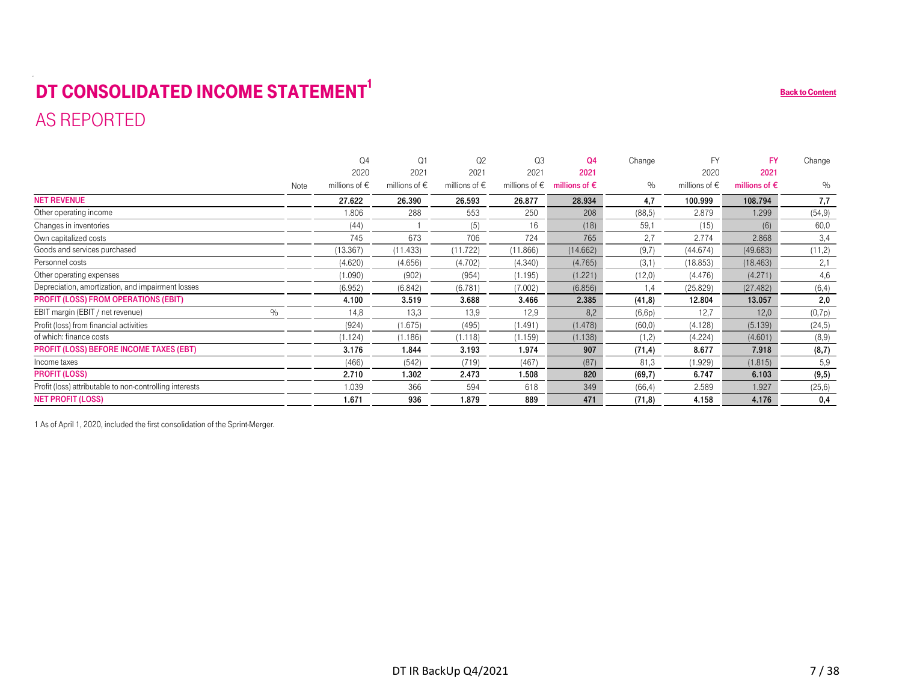# <span id="page-6-0"></span>**DT CONSOLIDATED INCOME STATEMENT<sup>1</sup>** AS REPORTED

| DT CONSOLIDATED INCOME STATEMENT                        |      |                        |                        |                        |                        |                        |         |                        |                        | <b>Back to Content</b> |
|---------------------------------------------------------|------|------------------------|------------------------|------------------------|------------------------|------------------------|---------|------------------------|------------------------|------------------------|
| AS REPORTED                                             |      |                        |                        |                        |                        |                        |         |                        |                        |                        |
|                                                         |      |                        |                        |                        |                        |                        |         |                        |                        |                        |
|                                                         |      |                        |                        |                        |                        |                        |         |                        |                        |                        |
|                                                         |      | $\Omega$ 4             | Q <sub>1</sub>         | Q <sub>2</sub>         | Q <sub>3</sub>         | <b>Q4</b>              | Change  | <b>FY</b>              | <b>FY</b>              | Change                 |
|                                                         |      | 2020                   | 2021                   | 2021                   | 2021                   | 2021                   |         | 2020                   | 2021                   |                        |
|                                                         | Note | millions of $\epsilon$ | millions of $\epsilon$ | millions of $\epsilon$ | millions of $\epsilon$ | millions of $\epsilon$ | $\%$    | millions of $\epsilon$ | millions of $\epsilon$ | $\%$                   |
| <b>NET REVENUE</b>                                      |      | 27.622                 | 26.390                 | 26.593                 | 26.877                 | 28.934                 | 4.7     | 100.999                | 108.794                | 7,7                    |
| Other operating income                                  |      | 1.806                  | 288                    | 553                    | 250                    | 208                    | (88.5)  | 2.879                  | 1.299                  | (54, 9)                |
| Changes in inventories                                  |      | (44)                   |                        | (5)                    | 16                     | (18)                   | 59.1    | (15)                   | (6)                    | 60,0                   |
| Own capitalized costs                                   |      | 745                    | 673                    | 706                    | 724                    | 765                    | 2,7     | 2.774                  | 2.868                  | 3,4                    |
| Goods and services purchased                            |      | (13.367)               | (11.433)               | (11.722)               | (11.866)               | (14.662)               | (9,7)   | (44.674)               | (49.683)               | (11,2)                 |
| Personnel costs                                         |      | (4.620)                | (4.656)                | (4.702)                | (4.340)                | (4.765)                | (3,1)   | (18.853)               | (18.463)               | 2,1                    |
| Other operating expenses                                |      | (1.090)                | (902)                  | (954)                  | (1.195)                | (1.221)                | (12,0)  | (4.476)                | (4.271)                | 4,6                    |
| Depreciation, amortization, and impairment losses       |      | (6.952)                | (6.842)                | (6.781)                | (7.002)                | (6.856)                | 1.4     | (25.829)               | (27.482)               | (6, 4)                 |
| <b>PROFIT (LOSS) FROM OPERATIONS (EBIT)</b>             |      | 4.100                  | 3.519                  | 3.688                  | 3.466                  | 2.385                  | (41,8)  | 12.804                 | 13.057                 | 2,0                    |
| EBIT margin (EBIT / net revenue)<br>$\%$                |      | 14,8                   | 13,3                   | 13,9                   | 12,9                   | 8,2                    | (6,6p)  | 12,7                   | 12,0                   | (0,7p)                 |
| Profit (loss) from financial activities                 |      | (924)                  | (1.675)                | (495)                  | (1.491)                | (1.478)                | (60,0)  | (4.128)                | (5.139)                | (24,5)                 |
| of which: finance costs                                 |      | (1.124)                | (1.186)                | (1.118)                | (1.159)                | (1.138)                | (1,2)   | (4.224)                | (4.601)                | (8,9)                  |
| PROFIT (LOSS) BEFORE INCOME TAXES (EBT)                 |      | 3.176                  | 1.844                  | 3.193                  | 1.974                  | 907                    | (71, 4) | 8.677                  | 7.918                  | (8,7)                  |
| Income taxes                                            |      | (466)                  | (542)                  | (719)                  | (467)                  | (87)                   | 81.3    | (1.929)                | (1.815)                | 5,9                    |
| <b>PROFIT (LOSS)</b>                                    |      | 2.710                  | 1.302                  | 2.473                  | 1.508                  | 820                    | (69,7)  | 6.747                  | 6.103                  | (9, 5)                 |
| Profit (loss) attributable to non-controlling interests |      | 1.039                  | 366                    | 594                    | 618                    | 349                    | (66, 4) | 2.589                  | 1.927                  | (25,6)                 |
| <b>NET PROFIT (LOSS)</b>                                |      | 1.671                  | 936                    | 1.879                  | 889                    | 471                    | (71, 8) | 4.158                  | 4.176                  | 0,4                    |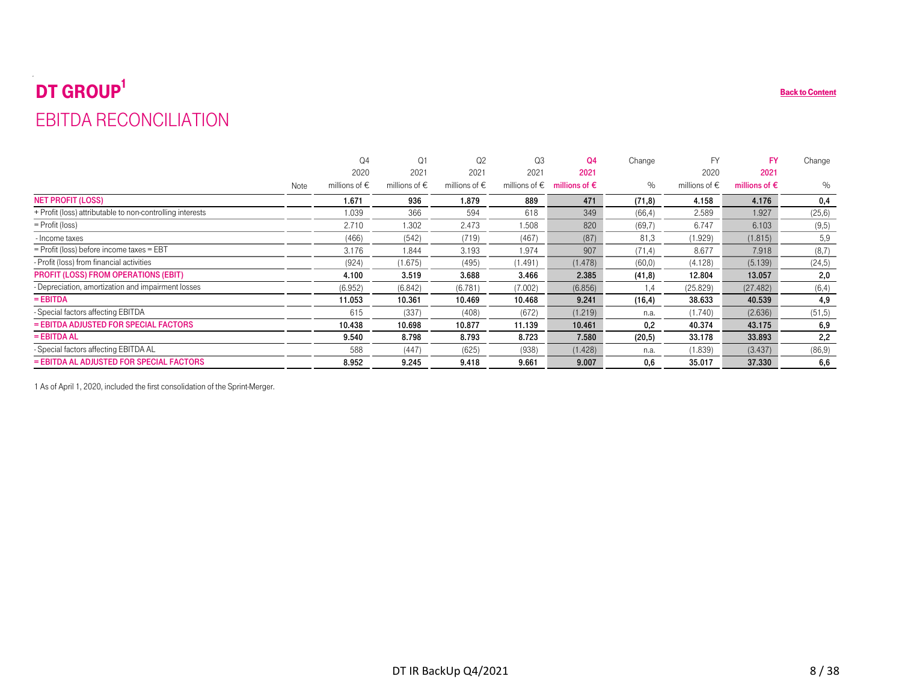# <span id="page-7-0"></span> $\mathbf{DT}$   $\mathbf{GROUP}^1$ EBITDA RECONCILIATION

| <b>EBITDA RECONCILIATION</b>                              |      |                        |                        |                        |                        |                        |         |                        |                        |         |
|-----------------------------------------------------------|------|------------------------|------------------------|------------------------|------------------------|------------------------|---------|------------------------|------------------------|---------|
|                                                           |      |                        |                        |                        |                        |                        |         |                        |                        |         |
|                                                           |      |                        |                        |                        |                        |                        |         |                        |                        |         |
|                                                           |      | Q <sub>4</sub>         | Q1                     | Q2                     | Q3                     | <b>Q4</b>              | Change  | <b>FY</b>              | <b>FY</b>              | Change  |
|                                                           |      | 2020                   | 2021                   | 2021                   | 2021                   | 2021                   |         | 2020                   | 2021                   |         |
|                                                           | Note | millions of $\epsilon$ | millions of $\epsilon$ | millions of $\epsilon$ | millions of $\epsilon$ | millions of $\epsilon$ | $\%$    | millions of $\epsilon$ | millions of $\epsilon$ | $\%$    |
| <b>NET PROFIT (LOSS)</b>                                  |      | 1.671                  | 936                    | 1.879                  | 889                    | 471                    | (71, 8) | 4.158                  | 4.176                  | 0,4     |
| + Profit (loss) attributable to non-controlling interests |      | 1.039                  | 366                    | 594                    | 618                    | 349                    | (66, 4) | 2.589                  | 1.927                  | (25,6)  |
| $=$ Profit (loss)                                         |      | 2.710                  | 1.302                  | 2.473                  | 1.508                  | 820                    | (69,7)  | 6.747                  | 6.103                  | (9,5)   |
| - Income taxes                                            |      | (466)                  | (542)                  | (719)                  | (467)                  | (87)                   | 81,3    | (1.929)                | (1.815)                | 5,9     |
| = Profit (loss) before income taxes = EBT                 |      | 3.176                  | 1.844                  | 3.193                  | 1.974                  | 907                    | (71, 4) | 8.677                  | 7.918                  | (8,7)   |
| Profit (loss) from financial activities                   |      | (924)                  | (1.675)                | (495)                  | (1.491)                | (1.478)                | (60, 0) | (4.128)                | (5.139)                | (24, 5) |
| <b>PROFIT (LOSS) FROM OPERATIONS (EBIT)</b>               |      | 4.100                  | 3.519                  | 3.688                  | 3.466                  | 2.385                  | (41, 8) | 12.804                 | 13.057                 | 2,0     |
| Depreciation, amortization and impairment losses          |      | (6.952)                | (6.842)                | (6.781)                | (7.002)                | (6.856)                | 1,4     | (25.829)               | (27.482)               | (6, 4)  |
| $=$ EBITDA                                                |      | 11.053                 | 10.361                 | 10.469                 | 10.468                 | 9.241                  | (16, 4) | 38.633                 | 40.539                 | 4,9     |
| - Special factors affecting EBITDA                        |      | 615                    | (337)                  | (408)                  | (672)                  | (1.219)                | n.a.    | (1.740)                | (2.636)                | (51, 5) |
| = EBITDA ADJUSTED FOR SPECIAL FACTORS                     |      | 10.438                 | 10.698                 | 10.877                 | 11.139                 | 10.461                 | 0,2     | 40.374                 | 43.175                 | 6,9     |
| $=$ EBITDA AL                                             |      | 9.540                  | 8.798                  | 8.793                  | 8.723                  | 7.580                  | (20,5)  | 33.178                 | 33.893                 | 2,2     |
| - Special factors affecting EBITDA AL                     |      | 588                    | (447)                  | (625)                  | (938)                  | (1.428)                | n.a.    | (1.839)                | (3.437)                | (86, 9) |
| = EBITDA AL ADJUSTED FOR SPECIAL FACTORS                  |      | 8.952                  | 9.245                  | 9.418                  | 9.661                  | 9.007                  | 0,6     | 35.017                 | 37.330                 | 6,6     |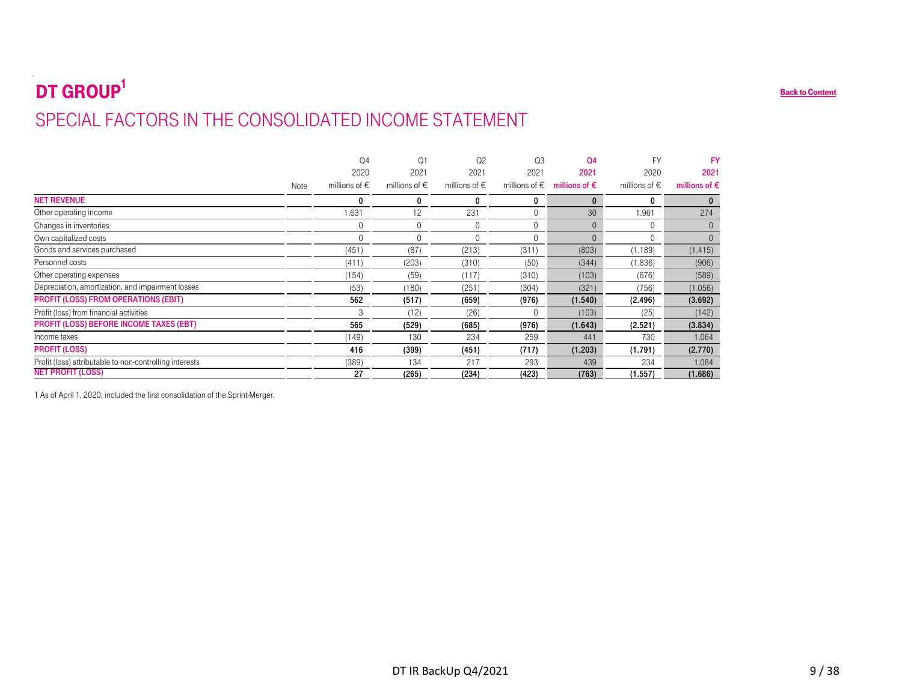# <span id="page-8-0"></span>DT GROUP<sup>1</sup> SPECIAL FACTORS IN THE CONSOLIDATED INCOME STATEMENT

|                                                                                     |      | Q <sub>4</sub>                 | Q1                             | Q2                        | Q3             | Q <sub>4</sub>                                        | <b>FY</b>                      | <b>FY</b>                      |
|-------------------------------------------------------------------------------------|------|--------------------------------|--------------------------------|---------------------------|----------------|-------------------------------------------------------|--------------------------------|--------------------------------|
|                                                                                     | Note | 2020<br>millions of $\epsilon$ | 2021<br>millions of $\epsilon$ | 2021<br>millions of $\in$ | 2021           | 2021<br>millions of $\epsilon$ millions of $\epsilon$ | 2020<br>millions of $\epsilon$ | 2021<br>millions of $\epsilon$ |
| <b>NET REVENUE</b>                                                                  |      | $\mathbf 0$                    | $\mathbf 0$                    | $\mathbf 0$               | 0              | $\mathbf 0$                                           | 0                              | $\mathbf{0}$                   |
| Other operating income                                                              |      | 1.631                          | 12                             | 231                       | $\overline{0}$ | 30                                                    | 1.961                          | 274                            |
| Changes in inventories                                                              |      | $\mathbf 0$                    | $\mathbf 0$                    | $\mathbf 0$               | $\overline{0}$ | $\overline{0}$                                        | $\mathbf 0$                    | $\overline{0}$                 |
| Own capitalized costs                                                               |      | $\mathbf 0$                    | $\overline{0}$                 | $\boldsymbol{0}$          | $\mathbf 0$    | $\mathbf 0$                                           | $\overline{0}$                 | $\overline{0}$                 |
| Goods and services purchased                                                        |      | (451)                          | (87)                           | (213)                     | (311)          | (803)                                                 | (1.189)                        | (1.415)                        |
| Personnel costs                                                                     |      | (411)                          | (203)                          | (310)                     | (50)           | (344)                                                 | (1.836)                        | (906)                          |
| Other operating expenses                                                            |      | (154)                          | (59)                           | (117)                     | (310)          | (103)                                                 | (676)                          | (589)                          |
| Depreciation, amortization, and impairment losses                                   |      | (53)                           | (180)                          | (251)                     | (304)          | (321)                                                 | (756)                          | (1.056)                        |
| PROFIT (LOSS) FROM OPERATIONS (EBIT)                                                |      | 562                            | (517)                          | (659)                     | (976)          | (1.540)                                               | (2.496)                        | (3.692)                        |
| Profit (loss) from financial activities                                             |      | $\sqrt{3}$                     | (12)                           | (26)                      | $\mathbf 0$    | (103)                                                 | (25)                           | (142)                          |
| <b>PROFIT (LOSS) BEFORE INCOME TAXES (EBT)</b>                                      |      | 565                            | (529)                          | (685)                     | (976)          | (1.643)                                               | (2.521)                        | (3.834)                        |
| Income taxes                                                                        |      | (149)                          | 130                            | 234                       | 259            | 441                                                   | 730                            | 1.064                          |
| <b>PROFIT (LOSS)</b>                                                                |      | 416                            | (399)                          | (451)                     | (717)          | (1.203)                                               | (1.791)                        | (2.770)                        |
| Profit (loss) attributable to non-controlling interests<br><b>NET PROFIT (LOSS)</b> |      | (389)<br>27                    | 134<br>(265)                   | 217<br>(234)              | 293<br>(423)   | 439<br>(763)                                          | 234<br>(1.557)                 | 1.084<br>(1.686)               |
|                                                                                     |      |                                |                                |                           |                |                                                       |                                |                                |
|                                                                                     |      |                                |                                |                           |                |                                                       |                                |                                |
|                                                                                     |      |                                |                                |                           |                |                                                       |                                |                                |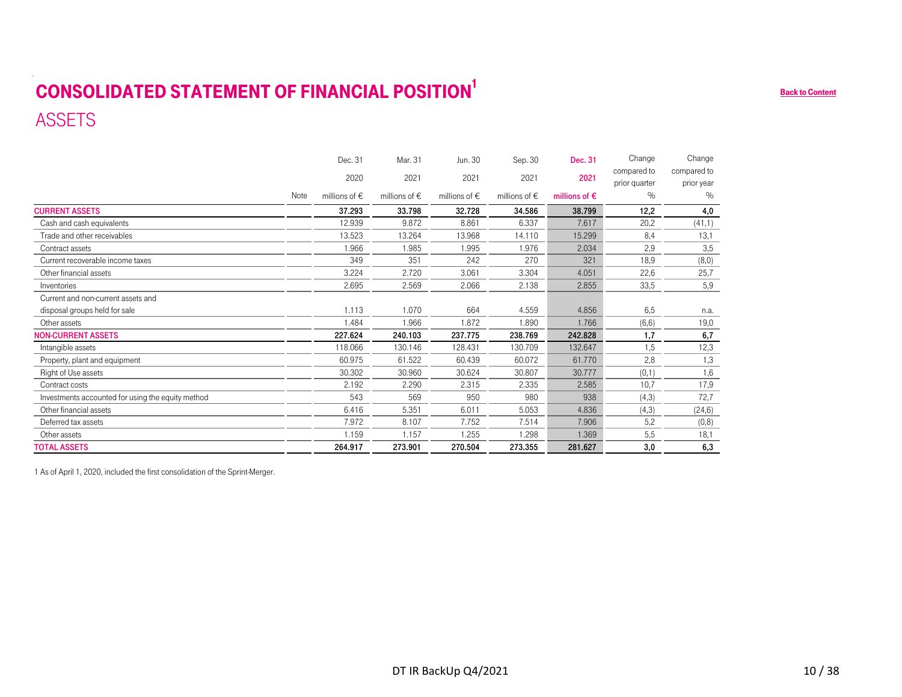# <span id="page-9-0"></span>CONSOLIDATED STATEMENT OF FINANCIAL POSITION<sup>1</sup> ASSETS

|                                                                               |      | Dec. 31           | Mar. 31           | Jun. 30           | Sep. 30                | Dec. 31                | Change                       | Change                    |
|-------------------------------------------------------------------------------|------|-------------------|-------------------|-------------------|------------------------|------------------------|------------------------------|---------------------------|
|                                                                               |      | 2020              | 2021              | 2021              | 2021                   | 2021                   | compared to<br>prior quarter | compared to<br>prior year |
|                                                                               | Note | millions of $\in$ | millions of $\in$ | millions of $\in$ | millions of $\epsilon$ | millions of $\epsilon$ | $\%$                         | $\%$                      |
| <b>CURRENT ASSETS</b>                                                         |      | 37.293            | 33.798            | 32.728            | 34.586                 | 38.799                 | 12,2                         | 4,0                       |
| Cash and cash equivalents                                                     |      | 12.939            | 9.872             | 8.861             | 6.337                  | 7.617                  | 20,2                         | (41,1)                    |
| Trade and other receivables                                                   |      | 13.523            | 13.264            | 13.968            | 14.110                 | 15.299                 | 8,4                          | 13,1                      |
| Contract assets                                                               |      | 1.966             | 1.985             | 1.995             | 1.976                  | 2.034                  | 2,9                          | 3,5                       |
| Current recoverable income taxes                                              |      | 349               | 351               | 242               | 270                    | 321                    | 18,9                         | (8,0)                     |
| Other financial assets                                                        |      | 3.224             | 2.720             | 3.061             | 3.304                  | 4.051                  | 22,6                         | 25,7                      |
| Inventories                                                                   |      | 2.695             | 2.569             | 2.066             | 2.138                  | 2.855                  | 33,5                         | 5,9                       |
| Current and non-current assets and                                            |      |                   |                   |                   |                        |                        |                              |                           |
| disposal groups held for sale                                                 |      | 1.113             | 1.070             | 664               | 4.559                  | 4.856                  | 6,5                          | n.a.                      |
| Other assets                                                                  |      | 1.484             | 1.966             | 1.872             | 1.890                  | 1.766                  | (6, 6)                       | 19,0                      |
| <b>NON-CURRENT ASSETS</b>                                                     |      | 227.624           | 240.103           | 237.775           | 238.769                | 242.828                | 1,7                          | 6,7                       |
| Intangible assets                                                             |      | 118.066           | 130.146           | 128.431           | 130.709                | 132.647                | 1,5                          | 12,3                      |
| Property, plant and equipment                                                 |      | 60.975<br>30.302  | 61.522            | 60.439            | 60.072                 | 61.770                 | 2,8                          | 1,3<br>1,6                |
| Right of Use assets<br>Contract costs                                         |      | 2.192             | 30.960<br>2.290   | 30.624<br>2.315   | 30.807<br>2.335        | 30.777<br>2.585        | (0,1)<br>10,7                | 17,9                      |
| Investments accounted for using the equity method                             |      | 543               | 569               | 950               | 980                    | 938                    | (4,3)                        | 72,7                      |
| Other financial assets                                                        |      | 6.416             | 5.351             | 6.011             | 5.053                  | 4.836                  | (4,3)                        | (24, 6)                   |
| Deferred tax assets                                                           |      | 7.972             | 8.107             | 7.752             | 7.514                  | 7.906                  | 5,2                          | (0,8)                     |
| Other assets                                                                  |      | 1.159             | 1.157             | 1.255             | 1.298                  | 1.369                  | 5,5                          | 18,1                      |
| <b>TOTAL ASSETS</b>                                                           |      | 264.917           | 273.901           | 270.504           | 273.355                | 281.627                | $\overline{3,0}$             | 6,3                       |
| 1 As of April 1, 2020, included the first consolidation of the Sprint-Merger. |      |                   |                   |                   |                        |                        |                              |                           |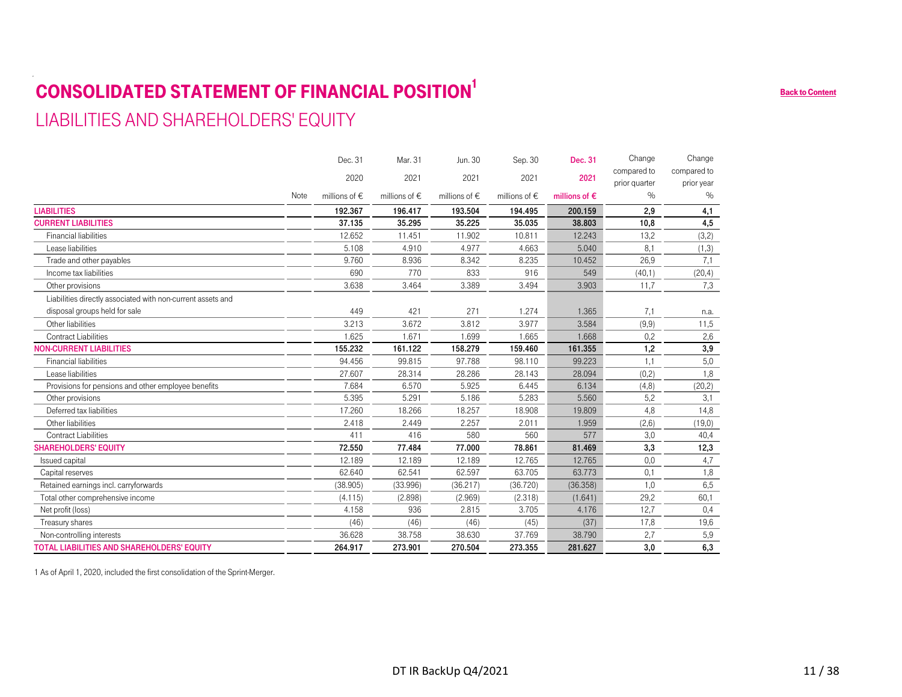# CONSOLIDATED STATEMENT OF FINANCIAL POSITION<sup>1</sup> LIABILITIES AND SHAREHOLDERS' EQUITY

#### NoteDec. 312020millions of €Mar. 312021millions of €Jun. 302021millions of €Sep. 30 2021millions of €Dec. 312021millions of €Change compared to prior quarter  $\%$ Change compared to prior year  $\frac{1}{2}$ LIABILITIES 192.367 196.417 193.504 194.495 200.159 2,9 4,1 CURRENT LIABILITIES 37.135 35.295 35.225 35.035 38.803 10,8 4,5 Financial liabilities 12.652 11.451 11.902 10.811 12.243 13,2 (3,2) Lease liabilities 5.108 4.910 4.977 4.663 5.040 $\overline{6.040}$   $\overline{8.1}$   $(1,3)$ Trade and other payables 26,9 Income tax liabilities 690 770 833 916 549 (40,1) (20,4) Other provisions 3.638 3.464 3.389 3.494 3.903 11,7 7,3 Liabilities directly associated with non-current assets and disposal groups held for sale 4.49 449 421 271 1.274 1.365 7,1 n.a. Other liabilities 3.213 3.672 3.812 3.977 3.584 (9,9) 11,5 Contract Liabilities 1.625 1.671 1.699 1.665 1.668 0,2 2,6 NON-CURRENT LIABILITIES 155.232 161.122 158.279 159.460 161.355 1,2 3,9 Financial liabilities 94.456 99.815 97.788 98.110 99.22399.223 1,1 5,0 Lease liabilities 27.607 28.314 28.286 28.143 28.094 (0,2) 1,8 Provisions for pensions and other employee benefits  $\begin{array}{cccc} 7.684 & 6.570 & 5.925 & 6.445 & 6.134 \end{array}$  (4,8) (20,2) Other provisions 5.395 5.291 5.283 5.560 5,2 3,1 Deferred tax liabilities 17.260 18.266 18.257 18.908 19.80919.809 4,8 14,8 Other liabilities 2.418 2.449 2.257 2.011 1.959 (2,6) (19,0) Contract Liabilities5 بال سابق التي تم ين التي تقويت التي تقويت التي تقويت التي تقويت التي تقويت التي تقويت التي تقويت التي تقويت <br>التي تقويت التي تقويت التي تقويت التي تقويت التي تقويت التي تقويت التي تقويت التي تقويت التي تقويت التي تقويت 3,0 40,4 SHAREHOLDERS' EQUITY 72.550 77.484 77.000 78.861 81.469 3,3 12,3 lssued capital 12.189 12.189 12.189 12.765 12.765 0,0 4,7 Capital reserves 62.640 62.541 62.597 63.705 63.773 0,1 1,8 Retained earnings incl. carryforwards **Carry 1,0** 6,5 (38.905) (38.905) (38.996) (36.217) (36.720) (36.358) 1,0 6,5 Total other comprehensive income  $(4.115)$   $(2.898)$   $(2.969)$   $(2.318)$   $(1.641)$   $29.2$  60,1 Net profit (loss) 4.158 936 2.815 3.705 4.176 12,7 0,4 Treasury shares (46) (46) (46) (45) (37) 17,8 19,6 Non-controlling interests and the state of the state 36.628 38.758 38.630 37.769 38.790 2,7 5,9 TOTAL LIABILITIES AND SHAREHOLDERS' EQUITY 264.917 273.901 270.504 273.355 281.627 3,0 6,3 **SSITION**<br>
21 *Jun.* 30 Sep 30 Dec. 31 Change Change<br>
21 2021 2021 2021 contents incremented incrementation<br>
21 2021 2022 36.60 Back of Contents incrementation<br>
21 11 12 22 36.60 [Back to Content](#page-1-0)s incrementation<br>
21 12 22

1 As of April 1, 2020, included the first consolidation of the Sprint-Merger.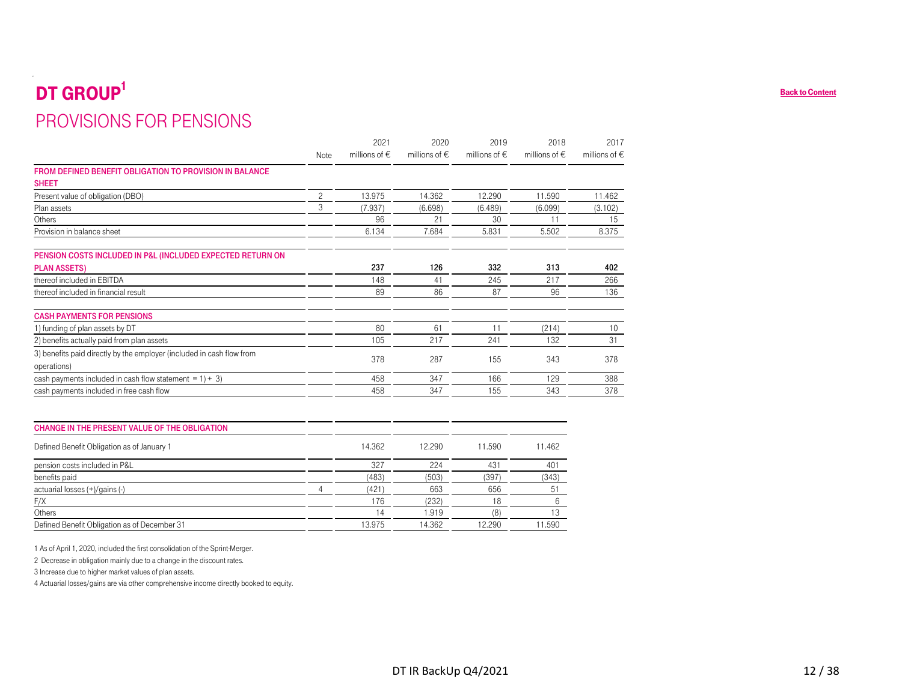# <span id="page-11-0"></span>DT GROUP<sup>1</sup> PROVISIONS FOR PENSIONS

| PROVISIONS FOR PENSIONS                                                                                                          |                |                   |                      |                        |                   |                   |
|----------------------------------------------------------------------------------------------------------------------------------|----------------|-------------------|----------------------|------------------------|-------------------|-------------------|
|                                                                                                                                  |                | 2021              | 2020                 | 2019                   | 2018              | 2017              |
|                                                                                                                                  | Note           | millions of $\in$ | millions of $\in$    | millions of $\epsilon$ | millions of $\in$ | millions of $\in$ |
| FROM DEFINED BENEFIT OBLIGATION TO PROVISION IN BALANCE                                                                          |                |                   |                      |                        |                   |                   |
| <b>SHEET</b><br>Present value of obligation (DBO)                                                                                | $\overline{c}$ | 13.975            | 14.362               | 12.290                 | 11.590            | 11.462            |
| Plan assets                                                                                                                      | 3              | (7.937)           | (6.698)              | (6.489)                | (6.099)           | (3.102)           |
| Others                                                                                                                           |                | 96                | 21                   | 30                     | 11                | 15                |
| Provision in balance sheet                                                                                                       |                | 6.134             | 7.684                | 5.831                  | 5.502             | 8.375             |
|                                                                                                                                  |                |                   |                      |                        |                   |                   |
| PENSION COSTS INCLUDED IN P&L (INCLUDED EXPECTED RETURN ON                                                                       |                |                   |                      |                        |                   |                   |
| <b>PLAN ASSETS)</b>                                                                                                              |                | 237               | 126                  | 332                    | 313               | 402               |
| thereof included in EBITDA                                                                                                       |                | 148               | 41                   | 245                    | 217               | 266               |
| thereof included in financial result                                                                                             |                | 89                | 86                   | 87                     | 96                | 136               |
|                                                                                                                                  |                |                   |                      |                        |                   |                   |
| <b>CASH PAYMENTS FOR PENSIONS</b>                                                                                                |                |                   |                      |                        |                   |                   |
| 1) funding of plan assets by DT                                                                                                  |                | 80                | 61                   | 11                     | (214)             | 10                |
| 2) benefits actually paid from plan assets                                                                                       |                | 105               | 217                  | 241                    | 132               | 31                |
| 3) benefits paid directly by the employer (included in cash flow from                                                            |                | 378               | 287                  | 155                    | 343               | 378               |
| operations)                                                                                                                      |                |                   |                      |                        |                   |                   |
| cash payments included in cash flow statement = $1 + 3$ )<br>cash payments included in free cash flow                            |                | 458<br>458        | 347<br>347           | 166<br>155             | 129<br>343        | 388<br>378        |
|                                                                                                                                  |                |                   |                      |                        |                   |                   |
|                                                                                                                                  |                |                   |                      |                        |                   |                   |
| CHANGE IN THE PRESENT VALUE OF THE OBLIGATION                                                                                    |                |                   |                      |                        |                   |                   |
|                                                                                                                                  |                |                   |                      |                        |                   |                   |
| Defined Benefit Obligation as of January 1                                                                                       |                | 14.362            | 12.290               | 11.590                 | 11.462            |                   |
| pension costs included in P&L                                                                                                    |                | 327               | 224                  | 431                    | 401               |                   |
| benefits paid                                                                                                                    |                | (483)             | (503)                | (397)                  | (343)             |                   |
| actuarial losses (+)/gains (-)                                                                                                   | 4              | (421)             | 663                  | 656                    | 51                |                   |
| F/X                                                                                                                              |                | 176               | (232)                | 18                     | $6\,$             |                   |
| Others                                                                                                                           |                | 14                | 1.919                | (8)                    | 13                |                   |
| Defined Benefit Obligation as of December 31                                                                                     |                | 13.975            | 14.362               | 12.290                 | 11.590            |                   |
|                                                                                                                                  |                |                   |                      |                        |                   |                   |
| 1 As of April 1, 2020, included the first consolidation of the Sprint-Merger.                                                    |                |                   |                      |                        |                   |                   |
| 2 Decrease in obligation mainly due to a change in the discount rates.<br>3 Increase due to higher market values of plan assets. |                |                   |                      |                        |                   |                   |
| 4 Actuarial losses/gains are via other comprehensive income directly booked to equity.                                           |                |                   |                      |                        |                   |                   |
|                                                                                                                                  |                |                   |                      |                        |                   |                   |
|                                                                                                                                  |                |                   |                      |                        |                   |                   |
|                                                                                                                                  |                |                   |                      |                        |                   |                   |
|                                                                                                                                  |                |                   |                      |                        |                   |                   |
|                                                                                                                                  |                |                   |                      |                        |                   |                   |
|                                                                                                                                  |                |                   |                      |                        |                   |                   |
|                                                                                                                                  |                |                   |                      |                        |                   |                   |
|                                                                                                                                  |                |                   | DT IR BackUp Q4/2021 |                        |                   |                   |

| <b>CHANGE IN THE PRESENT VALUE OF THE OBLIGATION</b> |        |        |        |        |
|------------------------------------------------------|--------|--------|--------|--------|
| Defined Benefit Obligation as of January 1           | 14.362 | 12.290 | 11.590 | 11.462 |
| pension costs included in P&L                        | 327    | 224    | 431    | 401    |
| benefits paid                                        | (483)  | (503)  | (397)  | (343)  |
| actuarial losses (+)/gains (-)                       | (421)  | 663    | 656    | 51     |
| F/X                                                  | 176    | (232)  |        |        |
| Others                                               | 14     | 1.919  | 18.    |        |
| Defined Benefit Obligation as of December 31         | 13.975 | 14.362 | 12.290 | 11.590 |
|                                                      |        |        |        |        |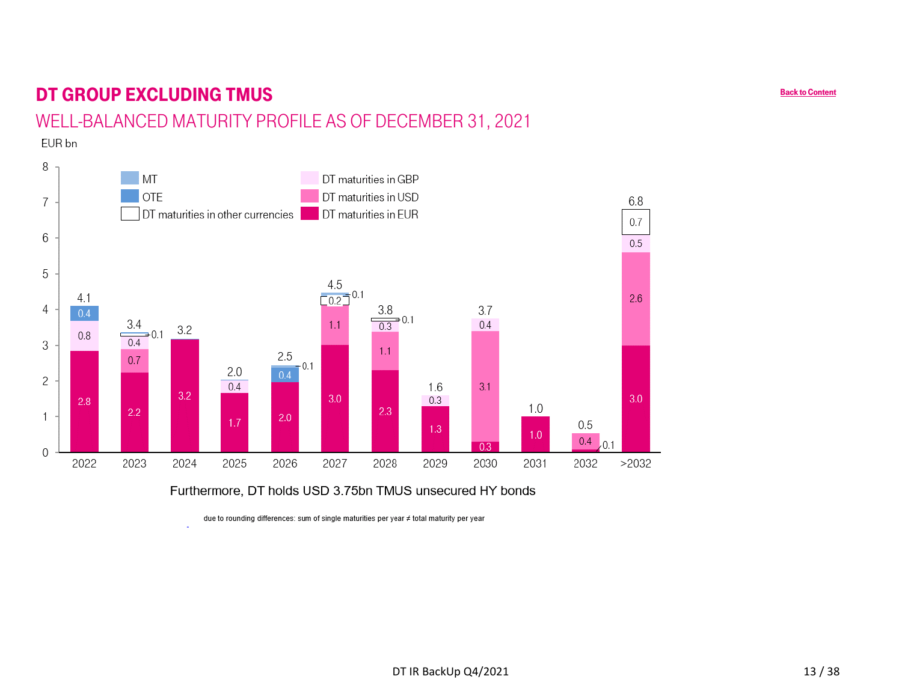# <span id="page-12-0"></span>DT GROUP EXCLUDING TMUS

## WELL-BALANCED MATURITY PROFILE AS OF DECEMBER 31, 2021

EUR bn



Furthermore, DT holds USD 3.75bn TMUS unsecured HY bonds

due to rounding differences: sum of single maturities per year # total maturity per year

[Back to Content](#page-1-0)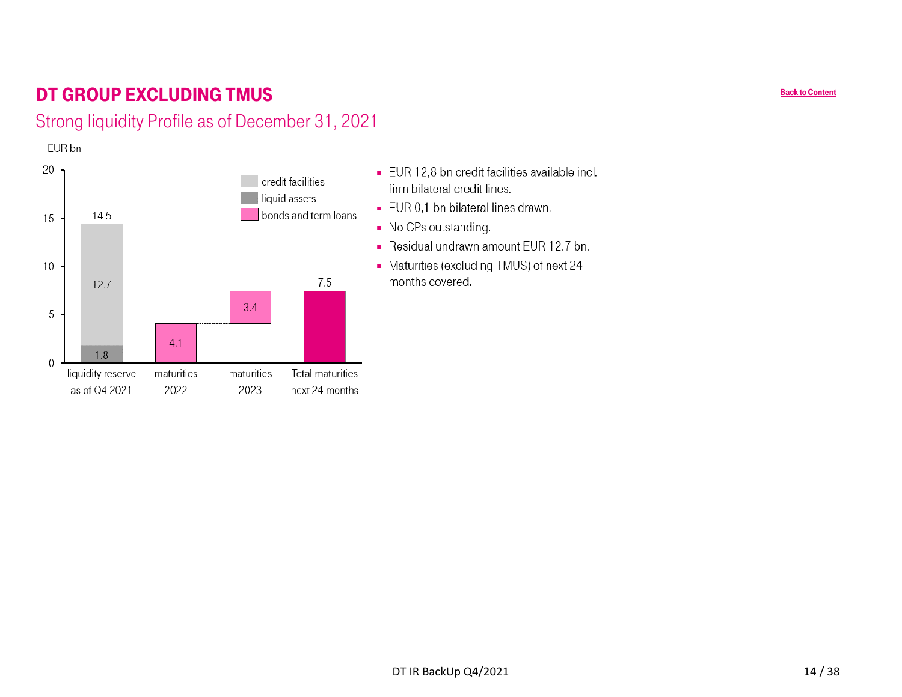# <span id="page-13-0"></span>DT GROUP EXCLUDING TMUS

## Strong liquidity Profile as of December 31, 2021

EUR bn



- EUR 12,8 bn credit facilities available incl. firm bilateral credit lines.
- EUR 0,1 bn bilateral lines drawn.
- No CPs outstanding.
- Residual undrawn amount EUR 12.7 bn.
- Maturities (excluding TMUS) of next 24 months covered.

[Back to Content](#page-1-0)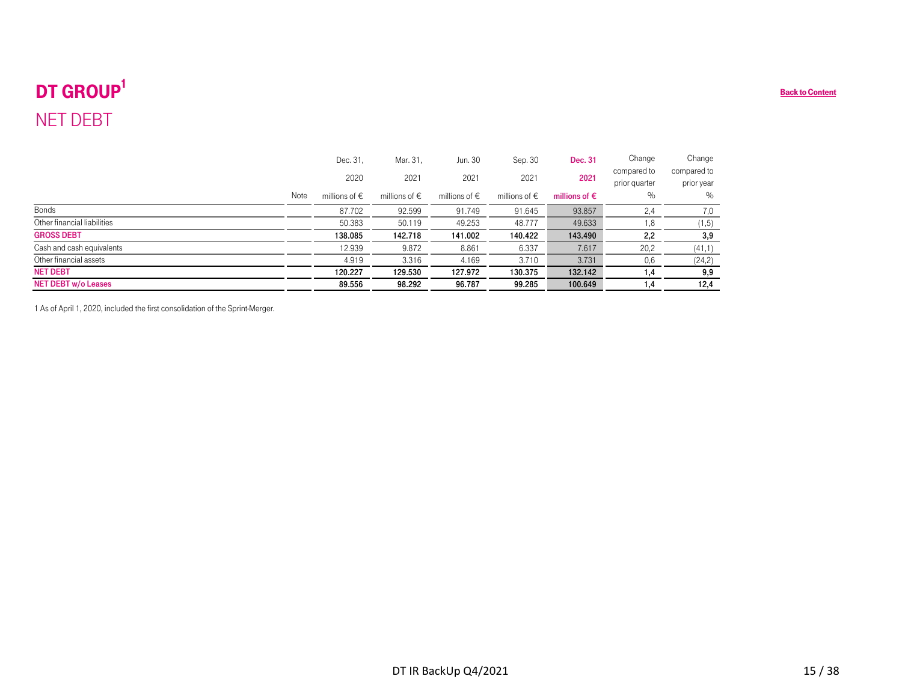# <span id="page-14-0"></span>DT GROUP<sup>1</sup> NET DEBT

| DT GROUP <sup>1</sup>       |      |                   |                   |                      |                   |                        |                              |                           | <b>Back to Content</b> |
|-----------------------------|------|-------------------|-------------------|----------------------|-------------------|------------------------|------------------------------|---------------------------|------------------------|
| <b>NET DEBT</b>             |      |                   |                   |                      |                   |                        |                              |                           |                        |
|                             |      | Dec. 31,          | Mar. 31,          | Jun. 30              | Sep. 30           | Dec. 31                | Change                       | Change                    |                        |
|                             |      | 2020              | 2021              | 2021                 | 2021              | 2021                   | compared to<br>prior quarter | compared to<br>prior year |                        |
|                             | Note | millions of $\in$ | millions of $\in$ | millions of $\in$    | millions of $\in$ | millions of $\epsilon$ | $\%$                         | $\%$                      |                        |
| Bonds                       |      | 87.702            | 92.599            | 91.749               | 91.645            | 93.857                 | 2,4                          | 7,0                       |                        |
| Other financial liabilities |      | 50.383            | 50.119            | 49.253               | 48.777            | 49.633                 | 1,8                          | (1, 5)                    |                        |
| <b>GROSS DEBT</b>           |      | 138.085           | 142.718           | 141.002              | 140.422           | 143.490                | 2,2                          | 3,9                       |                        |
| Cash and cash equivalents   |      | 12.939            | 9.872             | 8.861                | 6.337             | 7.617                  | 20,2                         | (41,1)                    |                        |
| Other financial assets      |      | 4.919             | 3.316             | 4.169                | 3.710             | 3.731                  | 0,6                          | (24,2)                    |                        |
| <b>NET DEBT</b>             |      | 120.227           | 129.530           | 127.972              | 130.375           | 132.142                | 1,4                          | 9,9                       |                        |
| <b>NET DEBT w/o Leases</b>  |      | 89.556            | 98.292            | 96.787               | 99.285            | 100.649                | 1,4                          | 12,4                      |                        |
|                             |      |                   |                   |                      |                   |                        |                              |                           |                        |
|                             |      |                   |                   | DT IR BackUp Q4/2021 |                   |                        |                              |                           | 15/38                  |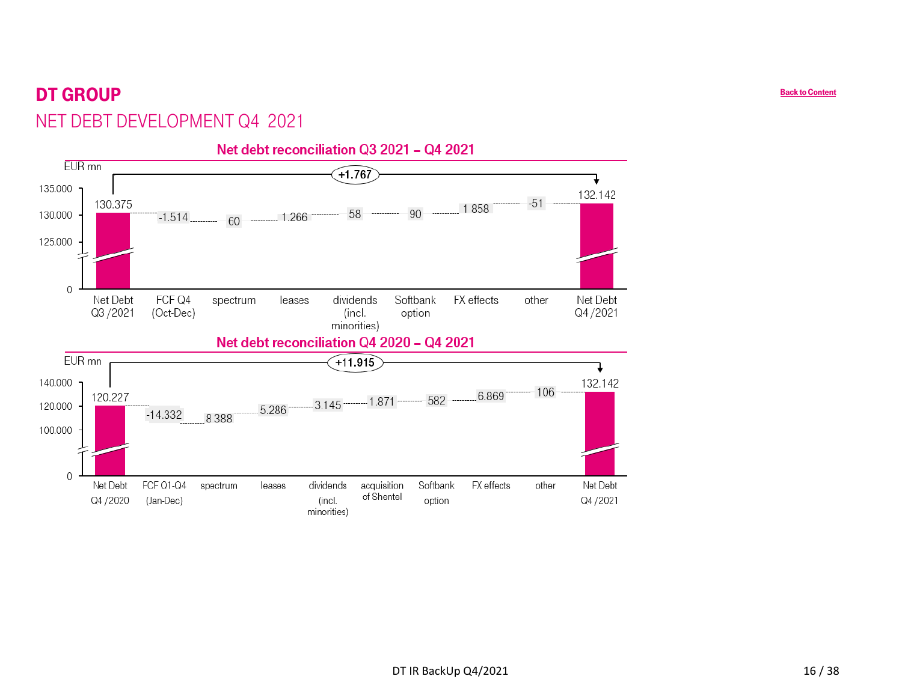# <span id="page-15-0"></span>DT GROUPNET DEBT DEVELOPMENT Q4 2021

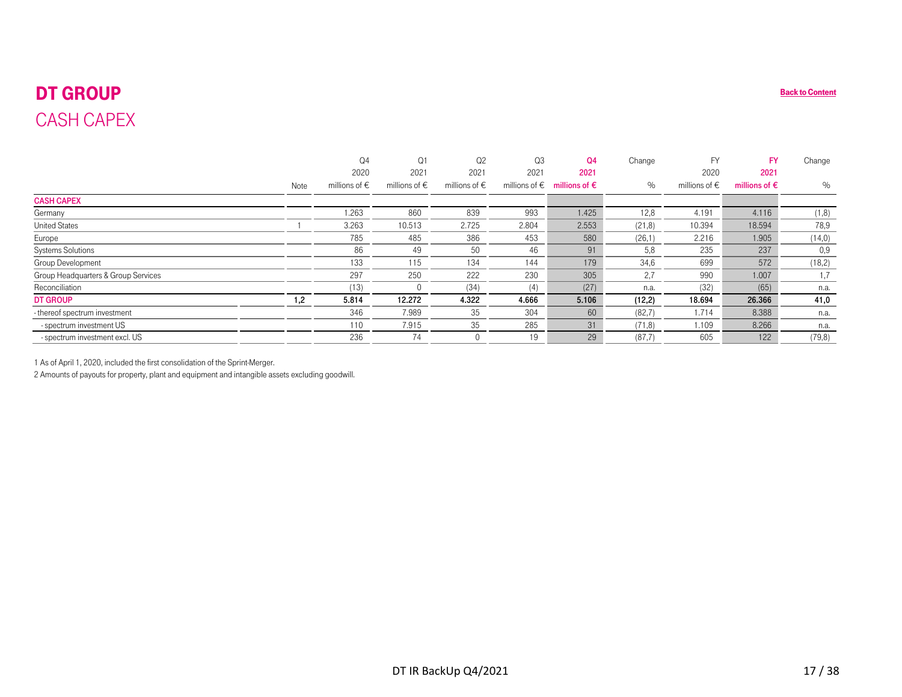# DT GROUPCASH CAPEX

<span id="page-16-0"></span>

| <b>DT GROUP</b>                                                                                  |      |                        |                        |                        |                        |                        |         |                        |                        | <b>Back to Content</b> |
|--------------------------------------------------------------------------------------------------|------|------------------------|------------------------|------------------------|------------------------|------------------------|---------|------------------------|------------------------|------------------------|
| <b>CASH CAPEX</b>                                                                                |      |                        |                        |                        |                        |                        |         |                        |                        |                        |
|                                                                                                  |      |                        |                        |                        |                        |                        |         |                        |                        |                        |
|                                                                                                  |      | Q <sub>4</sub>         | Q <sub>1</sub>         | Q <sub>2</sub>         | Q <sub>3</sub>         | Q <sub>4</sub>         | Change  | <b>FY</b>              | <b>FY</b>              | Change                 |
|                                                                                                  |      | 2020                   | 2021                   | 2021                   | 2021                   | 2021                   |         | 2020                   | 2021                   |                        |
|                                                                                                  | Note | millions of $\epsilon$ | millions of $\epsilon$ | millions of $\epsilon$ | millions of $\epsilon$ | millions of $\epsilon$ | $\%$    | millions of $\epsilon$ | millions of $\epsilon$ | $\%$                   |
| <b>CASH CAPEX</b>                                                                                |      |                        |                        |                        |                        |                        |         |                        |                        |                        |
| Germany                                                                                          |      | 1.263                  | 860                    | 839                    | 993                    | 1.425                  | 12,8    | 4.191                  | 4.116                  | (1,8)                  |
| <b>United States</b>                                                                             |      | 3.263                  | 10.513                 | 2.725                  | 2.804                  | 2.553                  | (21, 8) | 10.394                 | 18.594                 | 78,9                   |
| Europe                                                                                           |      | 785                    | 485                    | 386                    | 453                    | 580                    | (26,1)  | 2.216                  | 1.905                  | (14,0)                 |
| Systems Solutions                                                                                |      | 86                     | 49                     | 50                     | 46                     | 91                     | 5,8     | 235                    | 237                    | 0,9                    |
| Group Development                                                                                |      | 133                    | 115                    | 134                    | 144                    | 179                    | 34,6    | 699                    | 572                    | (18,2)                 |
| Group Headquarters & Group Services                                                              |      | 297                    | 250                    | 222                    | 230                    | 305                    | 2,7     | 990                    | 1.007                  | 1,7                    |
| Reconciliation                                                                                   |      | (13)                   | 0                      | (34)                   | (4)                    | (27)                   | n.a.    | (32)                   | (65)                   | n.a.                   |
| <b>DT GROUP</b>                                                                                  | 1,2  | 5.814                  | 12.272                 | 4.322                  | 4.666                  | 5.106                  | (12,2)  | 18.694                 | 26.366                 | 41,0                   |
| - thereof spectrum investment                                                                    |      | 346                    | 7.989                  | 35                     | 304                    | 60                     | (82,7)  | 1.714                  | 8.388                  | n.a.                   |
| - spectrum investment US                                                                         |      | 110                    | 7.915                  | 35                     | 285                    | 31                     | (71, 8) | 1.109                  | 8.266                  | n.a.                   |
| - spectrum investment excl. US                                                                   |      | 236                    | 74                     | $\mathbf{0}$           | 19                     | 29                     | (87,7)  | 605                    | 122                    | (79, 8)                |
|                                                                                                  |      |                        |                        |                        |                        |                        |         |                        |                        |                        |
| 1 As of April 1, 2020, included the first consolidation of the Sprint-Merger.                    |      |                        |                        |                        |                        |                        |         |                        |                        |                        |
| 2 Amounts of payouts for property, plant and equipment and intangible assets excluding goodwill. |      |                        |                        |                        |                        |                        |         |                        |                        |                        |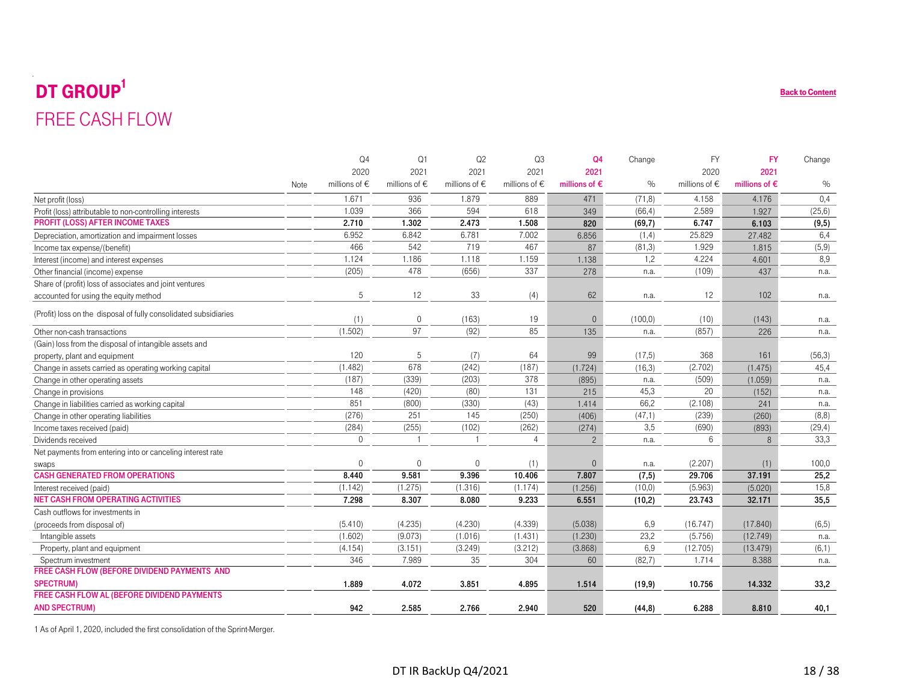# <span id="page-17-0"></span> $\mathbf{DT}$   $\mathbf{GROUP}^1$ FREE CASH FLOW

| <b>DT GROUP</b>                                                               |      |                        |                   |                        |                   |                        |          |                        |                        | <b>Back to Content</b> |
|-------------------------------------------------------------------------------|------|------------------------|-------------------|------------------------|-------------------|------------------------|----------|------------------------|------------------------|------------------------|
| <b>FREE CASH FLOW</b>                                                         |      |                        |                   |                        |                   |                        |          |                        |                        |                        |
|                                                                               |      |                        |                   |                        |                   |                        |          |                        |                        |                        |
|                                                                               |      | Q <sub>4</sub>         | Q1                | Q <sub>2</sub>         | Q3                | Q <sub>4</sub>         | Change   | <b>FY</b>              | <b>FY</b>              | Change                 |
|                                                                               |      | 2020                   | 2021              | 2021                   | 2021              | 2021                   |          | 2020                   | 2021                   |                        |
|                                                                               | Note | millions of $\epsilon$ | millions of $\in$ | millions of $\epsilon$ | millions of $\in$ | millions of $\epsilon$ | $\%$     | millions of $\epsilon$ | millions of $\epsilon$ | $\%$                   |
| Net profit (loss)                                                             |      | 1.671                  | 936               | 1.879                  | 889               | 471                    | (71, 8)  | 4.158                  | 4.176                  | 0,4                    |
| Profit (loss) attributable to non-controlling interests                       |      | 1.039                  | 366               | 594                    | 618               | 349                    | (66, 4)  | 2.589                  | 1.927                  | (25, 6)                |
| <b>PROFIT (LOSS) AFTER INCOME TAXES</b>                                       |      | 2.710                  | 1.302             | 2.473                  | 1.508             | 820                    | (69,7)   | 6.747                  | 6.103                  | (9, 5)                 |
| Depreciation, amortization and impairment losses                              |      | 6.952                  | 6.842             | 6.781                  | 7.002             | 6.856                  | (1,4)    | 25.829                 | 27.482                 | 6,4                    |
| Income tax expense/(benefit)                                                  |      | 466                    | 542               | 719                    | 467               | 87                     | (81, 3)  | 1.929                  | 1.815                  | (5,9)                  |
| Interest (income) and interest expenses                                       |      | 1.124                  | 1.186             | 1.118                  | 1.159             | 1.138                  | 1,2      | 4.224                  | 4.601                  | 8,9                    |
| Other financial (income) expense                                              |      | (205)                  | 478               | (656)                  | 337               | 278                    | n.a.     | (109)                  | 437                    | n.a.                   |
| Share of (profit) loss of associates and joint ventures                       |      |                        |                   |                        |                   |                        |          |                        |                        |                        |
| accounted for using the equity method                                         |      | 5                      | 12                | 33                     | (4)               | 62                     | n.a.     | 12                     | 102                    | n.a.                   |
| (Profit) loss on the disposal of fully consolidated subsidiaries              |      | (1)                    | $\mathbf{0}$      | (163)                  | 19                | $\overline{0}$         | (100, 0) | (10)                   | (143)                  | n.a.                   |
| Other non-cash transactions                                                   |      | (1.502)                | 97                | (92)                   | 85                | 135                    | n.a.     | (857)                  | 226                    | n.a.                   |
| (Gain) loss from the disposal of intangible assets and                        |      |                        |                   |                        |                   |                        |          |                        |                        |                        |
| property, plant and equipment                                                 |      | 120                    | 5                 | (7)                    | 64                | 99                     | (17,5)   | 368                    | 161                    | (56,3)                 |
| Change in assets carried as operating working capital                         |      | (1.482)                | 678               | (242)                  | (187)             | (1.724)                | (16,3)   | (2.702)                | (1.475)                | 45,4                   |
| Change in other operating assets                                              |      | (187)                  | (339)             | (203)                  | 378               | (895)                  | n.a.     | (509)                  | (1.059)                | n.a.                   |
| Change in provisions                                                          |      | 148                    | (420)             | (80)                   | 131               | 215                    | 45,3     | 20                     | (152)                  | n.a.                   |
| Change in liabilities carried as working capital                              |      | 851                    | (800)             | (330)                  | (43)              | 1.414                  | 66,2     | (2.108)                | 241                    | n.a.                   |
| Change in other operating liabilities                                         |      | (276)                  | 251               | 145                    | (250)             | (406)                  | (47,1)   | (239)                  | (260)                  | (8,8)                  |
| Income taxes received (paid)                                                  |      | (284)                  | (255)             | (102)                  | (262)             | (274)                  | 3,5      | (690)                  | (893)                  | (29, 4)                |
| Dividends received                                                            |      | $\Omega$               | $\overline{1}$    | $\overline{1}$         | $\overline{4}$    | $\overline{c}$         | n.a.     | 6                      | 8                      | 33.3                   |
| Net payments from entering into or canceling interest rate                    |      |                        |                   |                        |                   |                        |          |                        |                        |                        |
| swaps                                                                         |      | $\Omega$               | $\Omega$          | $\Omega$               | (1)               | $\mathbf 0$            | n.a.     | (2.207)                | (1)                    | 100,0                  |
| <b>CASH GENERATED FROM OPERATIONS</b>                                         |      | 8.440                  | 9.581             | 9.396                  | 10.406            | 7.807                  | (7, 5)   | 29.706                 | 37.191                 | 25,2                   |
| Interest received (paid)                                                      |      | (1.142)                | (1.275)           | (1.316)                | (1.174)           | (1.256)                | (10, 0)  | (5.963)                | (5.020)                | 15,8                   |
| <b>NET CASH FROM OPERATING ACTIVITIES</b>                                     |      | 7.298                  | 8.307             | 8.080                  | 9.233             | 6.551                  | (10,2)   | 23.743                 | 32.171                 | 35,5                   |
| Cash outflows for investments in                                              |      |                        |                   |                        |                   |                        |          |                        |                        |                        |
| (proceeds from disposal of)                                                   |      | (5.410)                | (4.235)           | (4.230)                | (4.339)           | (5.038)                | 6,9      | (16.747)               | (17.840)               | (6, 5)                 |
| Intangible assets                                                             |      | (1.602)                | (9.073)           | (1.016)                | (1.431)           | (1.230)                | 23,2     | (5.756)                | (12.749)               | n.a.                   |
| Property, plant and equipment                                                 |      | (4.154)                | (3.151)           | (3.249)                | (3.212)           | (3.868)                | 6,9      | (12.705)               | (13.479)               | (6,1)                  |
| Spectrum investment                                                           |      | 346                    | 7.989             | 35                     | 304               | 60                     | (82, 7)  | 1.714                  | 8.388                  | n.a.                   |
| FREE CASH FLOW (BEFORE DIVIDEND PAYMENTS AND                                  |      |                        |                   |                        |                   |                        |          |                        |                        |                        |
| <b>SPECTRUM)</b>                                                              |      | 1.889                  | 4.072             | 3.851                  | 4.895             | 1.514                  | (19, 9)  | 10.756                 | 14.332                 | 33,2                   |
| FREE CASH FLOW AL (BEFORE DIVIDEND PAYMENTS<br><b>AND SPECTRUM)</b>           |      | 942                    | 2.585             | 2.766                  | 2.940             | 520                    | (44, 8)  | 6.288                  | 8.810                  | 40,1                   |
| 1 As of April 1, 2020, included the first consolidation of the Sprint-Merger. |      |                        |                   |                        |                   |                        |          |                        |                        |                        |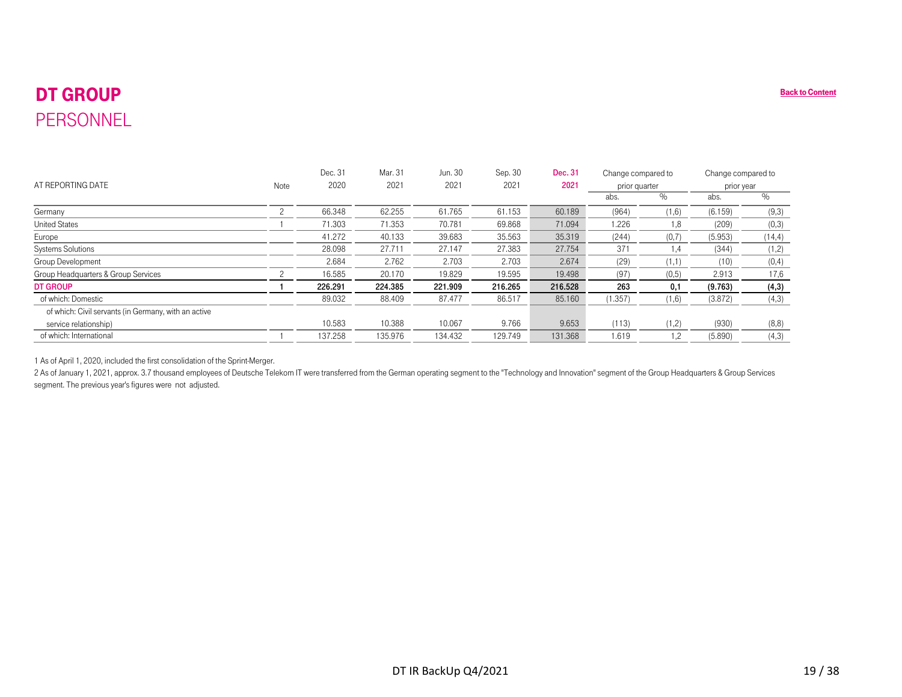# DT GROUP PERSONNEL

<span id="page-18-0"></span>

|                                                                                                                                                                                                                                                                                                                                                                                                |                | Dec. 31 | Mar. 31 | Jun. 30 | Sep. 30 | Dec. 31 | Change compared to |        | Change compared to |         |
|------------------------------------------------------------------------------------------------------------------------------------------------------------------------------------------------------------------------------------------------------------------------------------------------------------------------------------------------------------------------------------------------|----------------|---------|---------|---------|---------|---------|--------------------|--------|--------------------|---------|
| AT REPORTING DATE                                                                                                                                                                                                                                                                                                                                                                              | Note           | 2020    | 2021    | 2021    | 2021    | 2021    | prior quarter      |        | prior year         |         |
|                                                                                                                                                                                                                                                                                                                                                                                                |                |         |         |         |         |         | abs.               | $\%$   | abs.               | $\%$    |
| Germany                                                                                                                                                                                                                                                                                                                                                                                        | $\overline{c}$ | 66.348  | 62.255  | 61.765  | 61.153  | 60.189  | (964)              | (1,6)  | (6.159)            | (9,3)   |
| <b>United States</b>                                                                                                                                                                                                                                                                                                                                                                           | $\mathbf{1}$   | 71.303  | 71.353  | 70.781  | 69.868  | 71.094  | 1.226              | 1,8    | (209)              | (0,3)   |
| Europe                                                                                                                                                                                                                                                                                                                                                                                         |                | 41.272  | 40.133  | 39.683  | 35.563  | 35.319  | (244)              | (0, 7) | (5.953)            | (14, 4) |
| Systems Solutions                                                                                                                                                                                                                                                                                                                                                                              |                | 28.098  | 27.711  | 27.147  | 27.383  | 27.754  | 371                | 1,4    | (344)              | (1,2)   |
| Group Development                                                                                                                                                                                                                                                                                                                                                                              |                | 2.684   | 2.762   | 2.703   | 2.703   | 2.674   | (29)               | (1,1)  | (10)               | (0, 4)  |
| Group Headquarters & Group Services                                                                                                                                                                                                                                                                                                                                                            | $\overline{c}$ | 16.585  | 20.170  | 19.829  | 19.595  | 19.498  | (97)               | (0,5)  | 2.913              | 17,6    |
| <b>DT GROUP</b>                                                                                                                                                                                                                                                                                                                                                                                | $\mathbf{1}$   | 226.291 | 224.385 | 221.909 | 216.265 | 216.528 | 263                | 0,1    | (9.763)            | (4,3)   |
| of which: Domestic                                                                                                                                                                                                                                                                                                                                                                             |                | 89.032  | 88.409  | 87.477  | 86.517  | 85.160  | (1.357)            | (1,6)  | (3.872)            | (4,3)   |
| of which: Civil servants (in Germany, with an active                                                                                                                                                                                                                                                                                                                                           |                |         |         |         |         |         |                    |        |                    |         |
| service relationship)                                                                                                                                                                                                                                                                                                                                                                          |                | 10.583  | 10.388  | 10.067  | 9.766   | 9.653   | (113)              | (1,2)  | (930)              | (8, 8)  |
|                                                                                                                                                                                                                                                                                                                                                                                                | $\overline{1}$ | 137.258 | 135.976 | 134.432 | 129.749 | 131.368 | 1.619              | 1,2    | (5.890)            | (4,3)   |
| of which: International<br>1 As of April 1, 2020, included the first consolidation of the Sprint-Merger.<br>2 As of January 1, 2021, approx. 3.7 thousand employees of Deutsche Telekom IT were transferred from the German operating segment to the "Technology and Innovation" segment of the Group Headquarters & Group Services<br>segment. The previous year's figures were not adjusted. |                |         |         |         |         |         |                    |        |                    |         |
|                                                                                                                                                                                                                                                                                                                                                                                                |                |         |         |         |         |         |                    |        |                    |         |
|                                                                                                                                                                                                                                                                                                                                                                                                |                |         |         |         |         |         |                    |        |                    |         |
|                                                                                                                                                                                                                                                                                                                                                                                                |                |         |         |         |         |         |                    |        |                    |         |
|                                                                                                                                                                                                                                                                                                                                                                                                |                |         |         |         |         |         |                    |        |                    |         |
|                                                                                                                                                                                                                                                                                                                                                                                                |                |         |         |         |         |         |                    |        |                    |         |
|                                                                                                                                                                                                                                                                                                                                                                                                |                |         |         |         |         |         |                    |        |                    |         |
|                                                                                                                                                                                                                                                                                                                                                                                                |                |         |         |         |         |         |                    |        |                    |         |
|                                                                                                                                                                                                                                                                                                                                                                                                |                |         |         |         |         |         |                    |        |                    |         |
|                                                                                                                                                                                                                                                                                                                                                                                                |                |         |         |         |         |         |                    |        |                    |         |
|                                                                                                                                                                                                                                                                                                                                                                                                |                |         |         |         |         |         |                    |        |                    |         |
|                                                                                                                                                                                                                                                                                                                                                                                                |                |         |         |         |         |         |                    |        |                    |         |
|                                                                                                                                                                                                                                                                                                                                                                                                |                |         |         |         |         |         |                    |        |                    |         |
|                                                                                                                                                                                                                                                                                                                                                                                                |                |         |         |         |         |         |                    |        |                    |         |
|                                                                                                                                                                                                                                                                                                                                                                                                |                |         |         |         |         |         |                    |        |                    |         |
|                                                                                                                                                                                                                                                                                                                                                                                                |                |         |         |         |         |         |                    |        |                    |         |
|                                                                                                                                                                                                                                                                                                                                                                                                |                |         |         |         |         |         |                    |        |                    |         |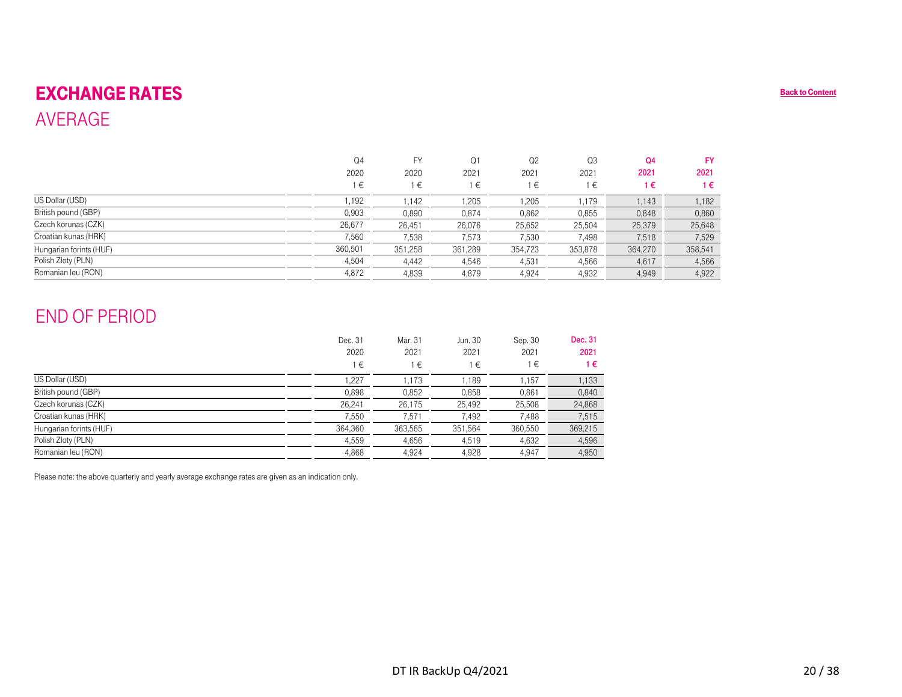## EXCHANGE RATES AVERAGE

<span id="page-19-0"></span>

| <b>EXCHANGE RATES</b>                                                                               |                |                    |                      |                 |                 |                        |                   | <b>Back to Content</b> |
|-----------------------------------------------------------------------------------------------------|----------------|--------------------|----------------------|-----------------|-----------------|------------------------|-------------------|------------------------|
| <b>AVERAGE</b>                                                                                      |                |                    |                      |                 |                 |                        |                   |                        |
|                                                                                                     |                |                    |                      |                 |                 |                        |                   |                        |
|                                                                                                     |                |                    |                      |                 |                 |                        |                   |                        |
|                                                                                                     | Q4<br>2020     | ${\sf FY}$<br>2020 | Q1<br>2021           | Q2<br>2021      | Q3<br>2021      | Q <sub>4</sub><br>2021 | <b>FY</b><br>2021 |                        |
|                                                                                                     | $1 \in$        | $1 \in$            | $1 \in$              | $1\in$          | $1 \in$         | $1 \in$                | $1 \in$           |                        |
| US Dollar (USD)                                                                                     |                |                    |                      |                 |                 |                        |                   |                        |
| British pound (GBP)                                                                                 | 1,192<br>0,903 | 1,142              | 1,205                | 1,205           | 1,179           | 1,143                  | 1,182             |                        |
| Czech korunas (CZK)                                                                                 | 26,677         | 0,890<br>26,451    | 0,874<br>26,076      | 0,862<br>25,652 | 0,855<br>25,504 | 0,848<br>25,379        | 0,860<br>25,648   |                        |
| Croatian kunas (HRK)                                                                                | 7,560          | 7,538              | 7,573                | 7,530           | 7,498           | 7,518                  | 7,529             |                        |
| Hungarian forints (HUF)                                                                             | 360,501        | 351,258            | 361,289              | 354,723         | 353,878         | 364,270                | 358,541           |                        |
| Polish Zloty (PLN)                                                                                  | 4,504          | 4,442              | 4,546                | 4,531           | 4,566           | 4,617                  | 4,566             |                        |
| Romanian leu (RON)                                                                                  | 4,872          | 4,839              | 4,879                | 4,924           | 4,932           | 4,949                  | 4,922             |                        |
|                                                                                                     |                |                    |                      |                 |                 |                        |                   |                        |
| <b>END OF PERIOD</b>                                                                                |                |                    |                      |                 |                 |                        |                   |                        |
|                                                                                                     | Dec. 31        | Mar. 31            | Jun. 30              | Sep. 30         | Dec. 31         |                        |                   |                        |
|                                                                                                     | 2020           | 2021               | 2021                 | 2021            | 2021            |                        |                   |                        |
|                                                                                                     | $1\in$         | $1 \in$            | $1 \in$              | $1\in$          | $1 \in$         |                        |                   |                        |
| US Dollar (USD)                                                                                     | 1,227          | 1,173              | 1,189                | 1,157           | 1,133           |                        |                   |                        |
| British pound (GBP)                                                                                 | 0,898          | 0,852              | 0,858                | 0,861           | 0,840           |                        |                   |                        |
| Czech korunas (CZK)                                                                                 | 26,241         | 26,175             | 25,492               | 25,508          | 24,868          |                        |                   |                        |
| Croatian kunas (HRK)                                                                                | 7,550          | 7,571              | 7,492                | 7,488           | 7,515           |                        |                   |                        |
| Hungarian forints (HUF)                                                                             | 364,360        | 363,565            | 351,564              | 360,550         | 369,215         |                        |                   |                        |
| Polish Zloty (PLN)                                                                                  | 4,559          | 4,656              | 4,519                | 4,632           | 4,596           |                        |                   |                        |
| Romanian leu (RON)                                                                                  | 4,868          | 4,924              | 4,928                | 4,947           | 4,950           |                        |                   |                        |
| Please note: the above quarterly and yearly average exchange rates are given as an indication only. |                |                    |                      |                 |                 |                        |                   |                        |
|                                                                                                     |                |                    | DT IR BackUp Q4/2021 |                 |                 |                        |                   | 20/38                  |

## END OF PERIOD

|                         | Dec. 31<br>2020<br>1€ | Mar. 31<br>2021<br>€ | Jun. 30<br>2021<br>1€ | Sep. 30<br>2021<br>1€ | Dec. 31<br>2021<br>1€ |
|-------------------------|-----------------------|----------------------|-----------------------|-----------------------|-----------------------|
| US Dollar (USD)         | 1,227                 | 1,173                | 1.189                 | 1,157                 | 1,133                 |
| British pound (GBP)     | 0,898                 | 0,852                | 0,858                 | 0,861                 | 0,840                 |
| Czech korunas (CZK)     | 26,241                | 26,175               | 25,492                | 25,508                | 24,868                |
| Croatian kunas (HRK)    | 7,550                 | 7,571                | 7,492                 | 7,488                 | 7,515                 |
| Hungarian forints (HUF) | 364,360               | 363,565              | 351,564               | 360,550               | 369,215               |
| Polish Zloty (PLN)      | 4,559                 | 4,656                | 4,519                 | 4,632                 | 4,596                 |
| Romanian leu (RON)      | 4,868                 | 4,924                | 4,928                 | 4,947                 | 4,950                 |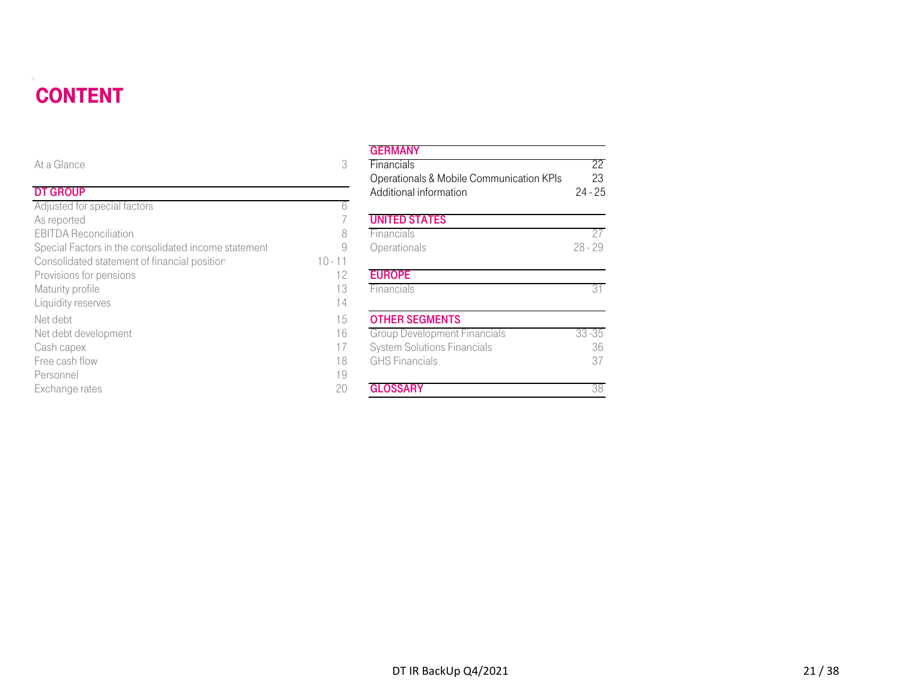# CONTENT

| <b>CONTENT</b>                                       |           |                                                                    |                 |
|------------------------------------------------------|-----------|--------------------------------------------------------------------|-----------------|
| At a Glance                                          | 3         | <b>GERMANY</b><br>Financials                                       | 22              |
| <b>DT GROUP</b>                                      |           | Operationals & Mobile Communication KPIs<br>Additional information | 23<br>$24 - 25$ |
| Adjusted for special factors                         | b         |                                                                    |                 |
| As reported                                          |           | <b>UNITED STATES</b>                                               |                 |
| <b>EBITDA Reconciliation</b>                         | 8         | Financials                                                         | 27              |
| Special Factors in the consolidated income statement | 9         | Operationals                                                       | $28 - 29$       |
| Consolidated statement of financial position         | $10 - 11$ |                                                                    |                 |
| Provisions for pensions                              | 12        | <b>EUROPE</b>                                                      |                 |
| Maturity profile                                     | 13        | Financials                                                         | 31              |
| Liquidity reserves                                   | 14        |                                                                    |                 |
| Net debt                                             | 15        | <b>OTHER SEGMENTS</b>                                              |                 |
| Net debt development                                 | 16        | <b>Group Development Financials</b>                                | $33 - 35$       |
| Cash capex                                           | 17        | <b>System Solutions Financials</b>                                 | 36              |
| Free cash flow                                       | 18        | <b>GHS Financials</b>                                              | 37              |
| Personnel                                            | 19        |                                                                    |                 |
| Exchange rates                                       | 20        | <b>GLOSSARY</b>                                                    | 38              |

#### **GERMANY**

|                                            |           | uliwani                                  |           |
|--------------------------------------------|-----------|------------------------------------------|-----------|
| e                                          | 3         | Financials                               | 22        |
|                                            |           | Operationals & Mobile Communication KPIs | 23        |
| Þ                                          |           | Additional information                   | $24 - 25$ |
| or special factors                         | h         |                                          |           |
| d                                          |           | <b>UNITED STATES</b>                     |           |
| econciliation                              | 8         | Financials                               | 27        |
| ctors in the consolidated income statement | 9         | Operationals                             | $28 - 29$ |
| ted statement of financial position        | $10 - 11$ |                                          |           |
| for pensions                               | 12        | <b>EUROPE</b>                            |           |
| rofile                                     | 13        | Financials                               | 31        |
| eserves                                    | 14        |                                          |           |
|                                            | 15        | <b>OTHER SEGMENTS</b>                    |           |
| levelopment                                | 16        | <b>Group Development Financials</b>      | $33 - 35$ |
| эX                                         | 17        | <b>System Solutions Financials</b>       | 36        |
| flow                                       | 18        | <b>GHS Financials</b>                    | 37        |
|                                            | 19        |                                          |           |
| rates                                      | 20        | <b>GLOSSARY</b>                          | 38        |
|                                            |           |                                          |           |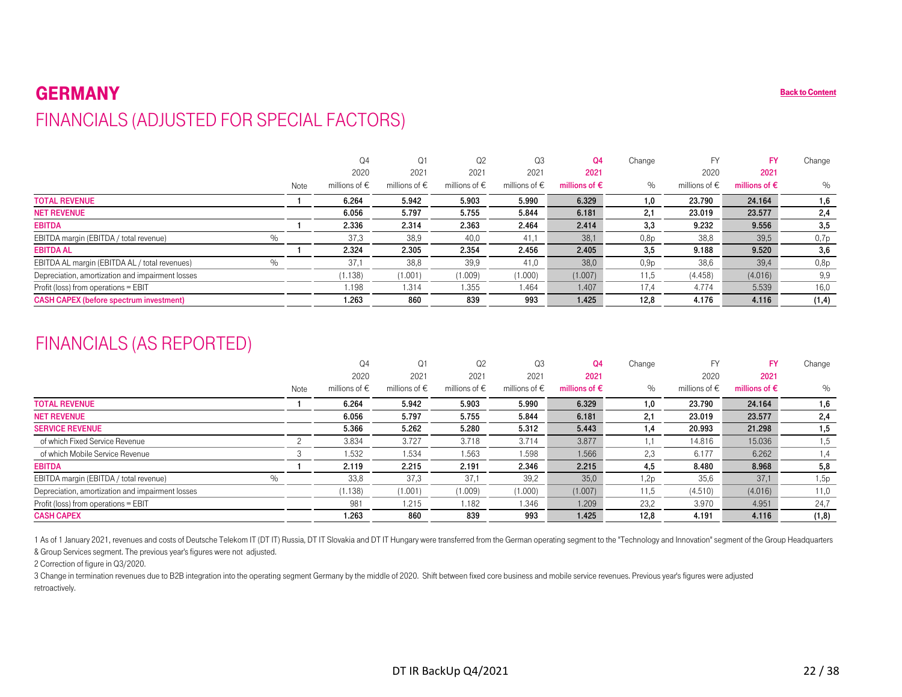#### GERMANY**P** [Back to Content](#page-1-0) FINANCIALS (ADJUSTED FOR SPECIAL FACTORS)

|                                                  |      |      | Q <sub>4</sub><br>2020 | Q1<br>2021             | Q <sub>2</sub><br>2021 | Q3<br>2021             | Q4<br>2021             | Change           | 2020                   | <b>FY</b><br>2021      | Change |
|--------------------------------------------------|------|------|------------------------|------------------------|------------------------|------------------------|------------------------|------------------|------------------------|------------------------|--------|
|                                                  |      | Note | millions of $\epsilon$ | millions of $\epsilon$ | millions of $\epsilon$ | millions of $\epsilon$ | millions of $\epsilon$ | $\%$             | millions of $\epsilon$ | millions of $\epsilon$ | $\%$   |
| <b>TOTAL REVENUE</b>                             |      |      | 6.264                  | 5.942                  | 5.903                  | 5.990                  | 6.329                  | 1,0              | 23.790                 | 24.164                 | 1,6    |
| <b>NET REVENUE</b>                               |      |      | 6.056                  | 5.797                  | 5.755                  | 5.844                  | 6.181                  | 2,1              | 23.019                 | 23.577                 | 2,4    |
| <b>EBITDA</b>                                    |      |      | 2.336                  | 2.314                  | 2.363                  | 2.464                  | 2.414                  | 3,3              | 9.232                  | 9.556                  | 3,5    |
| EBITDA margin (EBITDA / total revenue)           | $\%$ |      | 37,3                   | 38,9                   | 40,0                   | 41,1                   | 38,1                   | 0.8p             | 38,8                   | 39,5                   | 0,7p   |
| <b>EBITDA AL</b>                                 |      |      | 2.324                  | 2.305                  | 2.354                  | 2.456                  | 2.405                  | 3,5              | 9.188                  | 9.520                  | 3,6    |
| EBITDA AL margin (EBITDA AL / total revenues)    | $\%$ |      | 37.1                   | 38,8                   | 39,9                   | 41,0                   | 38,0                   | 0.9 <sub>p</sub> | 38,6                   | 39,4                   | 0,8p   |
| Depreciation, amortization and impairment losses |      |      | (1.138)                | (1.001)                | (1.009)                | (1.000)                | (1.007)                | 11,5             | (4.458)                | (4.016)                | 9,9    |
| Profit (loss) from operations = EBIT             |      |      | 1.198                  | 1.314                  | 1.355                  | 1.464                  | 1.407                  | 17.4             | 4.774                  | 5.539                  | 16,0   |
| <b>CASH CAPEX (before spectrum investment)</b>   |      |      | 1.263                  | 860                    | 839                    | 993                    | 1.425                  | 12,8             | 4.176                  | 4.116                  | (1, 4) |

## FINANCIALS (AS REPORTED)

<span id="page-21-0"></span>

| <b>GERMANY</b>                                                                                                                                                                                                                                                                                            |                |                        |                        |                        |                        |                        |        |                        |                        | <b>Back to Content</b> |
|-----------------------------------------------------------------------------------------------------------------------------------------------------------------------------------------------------------------------------------------------------------------------------------------------------------|----------------|------------------------|------------------------|------------------------|------------------------|------------------------|--------|------------------------|------------------------|------------------------|
| FINANCIALS (ADJUSTED FOR SPECIAL FACTORS)                                                                                                                                                                                                                                                                 |                |                        |                        |                        |                        |                        |        |                        |                        |                        |
|                                                                                                                                                                                                                                                                                                           |                |                        |                        |                        |                        |                        |        |                        |                        |                        |
|                                                                                                                                                                                                                                                                                                           |                | Q <sub>4</sub>         | Q1                     | Q <sub>2</sub>         | Q3                     | Q <sub>4</sub>         | Change | <b>FY</b>              | <b>FY</b>              | Change                 |
|                                                                                                                                                                                                                                                                                                           |                | 2020                   | 2021                   | 2021                   | 2021                   | 2021                   |        | 2020                   | 2021                   |                        |
|                                                                                                                                                                                                                                                                                                           | Note           | millions of $\epsilon$ | millions of $\epsilon$ | millions of $\epsilon$ | millions of $\epsilon$ | millions of $\epsilon$ | $\%$   | millions of $\epsilon$ | millions of $\epsilon$ | $\%$                   |
| <b>TOTAL REVENUE</b>                                                                                                                                                                                                                                                                                      | -1             | 6.264                  | 5.942                  | 5.903                  | 5.990                  | 6.329                  | 1,0    | 23.790                 | 24.164                 | 1,6                    |
| <b>NET REVENUE</b>                                                                                                                                                                                                                                                                                        |                | 6.056                  | 5.797                  | 5.755                  | 5.844                  | 6.181                  | 2,1    | 23.019                 | 23.577                 | 2,4                    |
| <b>EBITDA</b>                                                                                                                                                                                                                                                                                             | -1             | 2.336                  | 2.314                  | 2.363                  | 2.464                  | 2.414                  | 3,3    | 9.232                  | 9.556                  | 3,5                    |
| $\%$<br>EBITDA margin (EBITDA / total revenue)                                                                                                                                                                                                                                                            |                | 37,3                   | 38,9                   | 40.0                   | 41,1                   | 38,1                   | 0,8p   | 38,8                   | 39,5                   | 0,7p                   |
| <b>EBITDA AL</b>                                                                                                                                                                                                                                                                                          | -1             | 2.324                  | 2.305                  | 2.354                  | 2.456                  | 2.405                  | 3,5    | 9.188                  | 9.520                  | 3,6                    |
| $\%$<br>EBITDA AL margin (EBITDA AL / total revenues)                                                                                                                                                                                                                                                     |                | 37,1                   | 38,8                   | 39,9                   | 41,0                   | 38,0                   | 0,9p   | 38,6                   | 39,4                   | 0,8p                   |
| Depreciation, amortization and impairment losses                                                                                                                                                                                                                                                          |                | (1.138)                | (1.001)                | (1.009)                | (1.000)                | (1.007)                | 11,5   | (4.458)                | (4.016)                | 9,9                    |
| Profit (loss) from operations = EBIT                                                                                                                                                                                                                                                                      |                | 1.198                  | 1.314                  | 1.355                  | 1.464                  | 1.407                  | 17,4   | 4.774                  | 5.539                  | 16,0                   |
| <b>CASH CAPEX (before spectrum investment)</b>                                                                                                                                                                                                                                                            |                | 1.263                  | 860                    | 839                    | 993                    | 1.425                  | 12,8   | 4.176                  | 4.116                  | (1, 4)                 |
| <b>FINANCIALS (AS REPORTED)</b>                                                                                                                                                                                                                                                                           |                | Q <sub>4</sub>         | Q1                     | Q2                     | Q3                     | Q <sub>4</sub>         | Change | FY                     | <b>FY</b>              | Change                 |
|                                                                                                                                                                                                                                                                                                           |                | 2020                   | 2021                   | 2021                   | 2021                   | 2021                   |        | 2020                   | 2021                   |                        |
|                                                                                                                                                                                                                                                                                                           | Note           | millions of $\epsilon$ | millions of $\in$      | millions of $\epsilon$ | millions of $\epsilon$ | millions of $\epsilon$ | $\%$   | millions of $\epsilon$ | millions of $\epsilon$ | $\%$                   |
| <b>TOTAL REVENUE</b>                                                                                                                                                                                                                                                                                      | $\mathbf{1}$   | 6.264                  | 5.942                  | 5.903                  | 5.990                  | 6.329                  | 1,0    | 23.790                 | 24.164                 | 1,6                    |
| <b>NET REVENUE</b>                                                                                                                                                                                                                                                                                        |                | 6.056                  | 5.797                  | 5.755                  | 5.844                  | 6.181                  | 2,1    | 23.019                 | 23.577                 | 2,4                    |
| <b>SERVICE REVENUE</b>                                                                                                                                                                                                                                                                                    |                | 5.366                  | 5.262                  | 5.280                  | 5.312                  | 5.443                  | 1,4    | 20.993                 | 21.298                 | 1,5                    |
| of which Fixed Service Revenue                                                                                                                                                                                                                                                                            | 2              | 3.834                  | 3.727                  | 3.718                  | 3.714                  | 3.877                  | 1,1    | 14.816                 | 15.036                 | 1,5                    |
| of which Mobile Service Revenue                                                                                                                                                                                                                                                                           | 3              | 1.532                  | 1.534                  | 1.563                  | 1.598                  | 1.566                  | 2,3    | 6.177                  | 6.262                  | 1,4                    |
| <b>EBITDA</b>                                                                                                                                                                                                                                                                                             | $\overline{1}$ | 2.119                  | 2.215                  | 2.191                  | 2.346                  | 2.215                  | 4,5    | 8.480                  | 8.968                  | 5,8                    |
| $\frac{0}{0}$<br>EBITDA margin (EBITDA / total revenue)                                                                                                                                                                                                                                                   |                | 33,8                   | 37,3                   | 37,1                   | 39,2                   | 35,0                   | 1,2p   | 35,6                   | 37,1                   | 1,5p                   |
| Depreciation, amortization and impairment losses                                                                                                                                                                                                                                                          |                | (1.138)                | (1.001)                | (1.009)                | (1.000)                | (1.007)                | 11,5   | (4.510)                | (4.016)                | 11,0                   |
| Profit (loss) from operations = EBIT                                                                                                                                                                                                                                                                      |                | 981                    | 1.215                  | 1.182                  | 1.346                  | 1.209                  | 23,2   | 3.970                  | 4.951                  | 24,7                   |
| <b>CASH CAPEX</b>                                                                                                                                                                                                                                                                                         |                | 1.263                  | 860                    | 839                    | 993                    | 1.425                  | 12,8   | 4.191                  | 4.116                  | (1,8)                  |
| 1 As of 1 January 2021, revenues and costs of Deutsche Telekom IT (DT IT) Russia, DT IT Slovakia and DT IT Hungary were transferred from the German operating segment to the "Technology and Innovation" segment of the Group<br>& Group Services segment. The previous year's figures were not adjusted. |                |                        |                        |                        |                        |                        |        |                        |                        |                        |

2 Correction of figure in Q3/2020.

3 Change in termination revenues due to B2B integration into the operating segment Germany by the middle of 2020. Shift between fixed core business and mobile service revenues. Previous year's figures were adjusted retroactively.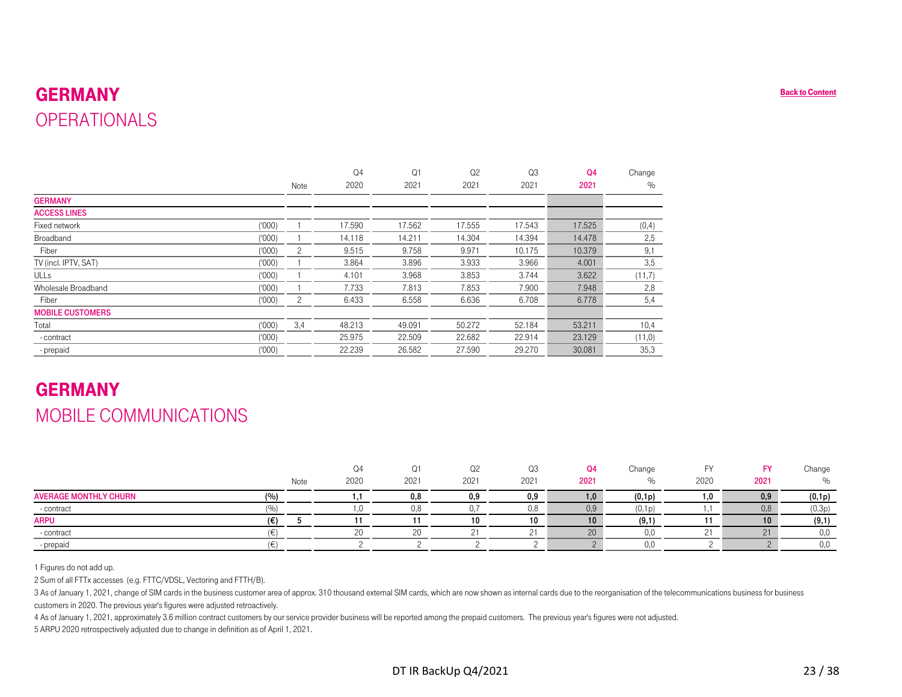#### GERMANY**Sack to Content OPERATIONALS**

<span id="page-22-0"></span>

| <b>GERMANY</b>                                                                                                                                                                                                                                                                                                                                                                 |                |                        |                        |            |                        |                        |             |
|--------------------------------------------------------------------------------------------------------------------------------------------------------------------------------------------------------------------------------------------------------------------------------------------------------------------------------------------------------------------------------|----------------|------------------------|------------------------|------------|------------------------|------------------------|-------------|
| <b>OPERATIONALS</b>                                                                                                                                                                                                                                                                                                                                                            |                |                        |                        |            |                        |                        |             |
|                                                                                                                                                                                                                                                                                                                                                                                |                |                        |                        |            |                        |                        |             |
|                                                                                                                                                                                                                                                                                                                                                                                |                |                        |                        |            |                        |                        |             |
|                                                                                                                                                                                                                                                                                                                                                                                |                | Q <sub>4</sub>         | Q1                     | Q2         | Q <sub>3</sub>         | Q <sub>4</sub>         | Change      |
|                                                                                                                                                                                                                                                                                                                                                                                | Note           | 2020                   | 2021                   | 2021       | 2021                   | 2021                   | $\%$        |
| <b>GERMANY</b>                                                                                                                                                                                                                                                                                                                                                                 |                |                        |                        |            |                        |                        |             |
| <b>ACCESS LINES</b>                                                                                                                                                                                                                                                                                                                                                            |                |                        |                        |            |                        |                        |             |
| (000)<br>Fixed network                                                                                                                                                                                                                                                                                                                                                         | $\mathbf{1}$   | 17.590                 | 17.562                 | 17.555     | 17.543                 | 17.525                 | (0,4)       |
| Broadband<br>(000)                                                                                                                                                                                                                                                                                                                                                             | 1              | 14.118                 | 14.211                 | 14.304     | 14.394                 | 14.478                 | 2,5         |
| Fiber<br>(000)                                                                                                                                                                                                                                                                                                                                                                 | $\overline{c}$ | 9.515                  | 9.758                  | 9.971      | 10.175                 | 10.379                 | 9,1         |
| TV (incl. IPTV, SAT)<br>(000)                                                                                                                                                                                                                                                                                                                                                  | $\mathbf{1}$   | 3.864                  | 3.896                  | 3.933      | 3.966                  | 4.001                  | 3,5         |
| <b>ULLs</b><br>(1000)                                                                                                                                                                                                                                                                                                                                                          | $\mathbf{1}$   | 4.101                  | 3.968                  | 3.853      | 3.744                  | 3.622                  | (11,7)      |
| Wholesale Broadband<br>(1000)                                                                                                                                                                                                                                                                                                                                                  | 1              | 7.733                  | 7.813                  | 7.853      | 7.900                  | 7.948                  | 2,8         |
| (000)<br>Fiber                                                                                                                                                                                                                                                                                                                                                                 | $\overline{c}$ | 6.433                  | 6.558                  | 6.636      | 6.708                  | 6.778                  | 5,4         |
| <b>MOBILE CUSTOMERS</b>                                                                                                                                                                                                                                                                                                                                                        |                |                        |                        |            |                        |                        |             |
| (000)<br>Total                                                                                                                                                                                                                                                                                                                                                                 | 3,4            | 48.213                 | 49.091                 | 50.272     | 52.184                 | 53.211                 | 10,4        |
| (000)<br>- contract                                                                                                                                                                                                                                                                                                                                                            |                | 25.975                 | 22.509                 | 22.682     | 22.914                 | 23.129                 | (11,0)      |
| (000)<br>- prepaid                                                                                                                                                                                                                                                                                                                                                             |                | 22.239                 | 26.582                 | 27.590     | 29.270                 | 30.081                 | 35,3        |
| <b>GERMANY</b><br>MOBILE COMMUNICATIONS                                                                                                                                                                                                                                                                                                                                        |                |                        |                        |            |                        |                        |             |
|                                                                                                                                                                                                                                                                                                                                                                                | Note           | Q <sub>4</sub><br>2020 | Q <sub>1</sub><br>2021 | Q2<br>2021 | Q <sub>3</sub><br>2021 | Q <sub>4</sub><br>2021 | Change<br>% |
| <b>AVERAGE MONTHLY CHURN</b><br>(%)                                                                                                                                                                                                                                                                                                                                            |                | 1,1                    | 0,8                    | 0,9        | 0,9                    | 1,0                    | (0,1p)      |
| (9/6)<br>- contract                                                                                                                                                                                                                                                                                                                                                            |                | 1,0                    | 0,8                    | 0,7        | 0,8                    | 0,9                    | (0,1p)      |
| <b>ARPU</b><br>(€)                                                                                                                                                                                                                                                                                                                                                             | 5              | 11                     | 11                     | 10         | 10                     | 10                     | (9,1)       |
| $(\in)$<br>- contract                                                                                                                                                                                                                                                                                                                                                          |                | $20\,$                 | 20                     | 21         | 21                     | $20\,$                 | 0,0         |
| $(\in)$<br>- prepaid                                                                                                                                                                                                                                                                                                                                                           |                | $\overline{c}$         | $\overline{c}$         | $\sqrt{2}$ | $\sqrt{2}$             | $\overline{2}$         | 0.0         |
| 1 Figures do not add up.<br>2 Sum of all FTTx accesses (e.g. FTTC/VDSL, Vectoring and FTTH/B).<br>3 As of January 1, 2021, change of SIM cards in the business customer area of approx. 310 thousand external SIM cards, which are now shown as internal cards due to the reorganisation of the<br>customers in 2020. The previous year's figures were adjusted retroactively. |                |                        |                        |            |                        |                        |             |

## GERMANYMOBILE COMMUNICATIONS

|                                     |      | Q4     | Q1   |      | Q <sub>3</sub> | Q4       | Change |      | <b>FY</b> | Change |
|-------------------------------------|------|--------|------|------|----------------|----------|--------|------|-----------|--------|
|                                     | Note | 2020   | 2021 | 2021 | 2021           | 2021     |        | 2020 | 2021      | %      |
| <b>AVERAGE MONTHLY CHURN</b><br>(%) |      |        | 0,8  | 0,9  | 0,9            | ,0       | (0,1p) | 1,0  | 0,9       | (0,1p) |
| - contract<br>$\sqrt{O}$            |      |        |      |      | 0,8            | $_{0,9}$ | (0,1p  |      | 0,8       | (0,3p) |
| <b>ARPU</b><br>(€)                  |      |        |      | 10   | 10             | 10       | (9,1)  |      | 10        | (9,1)  |
| - contract                          |      | $\cap$ |      |      |                |          |        |      | $\bigcap$ | 0,0    |
| - prepaid                           |      |        |      |      |                |          |        |      |           | 0,0    |

3 As of January 1, 2021, change of SIM cards in the business customer area of approx. 310 thousand external SIM cards, which are now shown as internal cards due to the reorganisation of the telecommunications business for

4 As of January 1, 2021, approximately 3.6 million contract customers by our service provider business will be reported among the prepaid customers. The previous year's figures were not adjusted.

5 ARPU 2020 retrospectively adjusted due to change in definition as of April 1, 2021.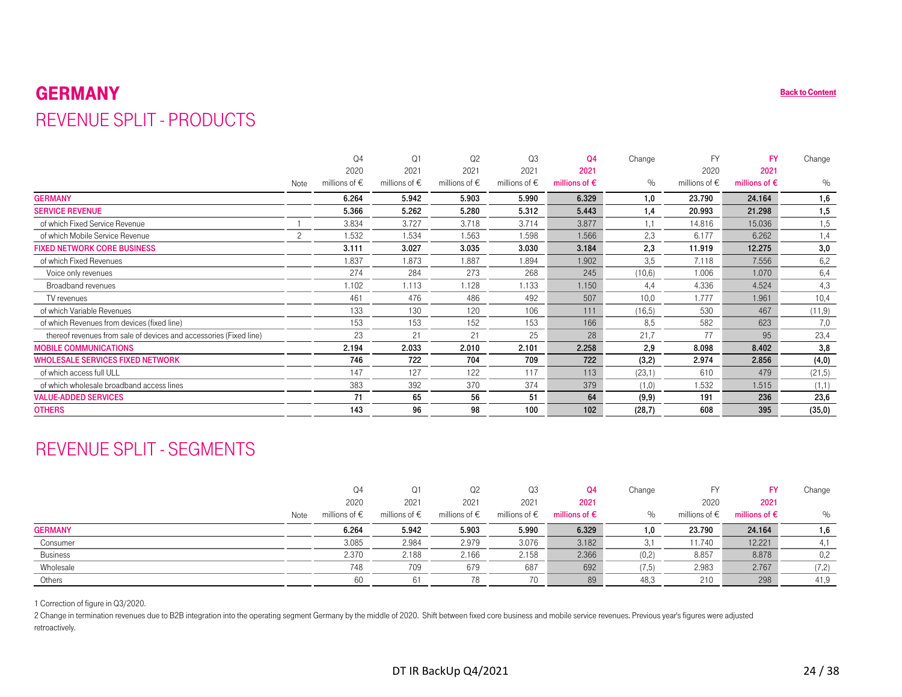#### GERMANY**P** [Back to Content](#page-1-0) REVENUE SPLIT - PRODUCTS

<span id="page-23-0"></span>

| <b>GERMANY</b>                                                                                                                                                                                                                                                                 |                |                        |                        |                        |                        |                        |        |                        |                        | <b>Back to Content</b> |
|--------------------------------------------------------------------------------------------------------------------------------------------------------------------------------------------------------------------------------------------------------------------------------|----------------|------------------------|------------------------|------------------------|------------------------|------------------------|--------|------------------------|------------------------|------------------------|
| <b>REVENUE SPLIT - PRODUCTS</b>                                                                                                                                                                                                                                                |                |                        |                        |                        |                        |                        |        |                        |                        |                        |
|                                                                                                                                                                                                                                                                                |                |                        |                        |                        |                        |                        |        |                        |                        |                        |
|                                                                                                                                                                                                                                                                                |                | Q <sub>4</sub>         | Q1                     | Q <sub>2</sub>         | Q3                     | Q <sub>4</sub>         | Change | <b>FY</b>              | <b>FY</b>              | Change                 |
|                                                                                                                                                                                                                                                                                |                | 2020                   | 2021                   | 2021                   | 2021                   | 2021                   |        | 2020                   | 2021                   |                        |
|                                                                                                                                                                                                                                                                                | Note           | millions of $\epsilon$ | millions of $\epsilon$ | millions of $\epsilon$ | millions of $\epsilon$ | millions of $\epsilon$ | $\%$   | millions of $\epsilon$ | millions of $\epsilon$ | $\%$                   |
| <b>GERMANY</b>                                                                                                                                                                                                                                                                 |                | 6.264                  | 5.942                  | 5.903                  | 5.990                  | 6.329                  | 1,0    | 23.790                 | 24.164                 | 1,6                    |
| <b>SERVICE REVENUE</b>                                                                                                                                                                                                                                                         |                | 5.366                  | 5.262                  | 5.280                  | 5.312                  | 5.443                  | 1,4    | 20.993                 | 21.298                 | 1,5                    |
| of which Fixed Service Revenue                                                                                                                                                                                                                                                 | $\overline{1}$ | 3.834                  | 3.727                  | 3.718                  | 3.714                  | 3.877                  | 1,1    | 14.816                 | 15.036                 | 1,5                    |
| of which Mobile Service Revenue                                                                                                                                                                                                                                                | 2              | 1.532                  | 1.534                  | 1.563                  | 1.598                  | 1.566                  | 2,3    | 6.177                  | 6.262                  | 1,4                    |
| <b>FIXED NETWORK CORE BUSINESS</b>                                                                                                                                                                                                                                             |                | 3.111                  | 3.027                  | 3.035                  | 3.030                  | 3.184                  | 2,3    | 11.919                 | 12.275                 | 3,0                    |
| of which Fixed Revenues                                                                                                                                                                                                                                                        |                | 1.837                  | 1.873                  | 1.887                  | 1.894                  | 1.902                  | 3,5    | 7.118                  | 7.556                  | 6,2                    |
| Voice only revenues                                                                                                                                                                                                                                                            |                | 274                    | 284                    | 273                    | 268                    | 245                    | (10,6) | 1.006                  | 1.070                  | 6,4                    |
| Broadband revenues                                                                                                                                                                                                                                                             |                | 1.102                  | 1.113                  | 1.128                  | 1.133                  | 1.150                  | 4,4    | 4.336                  | 4.524                  | 4,3                    |
| TV revenues                                                                                                                                                                                                                                                                    |                | 461                    | 476                    | 486                    | 492                    | 507                    | 10.0   | 1.777                  | 1.961                  | 10,4                   |
| of which Variable Revenues                                                                                                                                                                                                                                                     |                | 133                    | 130                    | 120                    | 106                    | 111                    | (16,5) | 530                    | 467                    | (11,9)                 |
| of which Revenues from devices (fixed line)                                                                                                                                                                                                                                    |                | 153                    | 153                    | 152                    | 153                    | 166                    | 8,5    | 582                    | 623                    | 7,0                    |
| thereof revenues from sale of devices and accessories (Fixed line)                                                                                                                                                                                                             |                | 23                     | 21                     | 21                     | 25                     | 28                     | 21,7   | 77                     | 95                     | 23,4                   |
| <b>MOBILE COMMUNICATIONS</b>                                                                                                                                                                                                                                                   |                | 2.194                  | 2.033                  | 2.010                  | 2.101                  | 2.258                  | 2,9    | 8.098                  | 8.402                  | 3,8                    |
| <b>WHOLESALE SERVICES FIXED NETWORK</b>                                                                                                                                                                                                                                        |                | 746                    | 722                    | 704                    | 709                    | 722                    | (3,2)  | 2.974                  | 2.856                  | (4, 0)                 |
| of which access full ULL                                                                                                                                                                                                                                                       |                | 147                    | 127                    | 122                    | 117                    | 113                    | (23,1) | 610                    | 479                    | (21,5)                 |
| of which wholesale broadband access lines                                                                                                                                                                                                                                      |                | 383                    | 392                    | 370                    | 374                    | 379                    | (1,0)  | 1.532                  | 1.515                  | (1,1)                  |
| <b>VALUE-ADDED SERVICES</b>                                                                                                                                                                                                                                                    |                | 71                     | 65                     | 56                     | 51                     | 64                     | (9, 9) | 191                    | 236                    | 23,6                   |
| <b>OTHERS</b>                                                                                                                                                                                                                                                                  |                | 143                    | 96                     | 98                     | 100                    | 102                    | (28,7) | 608                    | 395                    | (35,0)                 |
| <b>REVENUE SPLIT - SEGMENTS</b>                                                                                                                                                                                                                                                |                |                        |                        |                        |                        |                        |        |                        |                        |                        |
|                                                                                                                                                                                                                                                                                |                | Q <sub>4</sub>         | Q1                     | Q <sub>2</sub>         | Q3                     | Q <sub>4</sub>         | Change | <b>FY</b>              | <b>FY</b>              | Change                 |
|                                                                                                                                                                                                                                                                                |                | 2020                   | 2021                   | 2021                   | 2021                   | 2021                   |        | 2020                   | 2021                   |                        |
|                                                                                                                                                                                                                                                                                | Note           | millions of $\epsilon$ | millions of $\epsilon$ | millions of $\epsilon$ | millions of $\in$      | millions of $\epsilon$ | $\%$   | millions of $\epsilon$ | millions of $\epsilon$ | $\%$                   |
| <b>GERMANY</b>                                                                                                                                                                                                                                                                 |                | 6.264                  | 5.942                  | 5.903                  | 5.990                  | 6.329                  | 1,0    | 23.790                 | 24.164                 | 1,6                    |
| Consumer                                                                                                                                                                                                                                                                       |                | 3.085                  | 2.984                  | 2.979                  | 3.076                  | 3.182                  | 3,1    | 11.740                 | 12.221                 | 4,1                    |
| <b>Business</b>                                                                                                                                                                                                                                                                |                | 2.370                  | 2.188                  | 2.166                  | 2.158                  | 2.366                  | (0,2)  | 8.857                  | 8.878                  | 0,2                    |
| Wholesale                                                                                                                                                                                                                                                                      |                | 748                    | 709                    | 679                    | 687                    | 692                    | (7, 5) | 2.983                  | 2.767                  | (7,2)                  |
| Others                                                                                                                                                                                                                                                                         |                | 60                     | 61                     | 78                     | 70                     | 89                     | 48,3   | 210                    | 298                    | 41,9                   |
| 1 Correction of figure in Q3/2020.<br>2 Change in termination revenues due to B2B integration into the operating segment Germany by the middle of 2020. Shift between fixed core business and mobile service revenues. Previous year's figures were adjusted<br>retroactively. |                |                        |                        |                        |                        |                        |        |                        |                        |                        |

## REVENUE SPLIT - SEGMENTS

|                 |      | Q4                     | Q1                     | Q2                     | Q3                     | Q4                     | Change |                        |                        | Change |
|-----------------|------|------------------------|------------------------|------------------------|------------------------|------------------------|--------|------------------------|------------------------|--------|
|                 |      | 2020                   | 2021                   | 2021                   | 2021                   | 2021                   |        | 2020                   | 2021                   |        |
|                 | Note | millions of $\epsilon$ | millions of $\epsilon$ | millions of $\epsilon$ | millions of $\epsilon$ | millions of $\epsilon$ | $\%$   | millions of $\epsilon$ | millions of $\epsilon$ | $\%$   |
| <b>GERMANY</b>  |      | 6.264                  | 5.942                  | 5.903                  | 5.990                  | 6.329                  |        | 23.790                 | 24.164                 | 1,6    |
| Consumer        |      | 3.085                  | 2.984                  | 2.979                  | 3.076                  | 3.182                  |        | 11.740                 | 12.221                 |        |
| <b>Business</b> |      | 2.370                  | 2.188                  | 2.166                  | 2.158                  | 2.366                  | (0,2)  | 8.857                  | 8.878                  | 0,2    |
| Wholesale       |      | 748                    | 709                    | 679                    | 687                    | 692                    | (7, 5) | 2.983                  | 2.767                  | (7,2)  |
| Others          |      | 60                     |                        |                        | 70                     | 89                     | 48,3   | 210                    | 298                    | 41,9   |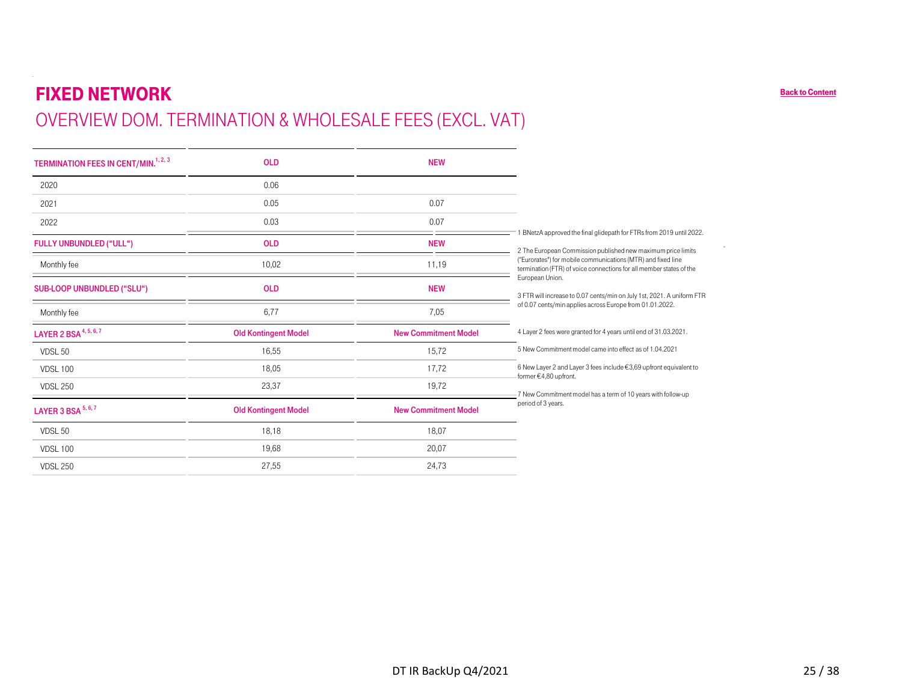# FIXED NETWORK OVERVIEW DOM. TERMINATION & WHOLESALE FEES (EXCL. VAT)

| <b>TERMINATION FEES IN CENT/MIN.<sup>1, 2, 3</sup></b> | <b>OLD</b>                  | <b>NEW</b>                  |                                                                                                                                     |
|--------------------------------------------------------|-----------------------------|-----------------------------|-------------------------------------------------------------------------------------------------------------------------------------|
| 2020                                                   | 0.06                        |                             |                                                                                                                                     |
| 2021                                                   | 0.05                        | 0.07                        |                                                                                                                                     |
| 2022                                                   | 0.03                        | 0.07                        |                                                                                                                                     |
| <b>FULLY UNBUNDLED ("ULL")</b>                         | <b>OLD</b>                  | <b>NEW</b>                  | BNetzA approved the final glidepath for FTRs from 2019 until 2022.<br>2 The European Commission published new maximum price limits  |
| Monthly fee                                            | 10,02                       | 11,19                       | ("Eurorates") for mobile communications (MTR) and fixed line<br>termination (FTR) of voice connections for all member states of the |
| SUB-LOOP UNBUNDLED ("SLU")                             | <b>OLD</b>                  | <b>NEW</b>                  | European Union.<br>3 FTR will increase to 0.07 cents/min on July 1st, 2021. A uniform FTR                                           |
| Monthly fee                                            | 6,77                        | 7,05                        | of 0.07 cents/min applies across Europe from 01.01.2022.                                                                            |
| LAYER 2 BSA <sup>4, 5, 6, 7</sup>                      | <b>Old Kontingent Model</b> | <b>New Commitment Model</b> | 4 Layer 2 fees were granted for 4 years until end of 31.03.2021.                                                                    |
| VDSL 50                                                | 16,55                       | 15,72                       | 5 New Commitment model came into effect as of 1.04.2021                                                                             |
| <b>VDSL 100</b>                                        | 18.05                       | 17,72                       | 6 New Layer 2 and Layer 3 fees include €3,69 upfront equivalent to<br>-former €4,80 upfront.                                        |
| <b>VDSL 250</b>                                        | 23,37                       | 19,72                       | -7 New Commitment model has a term of 10 years with follow-up                                                                       |
| LAYER 3 BSA 5, 6, 7                                    | <b>Old Kontingent Model</b> | <b>New Commitment Model</b> | period of 3 years.                                                                                                                  |
| VDSL 50                                                | 18,18                       | 18,07                       |                                                                                                                                     |
| <b>VDSL 100</b>                                        | 19,68                       | 20,07                       |                                                                                                                                     |
| <b>VDSL 250</b>                                        | 27,55                       | 24,73                       |                                                                                                                                     |

[Back to Content](#page-1-0)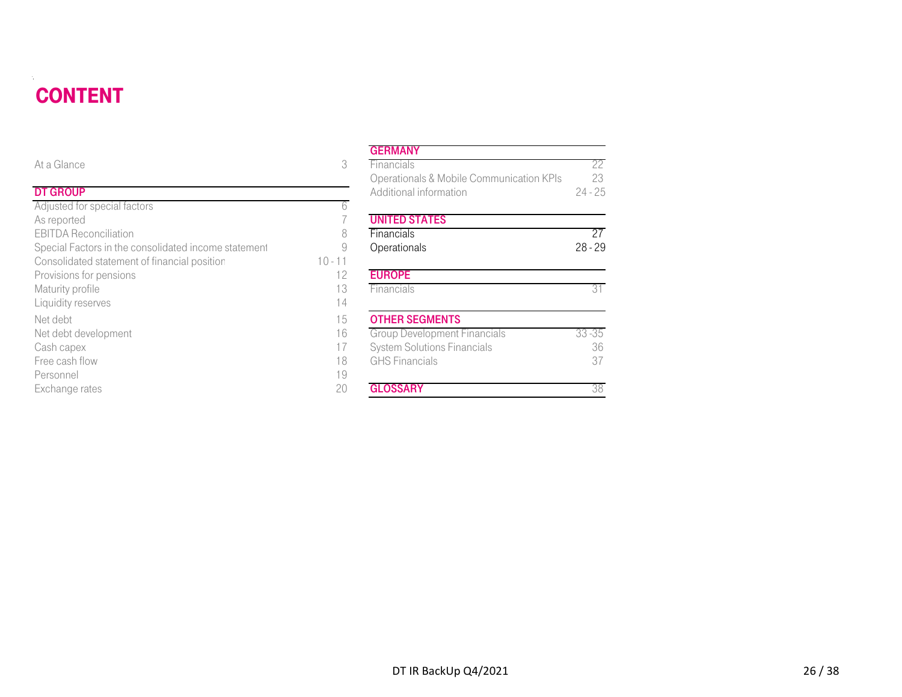#### **CONTENT** DT DE STATISTISKE REGENERALIGE EN DE STATISTISKE REGENERALIGE EN DE STATISTISKE REGENERALIGE EN DE STATISTISKE

| <b>CONTENT</b>                                       |           |                                                                    |                 |
|------------------------------------------------------|-----------|--------------------------------------------------------------------|-----------------|
|                                                      |           | <b>GERMANY</b>                                                     |                 |
| At a Glance                                          | 3         | Financials                                                         | 22              |
| <b>DT GROUP</b>                                      |           | Operationals & Mobile Communication KPIs<br>Additional information | 23<br>$24 - 25$ |
| Adjusted for special factors                         | 6         |                                                                    |                 |
| As reported                                          |           | <b>UNITED STATES</b>                                               |                 |
| <b>EBITDA Reconciliation</b>                         | 8         | Financials                                                         | 27              |
| Special Factors in the consolidated income statement | 9         | Operationals                                                       | $28 - 29$       |
| Consolidated statement of financial position         | $10 - 11$ |                                                                    |                 |
| Provisions for pensions                              | 12        | <b>EUROPE</b>                                                      |                 |
| Maturity profile                                     | 13        | Financials                                                         | 31              |
| Liquidity reserves                                   | 14        |                                                                    |                 |
| Net debt                                             | 15        | <b>OTHER SEGMENTS</b>                                              |                 |
| Net debt development                                 | 16        | <b>Group Development Financials</b>                                | $33 - 35$       |
| Cash capex                                           | 17        | <b>System Solutions Financials</b>                                 | 36              |
| Free cash flow                                       | 18        | <b>GHS</b> Financials                                              | 37              |
| Personnel                                            | 19        |                                                                    |                 |
| Exchange rates                                       | 20        | <b>GLOSSARY</b>                                                    | 38              |

#### **GERMANY**

| е                                          | 3         | Financials                               | 22        |
|--------------------------------------------|-----------|------------------------------------------|-----------|
|                                            |           | Operationals & Mobile Communication KPIs | 23        |
| Þ                                          |           | Additional information                   | $24 - 25$ |
| or special factors                         | 6         |                                          |           |
| d                                          |           | <b>UNITED STATES</b>                     |           |
| econciliation                              | 8         | Financials                               | 27        |
| ctors in the consolidated income statement | 9         | Operationals                             | $28 - 29$ |
| ted statement of financial position        | $10 - 11$ |                                          |           |
| for pensions                               | 12        | <b>EUROPE</b>                            |           |
| rofile                                     | 13        | Financials                               | 31        |
| eserves                                    | 14        |                                          |           |
|                                            | 15        | <b>OTHER SEGMENTS</b>                    |           |
| levelopment                                | 16        | <b>Group Development Financials</b>      | $33 - 35$ |
| эX                                         |           | <b>System Solutions Financials</b>       | 36        |
| flow                                       | 18        | <b>GHS</b> Financials                    | 37        |
|                                            | 19        |                                          |           |
| rates                                      | 20        | <b>GLOSSARY</b>                          | 38        |
|                                            |           |                                          |           |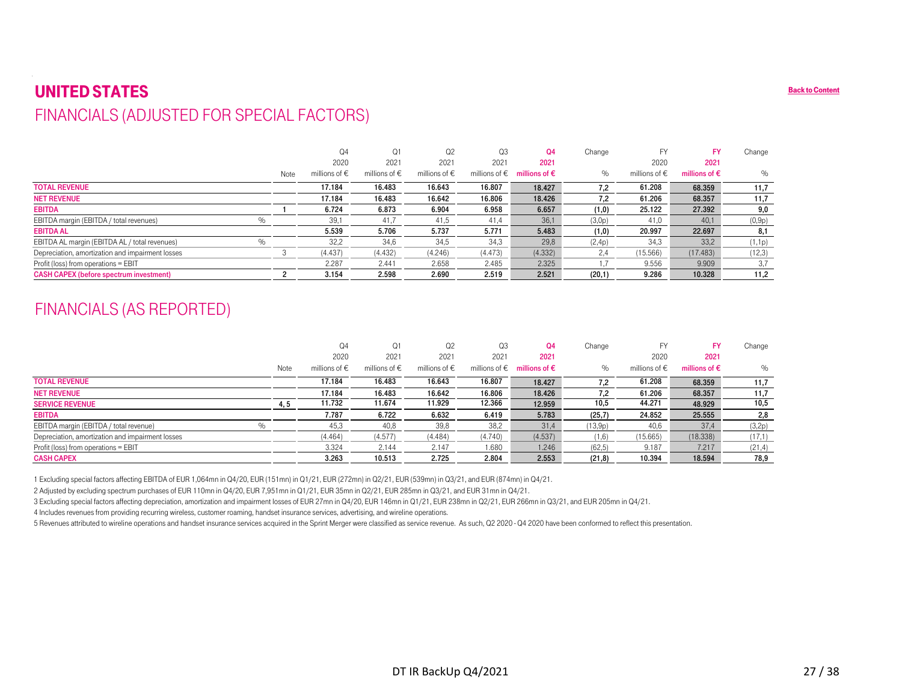#### UNITED STATES $\mathbf S$  back to Content of the content of the content of the content of the content of the content of the content of the content of the content of the content of the content of the content of the content of the content of FINANCIALS (ADJUSTED FOR SPECIAL FACTORS)

<span id="page-26-0"></span>

|                                                                                                                                         |                | Q4                     | Q1                | Q <sub>2</sub>         | Q3                | Q <sub>4</sub>                                | Change  | FY                     | <b>FY</b>              | Change        |
|-----------------------------------------------------------------------------------------------------------------------------------------|----------------|------------------------|-------------------|------------------------|-------------------|-----------------------------------------------|---------|------------------------|------------------------|---------------|
|                                                                                                                                         |                | 2020                   | 2021              | 2021                   | 2021              | 2021                                          |         | 2020                   | 2021                   |               |
|                                                                                                                                         | Note           | millions of $\epsilon$ | millions of $\in$ | millions of $\in$      | millions of $\in$ | millions of $\epsilon$                        | %       | millions of $\epsilon$ | millions of $\epsilon$ | $\%$          |
| <b>TOTAL REVENUE</b>                                                                                                                    |                | 17.184                 | 16.483            | 16.643                 | 16.807            | 18.427                                        | 7,2     | 61.208                 | 68.359                 | 11,7          |
| <b>NET REVENUE</b>                                                                                                                      |                | 17.184                 | 16.483            | 16.642                 | 16.806            | 18.426                                        | 7,2     | 61.206                 | 68.357                 | 11,7          |
| <b>EBITDA</b>                                                                                                                           |                | 6.724                  | 6.873             | 6.904                  | 6.958             | 6.657                                         | (1,0)   | 25.122                 | 27.392                 | 9,0           |
| $\%$<br>EBITDA margin (EBITDA / total revenues)                                                                                         |                | 39,1                   | 41,7              | 41,5                   | 41,4              | 36,1                                          | (3,0p)  | 41,0                   | 40.1                   | (0,9p)        |
| <b>EBITDA AL</b>                                                                                                                        |                | 5.539                  | 5.706             | 5.737                  | 5.771             | 5.483                                         | (1,0)   | 20.997                 | 22.697                 | 8,1           |
| $\%$<br>EBITDA AL margin (EBITDA AL / total revenues)                                                                                   |                | 32,2                   | 34,6              | 34,5                   | 34,3              | 29,8                                          | (2,4p)  | 34,3                   | 33,2                   | (1,1p)        |
| Depreciation, amortization and impairment losses                                                                                        | 3              | (4.437)                | (4.432)           | (4.246)                | (4.473)           | (4.332)                                       | 2,4     | (15.566)               | (17.483)               | (12,3)        |
|                                                                                                                                         |                |                        | 2.441             | 2.658                  | 2.485             | 2.325                                         | 1.7     | 9.556                  | 9.909                  | 3,7           |
|                                                                                                                                         |                | 2.287                  |                   |                        |                   |                                               |         |                        |                        |               |
| Profit (loss) from operations = EBIT<br><b>CASH CAPEX (before spectrum investment)</b><br><b>FINANCIALS (AS REPORTED)</b>               | $\overline{2}$ | 3.154                  | 2.598             | 2.690                  | 2.519             | 2.521                                         | (20,1)  | 9.286                  | 10.328                 |               |
|                                                                                                                                         |                | Q4                     | Q1                | Q <sub>2</sub>         | Q3                | Q <sub>4</sub>                                | Change  | FY                     | <b>FY</b>              | Change        |
|                                                                                                                                         |                | 2020                   | 2021              | 2021                   | 2021              | 2021                                          |         | 2020                   | 2021                   | 11,2          |
|                                                                                                                                         | Note           | millions of $\epsilon$ | millions of $\in$ | millions of $\epsilon$ |                   | millions of $\epsilon$ millions of $\epsilon$ | $\%$    | millions of $\epsilon$ | millions of $\epsilon$ | $\frac{0}{0}$ |
|                                                                                                                                         |                | 17.184                 | 16.483            | 16.643                 | 16.807            | 18.427                                        | 7,2     | 61.208                 | 68.359                 | 11,7          |
|                                                                                                                                         |                | 17.184                 | 16.483            | 16.642                 | 16.806            | 18.426                                        | 7,2     | 61.206                 | 68.357                 | 11,7          |
|                                                                                                                                         | 4, 5           | 11.732                 | 11.674            | 11.929                 | 12.366            | 12.959                                        | 10,5    | 44.271                 | 48.929                 | 10,5          |
|                                                                                                                                         |                | 7.787                  | 6.722             | 6.632                  | 6.419             | 5.783                                         | (25,7)  | 24.852                 | 25.555                 | 2,8           |
| <b>TOTAL REVENUE</b><br><b>NET REVENUE</b><br><b>SERVICE REVENUE</b><br><b>EBITDA</b><br>$\%$<br>EBITDA margin (EBITDA / total revenue) |                | 45,3                   | 40,8              | 39,8                   | 38,2              | 31,4                                          | (13,9p) | 40,6                   | 37,4                   | (3,2p)        |
| Depreciation, amortization and impairment losses                                                                                        |                | (4.464)                | (4.577)           | (4.484)                | (4.740)           | (4.537)                                       | (1,6)   | (15.665)               | (18.338)               | (17,1)        |
| Profit (loss) from operations = EBIT                                                                                                    |                | 3.324                  | 2.144             | 2.147                  | 1.680             | 1.246                                         | (62, 5) | 9.187                  | 7.217                  | (21, 4)       |

## FINANCIALS (AS REPORTED)

|                                                  |      | Q4                     | Q1                     | Q2                     | Q3                | Q4                     | Change  |                   |                        | Change  |
|--------------------------------------------------|------|------------------------|------------------------|------------------------|-------------------|------------------------|---------|-------------------|------------------------|---------|
|                                                  |      | 2020                   | 2021                   | 2021                   | 2021              | 2021                   |         | 2020              | 2021                   |         |
|                                                  | Note | millions of $\epsilon$ | millions of $\epsilon$ | millions of $\epsilon$ | millions of $\in$ | millions of $\epsilon$ | $\%$    | millions of $\in$ | millions of $\epsilon$ | $\%$    |
| <b>TOTAL REVENUE</b>                             |      | 17.184                 | 16.483                 | 16.643                 | 16.807            | 18.427                 | 7.2     | 61.208            | 68.359                 | 11,7    |
| <b>NET REVENUE</b>                               |      | 17.184                 | 16.483                 | 16.642                 | 16.806            | 18.426                 | 7,2     | 61.206            | 68.357                 | 11,7    |
| <b>SERVICE REVENUE</b>                           |      | 11.732                 | 11.674                 | 11.929                 | 12.366            | 12.959                 | 10,5    | 44.271            | 48.929                 | 10,5    |
| <b>EBITDA</b>                                    |      | 7.787                  | 6.722                  | 6.632                  | 6.419             | 5.783                  | (25,7)  | 24.852            | 25.555                 | 2,8     |
| EBITDA margin (EBITDA / total revenue)           |      | 45,3                   | 40.8                   | 39,8                   | 38.2              | 31,4                   | (13,9p) | 40.6              | 37,4                   | (3,2p)  |
| Depreciation, amortization and impairment losses |      | (4.464)                | (4.577)                | (4.484)                | (4.740)           | (4.537)                | (1,6)   | (15.665)          | (18.338)               | (17,1)  |
| Profit (loss) from operations = EBIT             |      | 3.324                  | 2.144                  | 2.147                  | 1.680             | 1.246                  | (62.5)  | 9.187             | 7.217                  | (21, 4) |
| <b>CASH CAPEX</b>                                |      | 3.263                  | 10.513                 | 2.725                  | 2.804             | 2.553                  | (21, 8) | 10.394            | 18.594                 | 78,9    |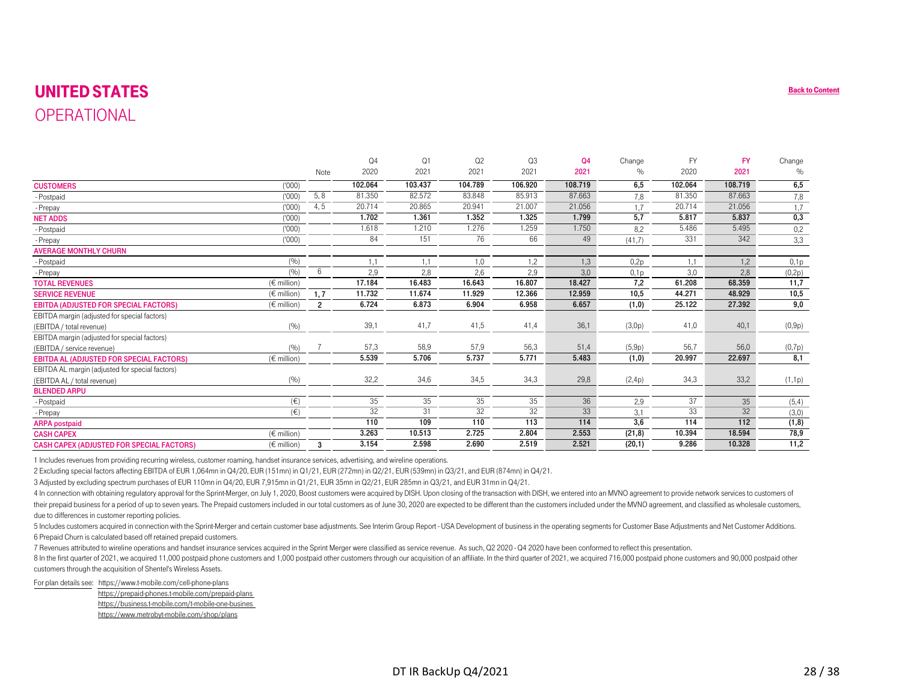### UNITED STATES**OPERATIONAL**

<span id="page-27-0"></span>

| <b>UNITED STATES</b>                                                                                                                                                                                                           |                 |                |         |         |         |         |         |                  |           |           | <b>Back to</b>  |
|--------------------------------------------------------------------------------------------------------------------------------------------------------------------------------------------------------------------------------|-----------------|----------------|---------|---------|---------|---------|---------|------------------|-----------|-----------|-----------------|
| OPERATIONAL                                                                                                                                                                                                                    |                 |                |         |         |         |         |         |                  |           |           |                 |
|                                                                                                                                                                                                                                |                 |                |         |         |         |         |         |                  |           |           |                 |
|                                                                                                                                                                                                                                |                 |                | Q4      | Q1      | Q2      | Q3      | Q4      | Change           | <b>FY</b> | <b>FY</b> | Change          |
|                                                                                                                                                                                                                                |                 | Note           | 2020    | 2021    | 2021    | 2021    | 2021    | $\%$             | 2020      | 2021      | $\%$            |
| <b>CUSTOMERS</b>                                                                                                                                                                                                               | (000)           |                | 102.064 | 103.437 | 104.789 | 106.920 | 108.719 | 6,5              | 102.064   | 108.719   | 6,5             |
| - Postpaid                                                                                                                                                                                                                     | (000)           | 5, 8           | 81.350  | 82.572  | 83.848  | 85.913  | 87.663  | 7,8              | 81.350    | 87.663    | 7,8             |
| - Prepay                                                                                                                                                                                                                       | (000)           | 4,5            | 20.714  | 20.865  | 20.941  | 21.007  | 21.056  | 1.7              | 20.714    | 21.056    | 1,7             |
| <b>NET ADDS</b>                                                                                                                                                                                                                | (000)           |                | 1.702   | 1.361   | 1.352   | 1.325   | 1.799   | 5,7              | 5.817     | 5.837     | 0,3             |
| - Postpaid                                                                                                                                                                                                                     | (000)           |                | 1.618   | 1.210   | 1.276   | 1.259   | 1.750   | 8.2              | 5.486     | 5.495     | 0,2             |
| - Prepay                                                                                                                                                                                                                       | (000)           |                | 84      | 151     | 76      | 66      | 49      | (41,7)           | 331       | 342       | 3,3             |
| <b>AVERAGE MONTHLY CHURN</b>                                                                                                                                                                                                   |                 |                |         |         |         |         |         |                  |           |           |                 |
| - Postpaid                                                                                                                                                                                                                     | (9/0)           |                | 1,1     | 1,1     | 1,0     | 1,2     | 1,3     | 0.2 <sub>p</sub> | 1,1       | 1,2       | 0,1p            |
| - Prepay                                                                                                                                                                                                                       | (9/0)           | 6              | 2,9     | 2,8     | 2,6     | 2,9     | 3,0     | 0.1 <sub>p</sub> | 3,0       | 2,8       | (0,2p)          |
| <b>TOTAL REVENUES</b>                                                                                                                                                                                                          | (€ million)     |                | 17.184  | 16.483  | 16.643  | 16.807  | 18.427  | 7,2              | 61.208    | 68.359    | 11,7            |
| <b>SERVICE REVENUE</b>                                                                                                                                                                                                         | $(\in$ million) | 1, 7           | 11.732  | 11.674  | 11.929  | 12.366  | 12.959  | 10,5             | 44.271    | 48.929    | 10,5            |
| <b>EBITDA (ADJUSTED FOR SPECIAL FACTORS)</b>                                                                                                                                                                                   | $(\in$ million) | $\overline{2}$ | 6.724   | 6.873   | 6.904   | 6.958   | 6.657   | (1,0)            | 25.122    | 27.392    | 9,0             |
| EBITDA margin (adjusted for special factors)                                                                                                                                                                                   |                 |                |         |         |         |         |         |                  |           |           |                 |
| (EBITDA / total revenue)                                                                                                                                                                                                       | (9/6)           |                | 39,1    | 41,7    | 41,5    | 41,4    | 36,1    | (3,0p)           | 41,0      | 40,1      | (0,9p)          |
| EBITDA margin (adjusted for special factors)                                                                                                                                                                                   |                 |                |         |         |         |         |         |                  |           |           |                 |
| (EBITDA / service revenue)                                                                                                                                                                                                     | (9/0)           |                | 57,3    | 58,9    | 57,9    | 56,3    | 51,4    | (5,9p)           | 56,7      | 56,0      | (0,7p)          |
| <b>EBITDA AL (ADJUSTED FOR SPECIAL FACTORS)</b>                                                                                                                                                                                | $(\in$ million) |                | 5.539   | 5.706   | 5.737   | 5.771   | 5.483   | (1,0)            | 20.997    | 22.697    | 8,1             |
| EBITDA AL margin (adjusted for special factors)                                                                                                                                                                                |                 |                | 32,2    |         |         |         |         |                  |           |           |                 |
| (EBITDA AL / total revenue)                                                                                                                                                                                                    | (9/0)           |                |         | 34,6    | 34,5    | 34,3    | 29,8    | (2,4p)           | 34,3      | 33,2      | (1,1p)          |
| <b>BLENDED ARPU</b>                                                                                                                                                                                                            | $(\in)$         |                | 35      | 35      | 35      | 35      | 36      | 2,9              | 37        | 35        |                 |
| - Postpaid                                                                                                                                                                                                                     | $(\in)$         |                | 32      | 31      | 32      | 32      | 33      | 3,1              | 33        | 32        | (5,4)           |
| - Prepay<br><b>ARPA</b> postpaid                                                                                                                                                                                               |                 |                | 110     | 109     | 110     | 113     | 114     | 3,6              | 114       | 112       | (3,0)<br>(1, 8) |
| <b>CASH CAPEX</b>                                                                                                                                                                                                              | $(\in$ million) |                | 3.263   | 10.513  | 2.725   | 2.804   | 2.553   | (21, 8)          | 10.394    | 18.594    | 78,9            |
| <b>CASH CAPEX (ADJUSTED FOR SPECIAL FACTORS)</b>                                                                                                                                                                               | $(\in$ million) | $\mathbf{3}$   | 3.154   | 2.598   | 2.690   | 2.519   | 2.521   | (20,1)           | 9.286     | 10.328    | 11,2            |
| 1 Includes revenues from providing recurring wireless, customer roaming, handset insurance services, advertising, and wireline operations.                                                                                     |                 |                |         |         |         |         |         |                  |           |           |                 |
| 2 Excluding special factors affecting EBITDA of EUR 1,064mn in Q4/20, EUR (151mn) in Q1/21, EUR (272mn) in Q2/21, EUR (539mn) in Q3/21, and EUR (874mn) in Q4/21.                                                              |                 |                |         |         |         |         |         |                  |           |           |                 |
| 3 Adjusted by excluding spectrum purchases of EUR 110mn in Q4/20, EUR 7,915mn in Q1/21, EUR 35mn in Q2/21, EUR 285mn in Q3/21, and EUR 31mn in Q4/21.                                                                          |                 |                |         |         |         |         |         |                  |           |           |                 |
| 4 In connection with obtaining regulatory approval for the Sprint-Merger, on July 1, 2020, Boost customers were acquired by DISH. Upon closing of the transaction with DISH, we entered into an MVNO agreement to provide netw |                 |                |         |         |         |         |         |                  |           |           |                 |
| their prepaid business for a period of up to seven years. The Prepaid customers included in our total customers as of June 30, 2020 are expected to be different than the customers included under the MVNO agreement, and cla |                 |                |         |         |         |         |         |                  |           |           |                 |
| due to differences in customer reporting policies.                                                                                                                                                                             |                 |                |         |         |         |         |         |                  |           |           |                 |
| 5 Includes customers acquired in connection with the Sprint-Merger and certain customer base adjustments. See Interim Group Report - USA Development of business in the operating segments for Customer Base Adjustments and N |                 |                |         |         |         |         |         |                  |           |           |                 |
| 6 Prepaid Churn is calculated based off retained prepaid customers.                                                                                                                                                            |                 |                |         |         |         |         |         |                  |           |           |                 |
| 7 Revenues attributed to wireline operations and handset insurance services acquired in the Sprint Merger were classified as service revenue. As such, Q2 2020 - Q4 2020 have been conformed to reflect this presentation.     |                 |                |         |         |         |         |         |                  |           |           |                 |
| 8 In the first quarter of 2021, we acquired 11,000 postpaid phone customers and 1,000 postpaid other customers through our acquisition of an affiliate. In the third quarter of 2021, we acquired 716,000 postpaid phone custo |                 |                |         |         |         |         |         |                  |           |           |                 |
| customers through the acquisition of Shentel's Wireless Assets.                                                                                                                                                                |                 |                |         |         |         |         |         |                  |           |           |                 |
| For plan details see: https://www.t-mobile.com/cell-phone-plans                                                                                                                                                                |                 |                |         |         |         |         |         |                  |           |           |                 |

https://prepaid-phones.t-mobile.com/prepaid-plans https://business.t-mobile.com/t-mobile-one-busines https://www.metrobyt-mobile.com/shop/plans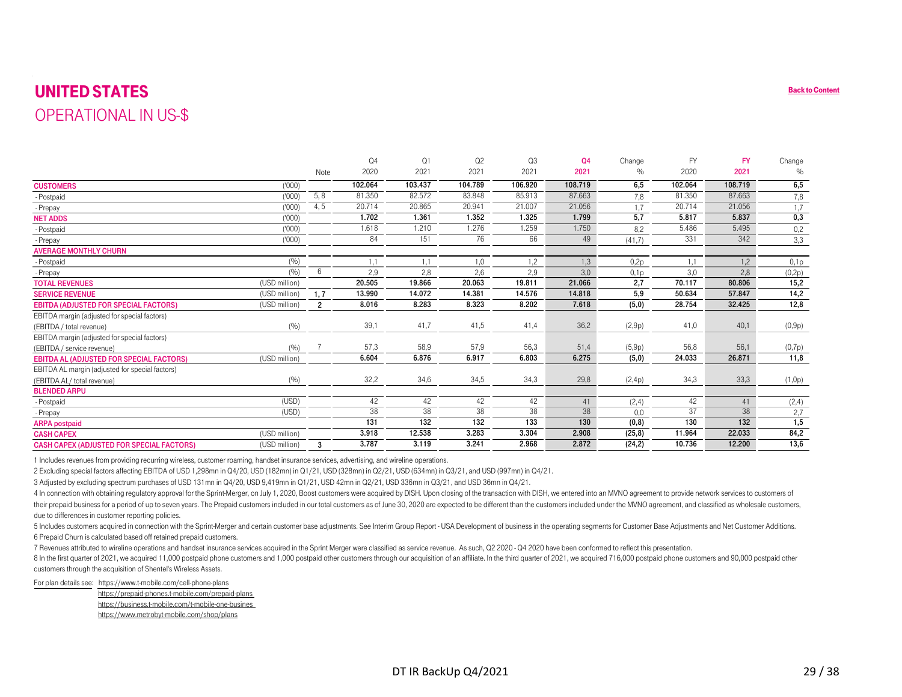#### UNITED STATES $\mathbf S$  back to Content of the content of the content of the content of the content of the content of the content of the content of the content of the content of the content of the content of the content of the content of OPERATIONAL IN US-\$

| <b>UNITED STATES</b>                                                                                                                                                                                                                                                                                                                                                                                                                                                                                                                                                                                                                                                                                                                                                                                                                                                                                                                                                                                                                                                                                                                                                                                                                                                                                                                                                                                                                                                                                                                                                                                                                                                                                                                                                                                                                           |                        |                |         |         |         |         |               |                  |           |           | <b>Back to</b> |
|------------------------------------------------------------------------------------------------------------------------------------------------------------------------------------------------------------------------------------------------------------------------------------------------------------------------------------------------------------------------------------------------------------------------------------------------------------------------------------------------------------------------------------------------------------------------------------------------------------------------------------------------------------------------------------------------------------------------------------------------------------------------------------------------------------------------------------------------------------------------------------------------------------------------------------------------------------------------------------------------------------------------------------------------------------------------------------------------------------------------------------------------------------------------------------------------------------------------------------------------------------------------------------------------------------------------------------------------------------------------------------------------------------------------------------------------------------------------------------------------------------------------------------------------------------------------------------------------------------------------------------------------------------------------------------------------------------------------------------------------------------------------------------------------------------------------------------------------|------------------------|----------------|---------|---------|---------|---------|---------------|------------------|-----------|-----------|----------------|
| <b>OPERATIONAL IN US-\$</b>                                                                                                                                                                                                                                                                                                                                                                                                                                                                                                                                                                                                                                                                                                                                                                                                                                                                                                                                                                                                                                                                                                                                                                                                                                                                                                                                                                                                                                                                                                                                                                                                                                                                                                                                                                                                                    |                        |                |         |         |         |         |               |                  |           |           |                |
|                                                                                                                                                                                                                                                                                                                                                                                                                                                                                                                                                                                                                                                                                                                                                                                                                                                                                                                                                                                                                                                                                                                                                                                                                                                                                                                                                                                                                                                                                                                                                                                                                                                                                                                                                                                                                                                |                        |                |         |         |         |         |               |                  |           |           |                |
|                                                                                                                                                                                                                                                                                                                                                                                                                                                                                                                                                                                                                                                                                                                                                                                                                                                                                                                                                                                                                                                                                                                                                                                                                                                                                                                                                                                                                                                                                                                                                                                                                                                                                                                                                                                                                                                |                        |                | Q4      | Q1      | Q2      | Q3      | Q4            | Change           | <b>FY</b> | <b>FY</b> | Change         |
|                                                                                                                                                                                                                                                                                                                                                                                                                                                                                                                                                                                                                                                                                                                                                                                                                                                                                                                                                                                                                                                                                                                                                                                                                                                                                                                                                                                                                                                                                                                                                                                                                                                                                                                                                                                                                                                |                        | Note           | 2020    | 2021    | 2021    | 2021    | 2021          | $\%$             | 2020      | 2021      | $\%$           |
| <b>CUSTOMERS</b>                                                                                                                                                                                                                                                                                                                                                                                                                                                                                                                                                                                                                                                                                                                                                                                                                                                                                                                                                                                                                                                                                                                                                                                                                                                                                                                                                                                                                                                                                                                                                                                                                                                                                                                                                                                                                               | (000)                  |                | 102.064 | 103.437 | 104.789 | 106.920 | 108.719       | 6,5              | 102.064   | 108.719   | 6,5            |
| - Postpaid                                                                                                                                                                                                                                                                                                                                                                                                                                                                                                                                                                                                                                                                                                                                                                                                                                                                                                                                                                                                                                                                                                                                                                                                                                                                                                                                                                                                                                                                                                                                                                                                                                                                                                                                                                                                                                     | (000)                  | 5, 8           | 81.350  | 82.572  | 83.848  | 85.913  | 87.663        | 7,8              | 81.350    | 87.663    | 7,8            |
| - Prepay                                                                                                                                                                                                                                                                                                                                                                                                                                                                                                                                                                                                                                                                                                                                                                                                                                                                                                                                                                                                                                                                                                                                                                                                                                                                                                                                                                                                                                                                                                                                                                                                                                                                                                                                                                                                                                       | (000)                  | 4,5            | 20.714  | 20.865  | 20.941  | 21.007  | 21.056        | 1.7              | 20.714    | 21.056    | 1,7            |
| <b>NET ADDS</b>                                                                                                                                                                                                                                                                                                                                                                                                                                                                                                                                                                                                                                                                                                                                                                                                                                                                                                                                                                                                                                                                                                                                                                                                                                                                                                                                                                                                                                                                                                                                                                                                                                                                                                                                                                                                                                | (000)                  |                | 1.702   | 1.361   | 1.352   | 1.325   | 1.799         | 5,7              | 5.817     | 5.837     | 0,3            |
| - Postpaid                                                                                                                                                                                                                                                                                                                                                                                                                                                                                                                                                                                                                                                                                                                                                                                                                                                                                                                                                                                                                                                                                                                                                                                                                                                                                                                                                                                                                                                                                                                                                                                                                                                                                                                                                                                                                                     | (000)                  |                | 1.618   | 1.210   | 1.276   | 1.259   | 1.750         | 8.2              | 5.486     | 5.495     | 0,2            |
| - Prepay                                                                                                                                                                                                                                                                                                                                                                                                                                                                                                                                                                                                                                                                                                                                                                                                                                                                                                                                                                                                                                                                                                                                                                                                                                                                                                                                                                                                                                                                                                                                                                                                                                                                                                                                                                                                                                       | (1000)                 |                | 84      | 151     | 76      | 66      | 49            | (41,7)           | 331       | 342       | 3,3            |
| <b>AVERAGE MONTHLY CHURN</b>                                                                                                                                                                                                                                                                                                                                                                                                                                                                                                                                                                                                                                                                                                                                                                                                                                                                                                                                                                                                                                                                                                                                                                                                                                                                                                                                                                                                                                                                                                                                                                                                                                                                                                                                                                                                                   |                        |                |         |         |         |         |               |                  |           |           |                |
| - Postpaid                                                                                                                                                                                                                                                                                                                                                                                                                                                                                                                                                                                                                                                                                                                                                                                                                                                                                                                                                                                                                                                                                                                                                                                                                                                                                                                                                                                                                                                                                                                                                                                                                                                                                                                                                                                                                                     | (9/0)                  |                | 1,1     | 1,1     | 1,0     | 1,2     | 1,3           | 0.2p             | 1,1       | 1,2       | 0,1p           |
| - Prepay                                                                                                                                                                                                                                                                                                                                                                                                                                                                                                                                                                                                                                                                                                                                                                                                                                                                                                                                                                                                                                                                                                                                                                                                                                                                                                                                                                                                                                                                                                                                                                                                                                                                                                                                                                                                                                       | (9/0)                  | 6              | 2,9     | 2,8     | 2,6     | 2,9     | 3,0           | 0.1 <sub>p</sub> | 3,0       | 2,8       | (0,2p)         |
| <b>TOTAL REVENUES</b>                                                                                                                                                                                                                                                                                                                                                                                                                                                                                                                                                                                                                                                                                                                                                                                                                                                                                                                                                                                                                                                                                                                                                                                                                                                                                                                                                                                                                                                                                                                                                                                                                                                                                                                                                                                                                          | (USD million)          |                | 20.505  | 19.866  | 20.063  | 19.811  | 21.066        | 2,7              | 70.117    | 80.806    | 15,2           |
| <b>SERVICE REVENUE</b>                                                                                                                                                                                                                                                                                                                                                                                                                                                                                                                                                                                                                                                                                                                                                                                                                                                                                                                                                                                                                                                                                                                                                                                                                                                                                                                                                                                                                                                                                                                                                                                                                                                                                                                                                                                                                         | (USD million)          | 1, 7           | 13.990  | 14.072  | 14.381  | 14.576  | 14.818        | 5,9              | 50.634    | 57.847    | 14,2           |
| <b>EBITDA (ADJUSTED FOR SPECIAL FACTORS)</b>                                                                                                                                                                                                                                                                                                                                                                                                                                                                                                                                                                                                                                                                                                                                                                                                                                                                                                                                                                                                                                                                                                                                                                                                                                                                                                                                                                                                                                                                                                                                                                                                                                                                                                                                                                                                   | (USD million)          | $\overline{2}$ | 8.016   | 8.283   | 8.323   | 8.202   | 7.618         | (5,0)            | 28.754    | 32.425    | 12,8           |
| EBITDA margin (adjusted for special factors)                                                                                                                                                                                                                                                                                                                                                                                                                                                                                                                                                                                                                                                                                                                                                                                                                                                                                                                                                                                                                                                                                                                                                                                                                                                                                                                                                                                                                                                                                                                                                                                                                                                                                                                                                                                                   |                        |                |         |         |         |         |               |                  |           |           |                |
| (EBITDA / total revenue)                                                                                                                                                                                                                                                                                                                                                                                                                                                                                                                                                                                                                                                                                                                                                                                                                                                                                                                                                                                                                                                                                                                                                                                                                                                                                                                                                                                                                                                                                                                                                                                                                                                                                                                                                                                                                       | (9/6)                  |                | 39,1    | 41,7    | 41,5    | 41,4    | 36,2          | (2,9p)           | 41,0      | 40,1      | (0,9p)         |
| EBITDA margin (adjusted for special factors)                                                                                                                                                                                                                                                                                                                                                                                                                                                                                                                                                                                                                                                                                                                                                                                                                                                                                                                                                                                                                                                                                                                                                                                                                                                                                                                                                                                                                                                                                                                                                                                                                                                                                                                                                                                                   |                        |                | 57,3    | 58,9    | 57,9    | 56,3    |               | (5,9p)           | 56,8      | 56,1      |                |
| (EBITDA / service revenue)<br><b>EBITDA AL (ADJUSTED FOR SPECIAL FACTORS)</b>                                                                                                                                                                                                                                                                                                                                                                                                                                                                                                                                                                                                                                                                                                                                                                                                                                                                                                                                                                                                                                                                                                                                                                                                                                                                                                                                                                                                                                                                                                                                                                                                                                                                                                                                                                  | (9/0)<br>(USD million) |                | 6.604   | 6.876   | 6.917   | 6.803   | 51,4<br>6.275 | (5,0)            | 24.033    | 26.871    | (0,7p)<br>11,8 |
| EBITDA AL margin (adjusted for special factors)                                                                                                                                                                                                                                                                                                                                                                                                                                                                                                                                                                                                                                                                                                                                                                                                                                                                                                                                                                                                                                                                                                                                                                                                                                                                                                                                                                                                                                                                                                                                                                                                                                                                                                                                                                                                |                        |                |         |         |         |         |               |                  |           |           |                |
| (EBITDA AL/ total revenue)                                                                                                                                                                                                                                                                                                                                                                                                                                                                                                                                                                                                                                                                                                                                                                                                                                                                                                                                                                                                                                                                                                                                                                                                                                                                                                                                                                                                                                                                                                                                                                                                                                                                                                                                                                                                                     | (9/0)                  |                | 32,2    | 34,6    | 34,5    | 34,3    | 29,8          | (2,4p)           | 34,3      | 33,3      | (1,0p)         |
| <b>BLENDED ARPU</b>                                                                                                                                                                                                                                                                                                                                                                                                                                                                                                                                                                                                                                                                                                                                                                                                                                                                                                                                                                                                                                                                                                                                                                                                                                                                                                                                                                                                                                                                                                                                                                                                                                                                                                                                                                                                                            |                        |                |         |         |         |         |               |                  |           |           |                |
| - Postpaid                                                                                                                                                                                                                                                                                                                                                                                                                                                                                                                                                                                                                                                                                                                                                                                                                                                                                                                                                                                                                                                                                                                                                                                                                                                                                                                                                                                                                                                                                                                                                                                                                                                                                                                                                                                                                                     | (USD)                  |                | 42      | 42      | 42      | 42      | 41            | (2, 4)           | 42        | 41        | (2,4)          |
| - Prepay                                                                                                                                                                                                                                                                                                                                                                                                                                                                                                                                                                                                                                                                                                                                                                                                                                                                                                                                                                                                                                                                                                                                                                                                                                                                                                                                                                                                                                                                                                                                                                                                                                                                                                                                                                                                                                       | (USD)                  |                | 38      | 38      | 38      | 38      | 38            | 0,0              | 37        | 38        | 2,7            |
| <b>ARPA</b> postpaid                                                                                                                                                                                                                                                                                                                                                                                                                                                                                                                                                                                                                                                                                                                                                                                                                                                                                                                                                                                                                                                                                                                                                                                                                                                                                                                                                                                                                                                                                                                                                                                                                                                                                                                                                                                                                           |                        |                | 131     | 132     | 132     | 133     | 130           | (0, 8)           | 130       | 132       | 1,5            |
| <b>CASH CAPEX</b>                                                                                                                                                                                                                                                                                                                                                                                                                                                                                                                                                                                                                                                                                                                                                                                                                                                                                                                                                                                                                                                                                                                                                                                                                                                                                                                                                                                                                                                                                                                                                                                                                                                                                                                                                                                                                              | (USD million)          |                | 3.918   | 12.538  | 3.283   | 3.304   | 2.908         | (25, 8)          | 11.964    | 22.033    | 84,2           |
| <b>CASH CAPEX (ADJUSTED FOR SPECIAL FACTORS)</b>                                                                                                                                                                                                                                                                                                                                                                                                                                                                                                                                                                                                                                                                                                                                                                                                                                                                                                                                                                                                                                                                                                                                                                                                                                                                                                                                                                                                                                                                                                                                                                                                                                                                                                                                                                                               | (USD million)          | $\mathbf{3}$   | 3.787   | 3.119   | 3.241   | 2.968   | 2.872         | (24,2)           | 10.736    | 12.200    | 13,6           |
| 1 Includes revenues from providing recurring wireless, customer roaming, handset insurance services, advertising, and wireline operations.<br>2 Excluding special factors affecting EBITDA of USD 1,298mn in Q4/20, USD (182mn) in Q1/21, USD (328mn) in Q2/21, USD (634mn) in Q3/21, and USD (997mn) in Q4/21.<br>3 Adjusted by excluding spectrum purchases of USD 131mn in Q4/20, USD 9,419mn in Q1/21, USD 42mn in Q2/21, USD 336mn in Q3/21, and USD 36mn in Q4/21.<br>4 In connection with obtaining regulatory approval for the Sprint-Merger, on July 1, 2020, Boost customers were acquired by DISH. Upon closing of the transaction with DISH, we entered into an MVNO agreement to provide netw<br>their prepaid business for a period of up to seven years. The Prepaid customers included in our total customers as of June 30, 2020 are expected to be different than the customers included under the MVNO agreement, and cla<br>due to differences in customer reporting policies.<br>5 Includes customers acquired in connection with the Sprint-Merger and certain customer base adjustments. See Interim Group Report - USA Development of business in the operating segments for Customer Base Adjustments and N<br>6 Prepaid Churn is calculated based off retained prepaid customers.<br>7 Revenues attributed to wireline operations and handset insurance services acquired in the Sprint Merger were classified as service revenue. As such, Q2 2020 - Q4 2020 have been conformed to reflect this presentation.<br>8 In the first quarter of 2021, we acquired 11,000 postpaid phone customers and 1,000 postpaid other customers through our acquisition of an affiliate. In the third quarter of 2021, we acquired 716,000 postpaid phone custo<br>customers through the acquisition of Shentel's Wireless Assets. |                        |                |         |         |         |         |               |                  |           |           |                |
| For plan details see: https://www.t-mobile.com/cell-phone-plans                                                                                                                                                                                                                                                                                                                                                                                                                                                                                                                                                                                                                                                                                                                                                                                                                                                                                                                                                                                                                                                                                                                                                                                                                                                                                                                                                                                                                                                                                                                                                                                                                                                                                                                                                                                |                        |                |         |         |         |         |               |                  |           |           |                |

https://prepaid-phones.t-mobile.com/prepaid-plans https://business.t-mobile.com/t-mobile-one-busines https://www.metrobyt-mobile.com/shop/plans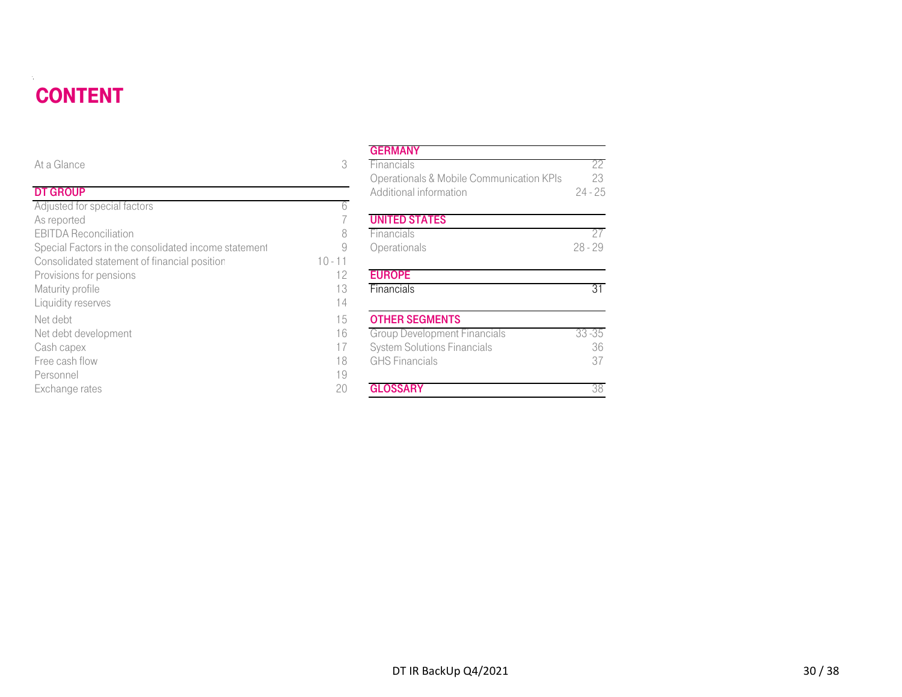#### **CONTENT** DT DE STATISTISKE REGENERALIGE EN DE STATISTISKE REGENERALIGE EN DE STATISTISKE REGENERALIGE EN DE STATISTISKE

| <b>CONTENT</b>                                       |           |                                          |           |
|------------------------------------------------------|-----------|------------------------------------------|-----------|
|                                                      |           | <b>GERMANY</b>                           |           |
| At a Glance                                          | 3         | Financials                               | 22        |
|                                                      |           | Operationals & Mobile Communication KPIs | 23        |
| <b>DT GROUP</b>                                      |           | Additional information                   | $24 - 25$ |
| Adjusted for special factors                         | 6         |                                          |           |
| As reported                                          |           | <b>UNITED STATES</b>                     |           |
| <b>EBITDA Reconciliation</b>                         | 8         | Financials                               | 27        |
| Special Factors in the consolidated income statement | 9         | Operationals                             | $28 - 29$ |
| Consolidated statement of financial position         | $10 - 11$ |                                          |           |
| Provisions for pensions                              | 12        | <b>EUROPE</b>                            |           |
| Maturity profile                                     | 13        | Financials                               | 31        |
| Liquidity reserves                                   | 14        |                                          |           |
| Net debt                                             | 15        | <b>OTHER SEGMENTS</b>                    |           |
| Net debt development                                 | 16        | <b>Group Development Financials</b>      | $33 - 35$ |
| Cash capex                                           | 17        | <b>System Solutions Financials</b>       | 36        |
| Free cash flow                                       | 18        | <b>GHS Financials</b>                    | 37        |
| Personnel                                            | 19        |                                          |           |
| Exchange rates                                       | 20        | <b>GLOSSARY</b>                          | 38        |

#### **GERMANY**

| е                                          | 3         | Financials                               | 22        |
|--------------------------------------------|-----------|------------------------------------------|-----------|
|                                            |           | Operationals & Mobile Communication KPIs | 23        |
| Þ                                          |           | Additional information                   | $24 - 25$ |
| or special factors                         | 6         |                                          |           |
| d                                          |           | <b>UNITED STATES</b>                     |           |
| econciliation                              | 8         | Financials                               | 27        |
| ctors in the consolidated income statement | 9         | Operationals                             | $28 - 29$ |
| ted statement of financial position        | $10 - 11$ |                                          |           |
| for pensions                               | 12        | <b>EUROPE</b>                            |           |
| rofile                                     | 13        | Financials                               | 31        |
| eserves                                    | 14        |                                          |           |
|                                            | 15        | <b>OTHER SEGMENTS</b>                    |           |
| levelopment                                | 16        | <b>Group Development Financials</b>      | $33 - 35$ |
| эX                                         | 17        | <b>System Solutions Financials</b>       | 36        |
| flow                                       | 18        | <b>GHS</b> Financials                    | 37        |
|                                            | 19        |                                          |           |
| rates                                      | 20        | <b>GLOSSARY</b>                          | 38        |
|                                            |           |                                          |           |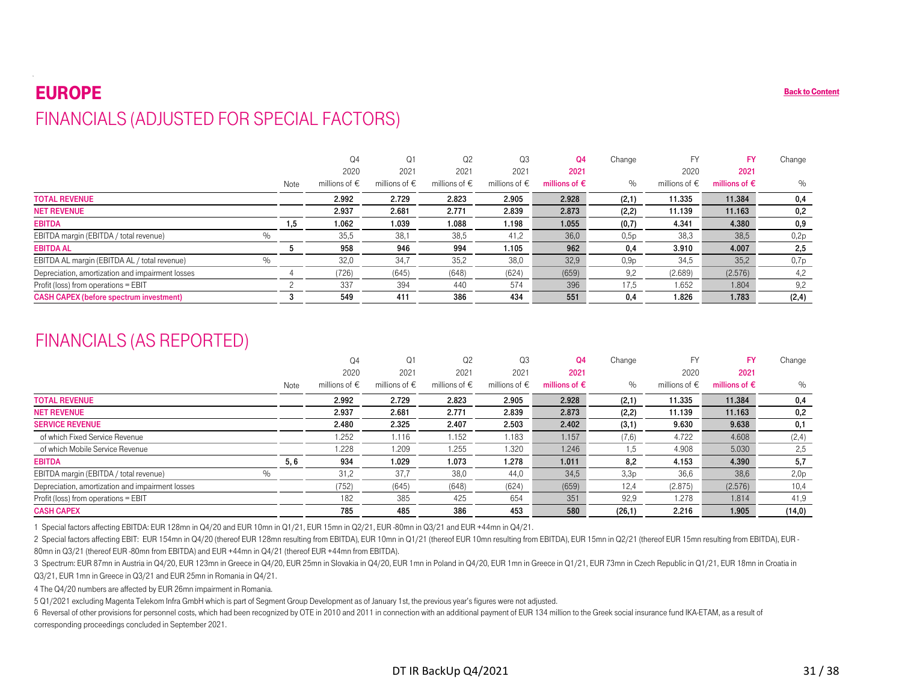#### EUROPE**[Back to Content](#page-1-0)** FINANCIALS (ADJUSTED FOR SPECIAL FACTORS)

|                                                  |      | Q4                     | Q1                     | Q <sub>2</sub>         | Q3                | Q4                     | Change | <b>FY</b>              | <b>FY</b>              | Change |
|--------------------------------------------------|------|------------------------|------------------------|------------------------|-------------------|------------------------|--------|------------------------|------------------------|--------|
|                                                  |      | 2020                   | 2021                   | 2021                   | 2021              | 2021                   |        | 2020                   | 2021                   |        |
|                                                  | Note | millions of $\epsilon$ | millions of $\epsilon$ | millions of $\epsilon$ | millions of $\in$ | millions of $\epsilon$ | $\%$   | millions of $\epsilon$ | millions of $\epsilon$ | $\%$   |
| <b>TOTAL REVENUE</b>                             |      | 2.992                  | 2.729                  | 2.823                  | 2.905             | 2.928                  | (2,1)  | 11.335                 | 11.384                 | 0,4    |
| <b>NET REVENUE</b>                               |      | 2.937                  | 2.681                  | 2.771                  | 2.839             | 2.873                  | (2, 2) | 11.139                 | 11.163                 | 0,2    |
| <b>EBITDA</b>                                    | 1,5  | 1.062                  | 1.039                  | 1.088                  | 1.198             | 1.055                  | (0,7)  | 4.341                  | 4.380                  | 0,9    |
| EBITDA margin (EBITDA / total revenue)           | %    | 35,5                   | 38,1                   | 38,5                   | 41,2              | 36,0                   | 0,5p   | 38,3                   | 38,5                   | 0,2p   |
| <b>EBITDA AL</b>                                 |      | 958                    | 946                    | 994                    | 1.105             | 962                    | 0,4    | 3.910                  | 4.007                  | 2,5    |
| EBITDA AL margin (EBITDA AL / total revenue)     | %    | 32,0                   | 34,7                   | 35,2                   | 38,0              | 32,9                   | 0,9p   | 34,5                   | 35,2                   | 0,7p   |
| Depreciation, amortization and impairment losses |      | (726)                  | (645)                  | (648)                  | (624)             | (659)                  | 9,2    | (2.689)                | (2.576)                | 4,2    |
| Profit (loss) from operations = EBIT             |      | 337                    | 394                    | 440                    | 574               | 396                    | 17.5   | 1.652                  | 1.804                  | 9,2    |
| <b>CASH CAPEX (before spectrum investment)</b>   |      | 549                    | 411                    | 386                    | 434               | 551                    | 0,4    | 1.826                  | 1.783                  | (2, 4) |

## FINANCIALS (AS REPORTED)

<span id="page-30-0"></span>

|                                                                                          |                | Q <sub>4</sub>                 | Q1                             | Q <sub>2</sub>                 | Q3                             | Q <sub>4</sub>                 | Change           | <b>FY</b>                      | <b>FY</b>                      | Change |
|------------------------------------------------------------------------------------------|----------------|--------------------------------|--------------------------------|--------------------------------|--------------------------------|--------------------------------|------------------|--------------------------------|--------------------------------|--------|
|                                                                                          |                | 2020                           | 2021                           | 2021                           | 2021                           | 2021                           |                  | 2020                           | 2021                           |        |
|                                                                                          | Note           | millions of $\epsilon$         | millions of $\epsilon$         | millions of $\epsilon$         | millions of $\epsilon$         | millions of $\epsilon$         | $\%$             | millions of $\epsilon$         | millions of $\epsilon$         | $\%$   |
| <b>TOTAL REVENUE</b>                                                                     |                | 2.992                          | 2.729                          | 2.823                          | 2.905                          | 2.928                          | (2,1)            | 11.335                         | 11.384                         | 0,4    |
| <b>NET REVENUE</b>                                                                       |                | 2.937                          | 2.681                          | 2.771                          | 2.839                          | 2.873                          | (2,2)            | 11.139                         | 11.163                         | 0,2    |
| <b>EBITDA</b>                                                                            | 1,5            | 1.062                          | 1.039                          | 1.088                          | 1.198                          | 1.055                          | (0,7)            | 4.341                          | 4.380                          | 0,9    |
| EBITDA margin (EBITDA / total revenue)                                                   | $\%$           | 35,5                           | 38,1                           | 38,5                           | 41,2                           | 36,0                           | 0,5p             | 38,3                           | 38,5                           | 0,2p   |
| <b>EBITDA AL</b>                                                                         | 5              | 958                            | 946                            | 994                            | 1.105                          | 962                            | 0,4              | 3.910                          | 4.007                          | 2,5    |
| EBITDA AL margin (EBITDA AL / total revenue)                                             | $\%$           | 32,0                           | 34,7                           | 35,2                           | 38,0                           | 32,9                           | 0.9 <sub>p</sub> | 34,5                           | 35,2                           | 0,7p   |
| Depreciation, amortization and impairment losses                                         | $\overline{4}$ | (726)                          | (645)                          | (648)                          | (624)                          | (659)                          | 9,2              | (2.689)                        | (2.576)                        | 4,2    |
| Profit (loss) from operations = EBIT                                                     | $\overline{c}$ | 337                            | 394                            | 440                            | 574                            | 396                            | 17,5             | 1.652                          | 1.804                          | 9,2    |
| <b>CASH CAPEX (before spectrum investment)</b>                                           | 3              | 549                            | 411                            | 386                            | 434                            | 551                            | 0,4              | 1.826                          | 1.783                          | (2, 4) |
|                                                                                          | Note           | 2020<br>millions of $\epsilon$ | 2021<br>millions of $\epsilon$ | 2021<br>millions of $\epsilon$ | 2021<br>millions of $\epsilon$ | 2021<br>millions of $\epsilon$ | $\%$             | 2020<br>millions of $\epsilon$ | 2021<br>millions of $\epsilon$ | $\%$   |
| <b>TOTAL REVENUE</b>                                                                     |                | 2.992                          | 2.729                          | 2.823                          | 2.905                          | 2.928                          | (2,1)            | 11.335                         | 11.384                         | 0,4    |
| <b>NET REVENUE</b>                                                                       |                | 2.937                          | 2.681                          | 2.771                          | 2.839                          | 2.873                          | (2,2)            | 11.139                         | 11.163                         | 0,2    |
| <b>SERVICE REVENUE</b>                                                                   |                | 2.480                          | 2.325                          | 2.407                          | 2.503                          | 2.402                          | (3, 1)           | 9.630                          | 9.638                          | 0,1    |
| of which Fixed Service Revenue                                                           |                | 1.252                          | 1.116                          | 1.152                          | 1.183                          | 1.157                          | (7, 6)           | 4.722                          | 4.608                          | (2, 4) |
| of which Mobile Service Revenue                                                          |                | 1.228                          | 1.209                          | 1.255                          | 1.320                          | 1.246                          | 1,5              | 4.908                          | 5.030                          | 2,5    |
|                                                                                          | 5,6            | 934                            | 1.029                          | 1.073                          | 1.278                          | 1.011                          | 8,2              | 4.153                          | 4.390                          | 5,7    |
| <b>EBITDA</b>                                                                            |                | 31,2                           | 37,7                           | 38,0                           | 44,0                           | 34,5                           | 3,3p             | 36,6                           | 38,6                           | 2,0p   |
|                                                                                          | $\%$           |                                |                                | (648)                          | (624)                          | (659)                          | 12,4             | (2.875)                        | (2.576)                        |        |
| EBITDA margin (EBITDA / total revenue)                                                   |                | (752)                          | (645)                          |                                |                                |                                |                  |                                |                                | 10,4   |
| Depreciation, amortization and impairment losses<br>Profit (loss) from operations = EBIT |                | 182                            | 385                            | 425                            | 654                            | 351                            | 92,9             | 1.278                          | 1.814                          | 41,9   |
|                                                                                          |                |                                |                                |                                |                                |                                |                  |                                |                                |        |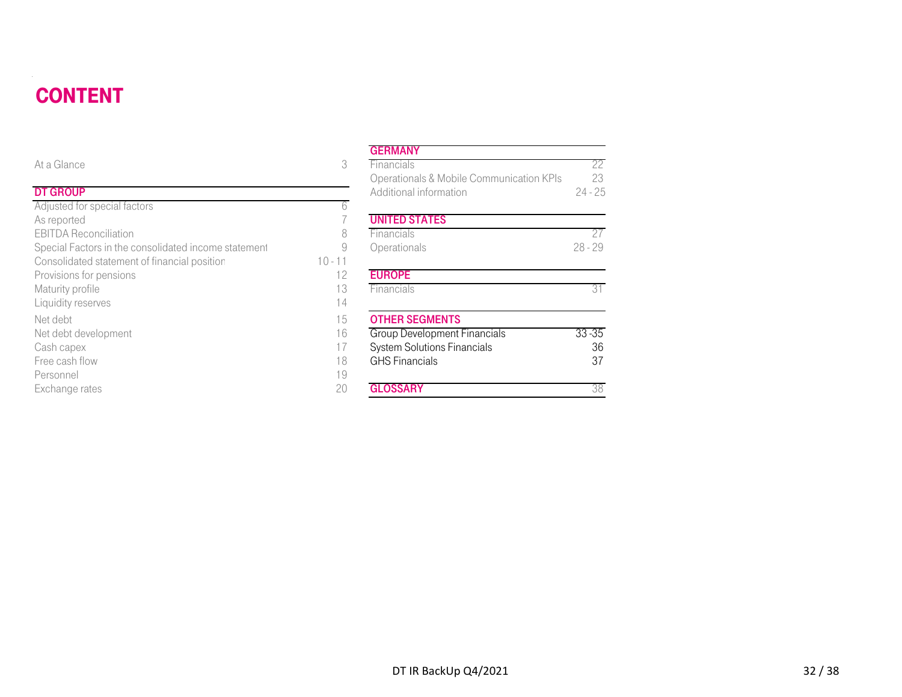#### **CONTENT** DT DE STATISTISKE REGENERALIGE EN DE STATISTISKE REGENERALIGE EN DE STATISTISKE REGENERALIGE EN DE STATISTISKE

| <b>CONTENT</b>                                       |           |                                          |           |
|------------------------------------------------------|-----------|------------------------------------------|-----------|
|                                                      |           | <b>GERMANY</b>                           |           |
| At a Glance                                          | 3         | Financials                               | 22        |
|                                                      |           | Operationals & Mobile Communication KPIs | 23        |
| <b>DT GROUP</b>                                      |           | Additional information                   | $24 - 25$ |
| Adjusted for special factors                         | 6         |                                          |           |
| As reported                                          |           | <b>UNITED STATES</b>                     |           |
| <b>EBITDA Reconciliation</b>                         | 8         | Financials                               | 27        |
| Special Factors in the consolidated income statement | 9         | Operationals                             | $28 - 29$ |
| Consolidated statement of financial position         | $10 - 11$ |                                          |           |
| Provisions for pensions                              | 12        | <b>EUROPE</b>                            |           |
| Maturity profile                                     | 13        | Financials                               | 31        |
| Liquidity reserves                                   | 14        |                                          |           |
| Net debt                                             | 15        | <b>OTHER SEGMENTS</b>                    |           |
| Net debt development                                 | 16        | <b>Group Development Financials</b>      | $33 - 35$ |
| Cash capex                                           | 17        | <b>System Solutions Financials</b>       | 36        |
| Free cash flow                                       | 18        | <b>GHS Financials</b>                    | 37        |
| Personnel                                            | 19        |                                          |           |
| Exchange rates                                       | 20        | <b>GLOSSARY</b>                          | 38        |

#### **GERMANY**

| е                                          | 3         | Financials                               | 22        |
|--------------------------------------------|-----------|------------------------------------------|-----------|
|                                            |           | Operationals & Mobile Communication KPIs | 23        |
| Þ                                          |           | Additional information                   | $24 - 25$ |
| or special factors                         | 6         |                                          |           |
| d                                          |           | <b>UNITED STATES</b>                     |           |
| econciliation                              | 8         | Financials                               | 27        |
| ctors in the consolidated income statement | 9         | Operationals                             | $28 - 29$ |
| ted statement of financial position        | $10 - 11$ |                                          |           |
| for pensions                               | 12        | <b>EUROPE</b>                            |           |
| rofile                                     | 13        | Financials                               | 31        |
| eserves                                    | 14        |                                          |           |
|                                            | 15        | <b>OTHER SEGMENTS</b>                    |           |
| levelopment                                | 16        | <b>Group Development Financials</b>      | $33 - 35$ |
| эX                                         | 17        | <b>System Solutions Financials</b>       | 36        |
| flow                                       | 18        | <b>GHS Financials</b>                    | 37        |
|                                            | 19        |                                          |           |
| rates                                      | 20        | <b>GLOSSARY</b>                          | 38        |
|                                            |           |                                          |           |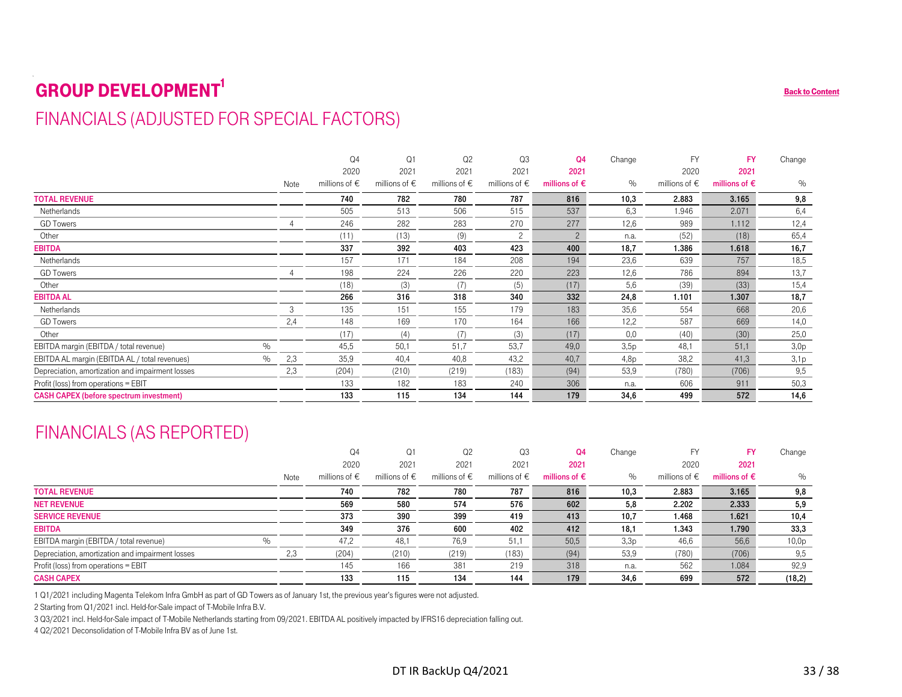# <span id="page-32-0"></span> $\pmb{GROUP} \textbf{DEVELOPMENT}^\text{1} \tag{Back to Content}$  $\pmb{GROUP} \textbf{DEVELOPMENT}^\text{1} \tag{Back to Content}$  $\pmb{GROUP} \textbf{DEVELOPMENT}^\text{1} \tag{Back to Content}$ FINANCIALS (ADJUSTED FOR SPECIAL FACTORS)

|                                                  |      |                | Q4                                   | Q <sub>1</sub>                       | Q <sub>2</sub>                       | Q3                                   | Q <sub>4</sub>                       | Change         | <b>FY</b>                                   | <b>FY</b>                                   | Change         |
|--------------------------------------------------|------|----------------|--------------------------------------|--------------------------------------|--------------------------------------|--------------------------------------|--------------------------------------|----------------|---------------------------------------------|---------------------------------------------|----------------|
|                                                  |      |                | 2020                                 | 2021                                 | 2021                                 | 2021                                 | 2021                                 |                | 2020                                        | 2021                                        |                |
|                                                  |      | Note           | millions of $\in$                    | millions of $\epsilon$               | millions of $\epsilon$               | millions of $\epsilon$               | millions of $\epsilon$               | $\%$           | millions of $\epsilon$                      | millions of $\epsilon$                      | $\%$           |
| <b>TOTAL REVENUE</b>                             |      |                | 740                                  | 782                                  | 780                                  | 787                                  | 816                                  | 10,3           | 2.883                                       | 3.165                                       | 9,8            |
| Netherlands                                      |      |                | 505                                  | 513                                  | 506                                  | 515                                  | 537                                  | 6,3            | 1.946                                       | 2.071                                       | 6,4            |
| <b>GD</b> Towers                                 |      | $\overline{4}$ | 246                                  | 282                                  | 283                                  | 270                                  | 277                                  | 12,6           | 989                                         | 1.112                                       | 12,4           |
| Other                                            |      |                | (11)                                 | (13)                                 | (9)                                  | $\overline{c}$                       | $\overline{c}$                       | n.a.           | (52)                                        | (18)                                        | 65,4           |
| EBITDA                                           |      |                | 337                                  | 392                                  | 403                                  | 423                                  | 400                                  | 18,7           | 1.386                                       | 1.618                                       | 16,7           |
| Netherlands                                      |      |                | 157                                  | 171                                  | 184                                  | 208                                  | 194                                  | 23,6           | 639                                         | 757                                         | 18,5           |
| <b>GD</b> Towers                                 |      | $\overline{4}$ | 198                                  | 224                                  | 226                                  | 220                                  | 223                                  | 12,6           | 786                                         | 894                                         | 13,7           |
| Other                                            |      |                | (18)                                 | (3)                                  | (7)                                  | (5)                                  | (17)                                 | 5,6            | (39)                                        | (33)                                        | 15,4           |
| EBITDA AL                                        |      |                | 266                                  | 316                                  | 318                                  | 340                                  | 332                                  | 24,8           | 1.101                                       | 1.307                                       | 18,7           |
| Netherlands                                      |      | 3              | 135                                  | 151                                  | 155                                  | 179                                  | 183                                  | 35,6           | 554                                         | 668                                         | 20,6           |
| <b>GD</b> Towers                                 |      | 2,4            | 148                                  | 169                                  | 170                                  | 164                                  | 166                                  | 12,2           | 587                                         | 669                                         | 14,0           |
| Other                                            |      |                | (17)                                 | (4)                                  | (7)                                  | (3)                                  | (17)                                 | 0,0            | (40)                                        | (30)                                        | 25,0           |
| EBITDA margin (EBITDA / total revenue)           | $\%$ |                | 45,5                                 | 50,1                                 | 51,7                                 | 53,7                                 | 49,0                                 | 3,5p           | 48,1                                        | 51,1                                        | 3,0p           |
| EBITDA AL margin (EBITDA AL / total revenues)    | $\%$ | 2,3            | 35,9                                 | 40.4                                 | 40,8                                 | 43.2                                 | 40,7                                 | 4,8p           | 38,2                                        | 41.3                                        | 3,1p           |
| Depreciation, amortization and impairment losses |      | 2,3            | (204)                                | (210)                                | (219)                                | (183)                                | (94)                                 | 53,9           | (780)                                       | (706)                                       | 9,5            |
| Profit (loss) from operations = EBIT             |      |                | 133                                  | 182                                  | 183                                  | 240                                  | 306                                  | n.a.           | 606                                         | 911                                         | 50,3           |
| <b>CASH CAPEX (before spectrum investment)</b>   |      |                | 133                                  | 115                                  | 134                                  | 144                                  | 179                                  | 34,6           | 499                                         | 572                                         | 14,6           |
|                                                  |      |                |                                      |                                      |                                      |                                      |                                      |                |                                             |                                             |                |
| <b>FINANCIALS (AS REPORTED)</b>                  |      | Note           | Q4<br>2020<br>millions of $\epsilon$ | Q1<br>2021<br>millions of $\epsilon$ | Q2<br>2021<br>millions of $\epsilon$ | Q3<br>2021<br>millions of $\epsilon$ | Q4<br>2021<br>millions of $\epsilon$ | Change<br>$\%$ | <b>FY</b><br>2020<br>millions of $\epsilon$ | <b>FY</b><br>2021<br>millions of $\epsilon$ | Change<br>$\%$ |
| <b>TOTAL REVENUE</b>                             |      |                | 740                                  | 782                                  | 780                                  | 787                                  | 816                                  | 10,3           | 2.883                                       | 3.165                                       | 9,8            |
| <b>NET REVENUE</b>                               |      |                | 569                                  | 580                                  | 574                                  | 576                                  | 602                                  | 5,8            | 2.202                                       | 2.333                                       | 5,9            |
| <b>SERVICE REVENUE</b>                           |      |                | 373                                  | 390                                  | 399                                  | 419                                  | 413                                  | 10,7           | 1.468                                       | 1.621                                       | 10,4           |
| <b>EBITDA</b>                                    |      |                | 349                                  | 376                                  | 600                                  | 402                                  | 412                                  | 18,1           | 1.343                                       | 1.790                                       | 33,3           |
| EBITDA margin (EBITDA / total revenue)           | $\%$ |                | 47,2                                 | 48,1                                 | 76,9                                 | 51,1                                 | 50,5                                 | 3,3p           | 46,6                                        | 56,6                                        | 10,0p          |
| Depreciation, amortization and impairment losses |      | 2,3            | (204)                                | (210)                                | (219)                                | (183)                                | (94)                                 | 53,9           | (780)                                       | (706)                                       | 9,5            |
| Profit (loss) from operations = EBIT             |      |                | 145                                  | 166                                  | 381                                  | 219                                  | 318                                  | n.a.           | 562                                         | 1.084                                       | 92,9           |

## FINANCIALS (AS REPORTED)

|      | Q <sub>4</sub>         | Q1                     | Q <sub>2</sub>         | Q3                     | Q <sub>4</sub>         | Change | <b>FY</b>              | <b>FY</b>              | Change |
|------|------------------------|------------------------|------------------------|------------------------|------------------------|--------|------------------------|------------------------|--------|
|      | 2020                   | 2021                   | 2021                   | 2021                   | 2021                   |        | 2020                   | 2021                   |        |
| Note | millions of $\epsilon$ | millions of $\epsilon$ | millions of $\epsilon$ | millions of $\epsilon$ | millions of $\epsilon$ | $\%$   | millions of $\epsilon$ | millions of $\epsilon$ | $\%$   |
|      | 740                    | 782                    | 780                    | 787                    | 816                    | 10,3   | 2.883                  | 3.165                  | 9,8    |
|      | 569                    | 580                    | 574                    | 576                    | 602                    | 5,8    | 2.202                  | 2.333                  | 5,9    |
|      | 373                    | 390                    | 399                    | 419                    | 413                    | 10,7   | 1.468                  | 1.621                  | 10,4   |
|      | 349                    | 376                    | 600                    | 402                    | 412                    | 18,1   | 1.343                  | 1.790                  | 33,3   |
|      | 47,2                   | 48,1                   | 76,9                   | 51,1                   | 50,5                   | 3,3p   | 46,6                   | 56,6                   | 10,0p  |
| 2,3  | (204)                  | (210)                  | (219)                  | (183)                  | (94)                   | 53,9   | (780)                  | (706)                  | 9,5    |
|      | 145                    | 166                    | 381                    | 219                    | 318                    | n.a.   | 562                    | 1.084                  | 92,9   |
|      | 133                    | 115                    | 134                    | 144                    | 179                    | 34,6   | 699                    | 572                    | (18,2) |
|      |                        |                        |                        |                        |                        |        |                        |                        |        |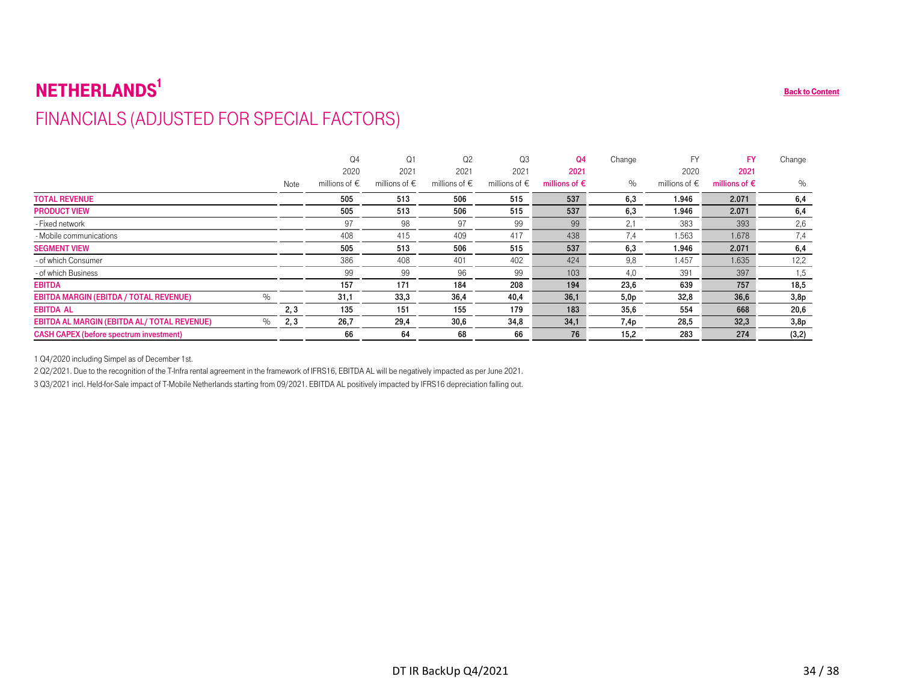# $\mathbf{NETHERLANDS}^1$ FINANCIALS (ADJUSTED FOR SPECIAL FACTORS)

| FINANCIALS (ADJUSTED FOR SPECIAL FACTORS)           |      |                        |                        |                        |                        |                        |        |                        |                        |        |
|-----------------------------------------------------|------|------------------------|------------------------|------------------------|------------------------|------------------------|--------|------------------------|------------------------|--------|
|                                                     |      | Q <sub>4</sub>         | Q1                     | Q <sub>2</sub>         | Q <sub>3</sub>         | Q <sub>4</sub>         | Change | <b>FY</b>              | <b>FY</b>              | Change |
|                                                     |      | 2020                   | 2021                   | 2021                   | 2021                   | 2021                   |        | 2020                   | 2021                   |        |
|                                                     | Note | millions of $\epsilon$ | millions of $\epsilon$ | millions of $\epsilon$ | millions of $\epsilon$ | millions of $\epsilon$ | $\%$   | millions of $\epsilon$ | millions of $\epsilon$ | $\%$   |
| <b>TOTAL REVENUE</b>                                |      | 505                    | 513                    | 506                    | 515                    | 537                    | 6,3    | 1.946                  | 2.071                  | 6,4    |
| <b>PRODUCT VIEW</b>                                 |      | 505                    | 513                    | 506                    | 515                    | 537                    | 6,3    | 1.946                  | 2.071                  | 6,4    |
| - Fixed network                                     |      | 97                     | 98                     | 97                     | 99                     | 99                     | 2,1    | 383                    | 393                    | 2,6    |
| - Mobile communications                             |      | 408                    | 415                    | 409                    | 417                    | 438                    | 7,4    | 1.563                  | 1.678                  | 7,4    |
| <b>SEGMENT VIEW</b>                                 |      | 505                    | 513                    | 506                    | 515                    | 537                    | 6,3    | 1.946                  | 2.071                  | 6,4    |
| - of which Consumer                                 |      | 386                    | 408                    | 401                    | 402                    | 424                    | 9,8    | 1.457                  | 1.635                  | 12,2   |
| - of which Business                                 |      | 99                     | 99                     | 96                     | 99                     | 103                    | 4,0    | 391                    | 397                    | 1,5    |
| <b>EBITDA</b>                                       |      | 157                    | 171                    | 184                    | 208                    | 194                    | 23,6   | 639                    | 757                    | 18,5   |
| $\%$<br>EBITDA MARGIN (EBITDA / TOTAL REVENUE)      |      | 31,1                   | 33,3                   | 36,4                   | 40,4                   | 36,1                   | 5,0p   | 32,8                   | 36,6                   | 3,8p   |
| <b>EBITDA AL</b>                                    | 2, 3 | 135                    | 151                    | 155                    | 179                    | 183                    | 35,6   | 554                    | 668                    | 20,6   |
| EBITDA AL MARGIN (EBITDA AL/ TOTAL REVENUE)<br>$\%$ | 2,3  | 26,7                   | 29,4                   | 30,6                   | 34,8                   | 34,1                   | 7,4p   | 28,5                   | 32,3                   | 3,8p   |
| <b>CASH CAPEX (before spectrum investment)</b>      |      | 66                     | 64                     | 68                     | 66                     | 76                     | 15,2   | 283                    | 274                    | (3,2)  |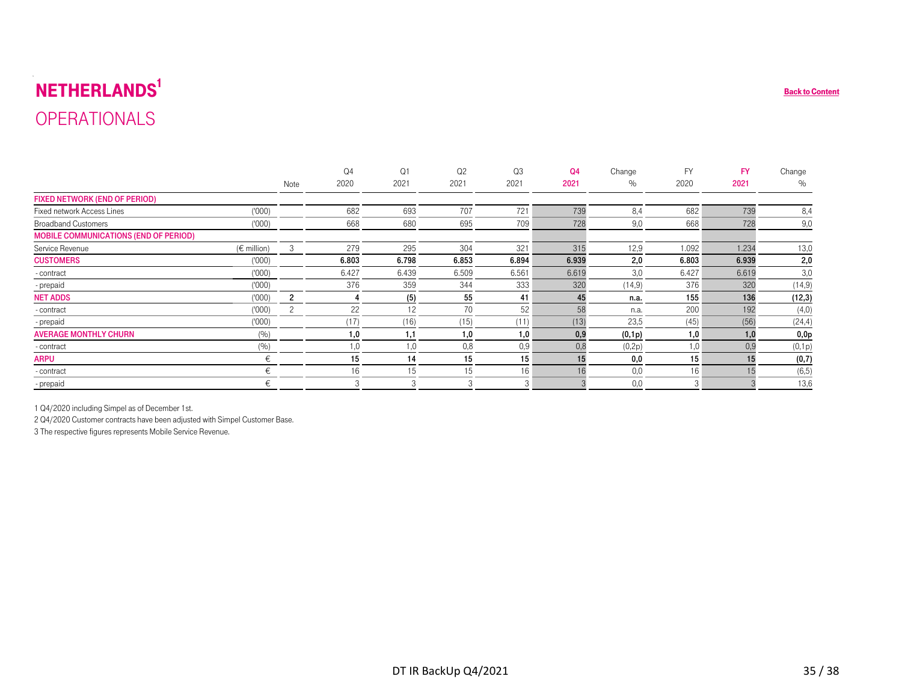# $\mathbf{NETHERLANDS}^1$ OPERATIONALS

| <b>OPERATIONALS</b>                          |                 |                |                |                |       |       |                |         |           |           |         |
|----------------------------------------------|-----------------|----------------|----------------|----------------|-------|-------|----------------|---------|-----------|-----------|---------|
|                                              |                 |                |                |                |       |       |                |         |           |           |         |
|                                              |                 |                |                |                |       |       |                |         |           |           |         |
|                                              |                 |                | Q <sub>4</sub> | Q <sub>1</sub> | Q2    | Q3    | Q <sub>4</sub> | Change  | <b>FY</b> | <b>FY</b> | Change  |
|                                              |                 | Note           | 2020           | 2021           | 2021  | 2021  | 2021           | $\%$    | 2020      | 2021      | $\%$    |
| <b>FIXED NETWORK (END OF PERIOD)</b>         |                 |                |                |                |       |       |                |         |           |           |         |
| Fixed network Access Lines                   | (1000)          |                | 682            | 693            | 707   | 721   | 739            | 8,4     | 682       | 739       | 8,4     |
| <b>Broadband Customers</b>                   | (000)           |                | 668            | 680            | 695   | 709   | 728            | 9,0     | 668       | 728       | 9,0     |
| <b>MOBILE COMMUNICATIONS (END OF PERIOD)</b> |                 |                |                |                |       |       |                |         |           |           |         |
| Service Revenue                              | $(\in$ million) | 3              | 279            | 295            | 304   | 321   | 315            | 12,9    | 1.092     | 1.234     | 13,0    |
| <b>CUSTOMERS</b>                             | (000)           |                | 6.803          | 6.798          | 6.853 | 6.894 | 6.939          | 2,0     | 6.803     | 6.939     | 2,0     |
| - contract                                   | (1000)          |                | 6.427          | 6.439          | 6.509 | 6.561 | 6.619          | 3,0     | 6.427     | 6.619     | 3,0     |
| - prepaid                                    | (000)           |                | 376            | 359            | 344   | 333   | 320            | (14, 9) | 376       | 320       | (14, 9) |
| <b>NET ADDS</b>                              | (1000)          | $\overline{2}$ | 4              | (5)            | 55    | 41    | 45             | n.a.    | 155       | 136       | (12, 3) |
| - contract                                   | (000)           | $\overline{c}$ | 22             | 12             | 70    | 52    | 58             | n.a.    | 200       | 192       | (4,0)   |
| - prepaid                                    | (000)           |                | (17)           | (16)           | (15)  | (11)  | (13)           | 23,5    | (45)      | (56)      | (24, 4) |
| <b>AVERAGE MONTHLY CHURN</b>                 | (%)             |                | 1,0            | 1,1            | 1,0   | 1,0   | 0,9            | (0,1p)  | 1,0       | 1,0       | 0,0p    |
| - contract                                   | (%)             |                | 1,0            | 1,0            | 0,8   | 0,9   | 0,8            | (0,2p)  | 1,0       | 0,9       | (0,1p)  |
| <b>ARPU</b>                                  | €               |                | 15             | 14             | 15    | 15    | 15             | 0,0     | 15        | 15        | (0,7)   |
| - contract                                   | €               |                | 16             | 15             | 15    | 16    | 16             | 0,0     | 16        | 15        | (6, 5)  |
| - prepaid                                    | €               |                | 3              | 3              | 3     | 3     | 3              | 0,0     | 3         |           | 13,6    |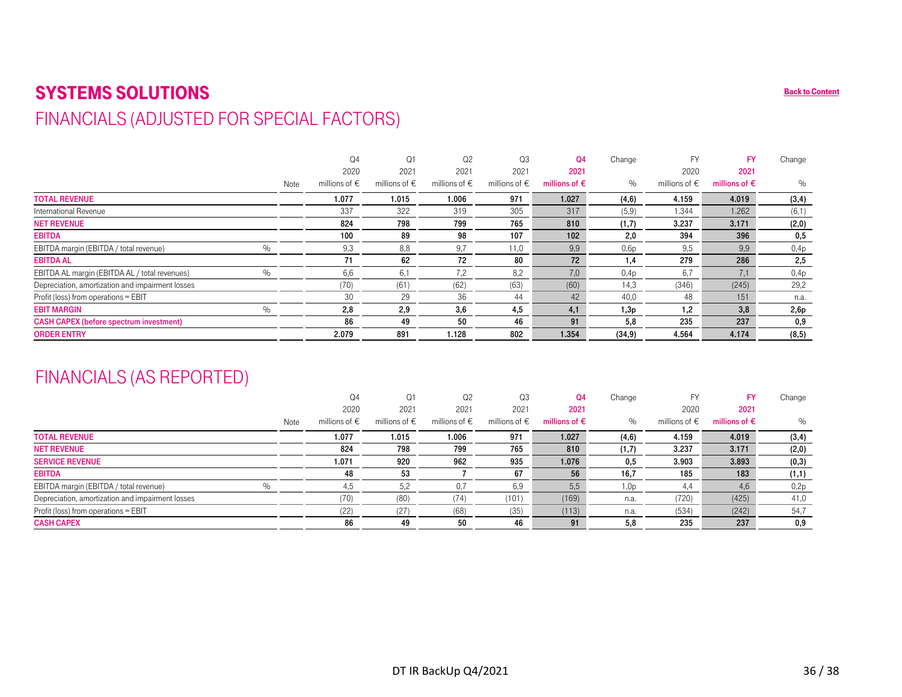#### <span id="page-35-0"></span>SYSTEMS SOLUTIONS**S** and the content of the content of the content of the content of the content of the content of the content of the content of the content of the content of the content of the content of the content of the content of the FINANCIALS (ADJUSTED FOR SPECIAL FACTORS)

|                                                  |      |      | Q <sub>4</sub>         | Q1                     | Q <sub>2</sub>         | Q <sub>3</sub>         | Q4                     | Change  | <b>FY</b>              | <b>FY</b>              | Change |
|--------------------------------------------------|------|------|------------------------|------------------------|------------------------|------------------------|------------------------|---------|------------------------|------------------------|--------|
|                                                  |      |      | 2020                   | 2021                   | 2021                   | 2021                   | 2021                   |         | 2020                   | 2021                   |        |
|                                                  |      | Note | millions of $\epsilon$ | millions of $\epsilon$ | millions of $\epsilon$ | millions of $\epsilon$ | millions of $\epsilon$ | $\%$    | millions of $\epsilon$ | millions of $\epsilon$ | $\%$   |
| <b>TOTAL REVENUE</b>                             |      |      | 1.077                  | 1.015                  | 1.006                  | 971                    | 1.027                  | (4,6)   | 4.159                  | 4.019                  | (3,4)  |
| International Revenue                            |      |      | 337                    | 322                    | 319                    | 305                    | 317                    | (5,9)   | 1.344                  | 1.262                  | (6,1)  |
| <b>NET REVENUE</b>                               |      |      | 824                    | 798                    | 799                    | 765                    | 810                    | (1,7)   | 3.237                  | 3.171                  | (2,0)  |
| <b>EBITDA</b>                                    |      |      | 100                    | 89                     | 98                     | 107                    | 102                    | 2,0     | 394                    | 396                    | 0,5    |
| EBITDA margin (EBITDA / total revenue)           | $\%$ |      | 9,3                    | 8,8                    | 9.7                    | 11,0                   | 9,9                    | 0,6p    | 9.5                    | 9,9                    | 0,4p   |
| <b>EBITDA AL</b>                                 |      |      | 71                     | 62                     | 72                     | 80                     | 72                     | $^{.4}$ | 279                    | 286                    | 2,5    |
| EBITDA AL margin (EBITDA AL / total revenues)    | $\%$ |      | 6,6                    | 6.1                    | 7,2                    | 8,2                    | 7,0                    | 0,4p    | 6,7                    | 7,1                    | 0,4p   |
| Depreciation, amortization and impairment losses |      |      | (70)                   | (61)                   | (62)                   | (63)                   | (60)                   | 14,3    | (346)                  | (245)                  | 29,2   |
| Profit (loss) from operations = EBIT             |      |      | 30                     | 29                     | 36                     | 44                     | 42                     | 40,0    | 48                     | 151                    | n.a.   |
| <b>EBIT MARGIN</b>                               | $\%$ |      | 2,8                    | 2,9                    | 3,6                    | 4,5                    | 4,1                    | 1,3p    | 1,2                    | 3,8                    | 2,6p   |
| <b>CASH CAPEX (before spectrum investment)</b>   |      |      | 86                     | 49                     | 50                     | 46                     | 91                     | 5,8     | 235                    | 237                    | 0,9    |
| <b>ORDER ENTRY</b>                               |      |      | 2.079                  | 891                    | 1.128                  | 802                    | 1.354                  | (34, 9) | 4.564                  | 4.174                  | (8, 5) |

## FINANCIALS (AS REPORTED)

|      | Q4                     | Q1                     | Q2                     | Q3                     | Q4                     | Change | FY                     | FY                     | Change |
|------|------------------------|------------------------|------------------------|------------------------|------------------------|--------|------------------------|------------------------|--------|
|      | 2020                   | 2021                   | 2021                   | 2021                   | 2021                   |        | 2020                   | 2021                   |        |
| Note | millions of $\epsilon$ | millions of $\epsilon$ | millions of $\epsilon$ | millions of $\epsilon$ | millions of $\epsilon$ | $\%$   | millions of $\epsilon$ | millions of $\epsilon$ | $\%$   |
|      | 1.077                  | 1.015                  | 1.006                  | 971                    | 1.027                  | (4,6)  | 4.159                  | 4.019                  | (3,4)  |
|      | 824                    | 798                    | 799                    | 765                    | 810                    | (1,7)  | 3.237                  | 3.171                  | (2,0)  |
|      | 1.071                  | 920                    | 962                    | 935                    | 1.076                  | 0,5    | 3.903                  | 3.893                  | (0, 3) |
|      | 48                     | 53                     |                        | 67                     | 56                     | 16,7   | 185                    | 183                    | (1,1)  |
|      | 4,5                    | 5.2                    |                        | 6,9                    | 5,5                    | 1,0p   | 4,4                    | 4,6                    | 0,2p   |
|      | (70)                   | (80)                   | (74)                   | (101)                  | (169)                  | n.a.   | (720)                  | (425)                  | 41,0   |
|      | (22)                   | (27)                   | (68)                   | (35)                   | (113)                  | n.a.   | (534)                  | (242)                  | 54,7   |
|      | 86                     | 49                     | 50                     | 46                     | 91                     | 5,8    | 235                    | 237                    | 0,9    |
|      |                        |                        |                        |                        |                        |        |                        |                        |        |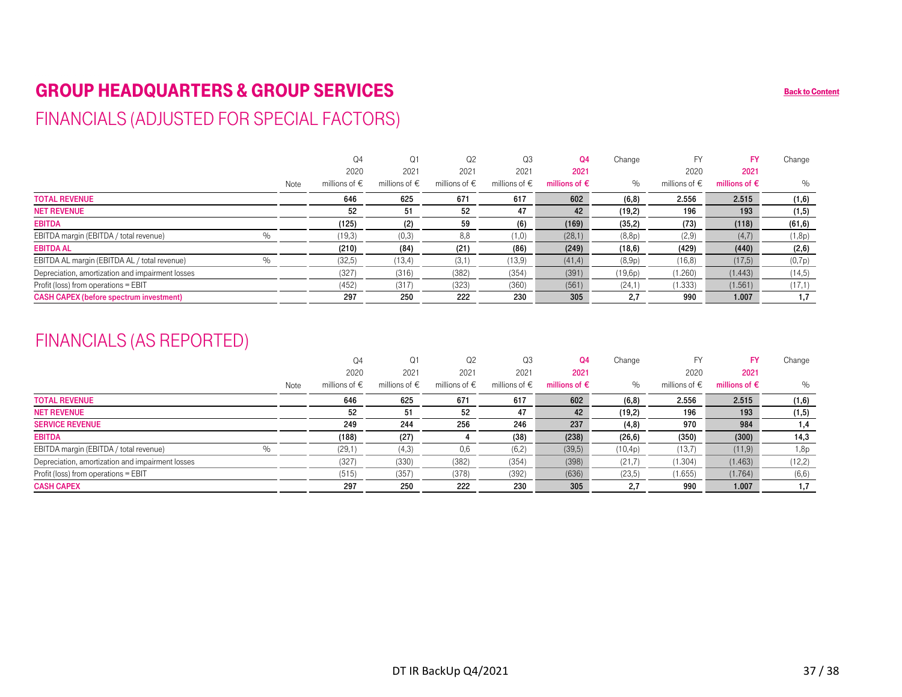## <span id="page-36-0"></span>GROUP HEADQUARTERS & GROUP SERVICES BACK CONTENT AND BACK TO BACK TO BACK TO BACK TO CONTENT

## FINANCIALS (ADJUSTED FOR SPECIAL FACTORS)

|                                                  |      | Q <sub>4</sub>         | Q1                     | Q2                     | Q3                     | Q4                     | Change  | FY                     | FY                     | Change  |
|--------------------------------------------------|------|------------------------|------------------------|------------------------|------------------------|------------------------|---------|------------------------|------------------------|---------|
|                                                  |      | 2020                   | 2021                   | 2021                   | 2021                   | 2021                   |         | 2020                   | 2021                   |         |
|                                                  | Note | millions of $\epsilon$ | millions of $\epsilon$ | millions of $\epsilon$ | millions of $\epsilon$ | millions of $\epsilon$ | $\%$    | millions of $\epsilon$ | millions of $\epsilon$ | $\%$    |
| <b>TOTAL REVENUE</b>                             |      | 646                    | 625                    | 671                    | 617                    | 602                    | (6, 8)  | 2.556                  | 2.515                  | (1,6)   |
| <b>NET REVENUE</b>                               |      | 52                     | 51                     | 52                     | 47                     | 42                     | (19,2)  | 196                    | 193                    | (1, 5)  |
| <b>EBITDA</b>                                    |      | (125)                  | (2)                    | 59                     | (6)                    | (169)                  | (35,2)  | (73)                   | (118)                  | (61, 6) |
| EBITDA margin (EBITDA / total revenue)           |      | (19,3)                 | (0,3)                  | 8,8                    | (1,0)                  | (28,1)                 | (8,8p)  | (2,9)                  | (4,7)                  | (1,8p)  |
| <b>EBITDA AL</b>                                 |      | (210)                  | (84)                   | (21)                   | (86)                   | (249)                  | (18, 6) | (429)                  | (440)                  | (2, 6)  |
| EBITDA AL margin (EBITDA AL / total revenue)     |      | (32,5)                 | (13,4)                 | (3,1)                  | (13, 9)                | (41, 4)                | (8,9p)  | (16, 8)                | (17,5)                 | (0,7p)  |
| Depreciation, amortization and impairment losses |      | (327)                  | (316)                  | (382)                  | (354)                  | (391)                  | (19,6p) | (1.260)                | (1.443)                | (14,5)  |
| Profit (loss) from operations = EBIT             |      | (452)                  | (317)                  | (323)                  | (360)                  | (561)                  | (24,1)  | (1.333)                | (1.561)                | (17,1)  |
| <b>CASH CAPEX (before spectrum investment)</b>   |      | 297                    | 250                    | 222                    | 230                    | 305                    | 2.7     | 990                    | 1.007                  | 1,7     |

## FINANCIALS (AS REPORTED)

|                                                  |      | Q <sub>4</sub>         | Q1                     | Q2                     | Q3                     | Q4                     | Change  |                        | <b>FY</b>              | Change  |
|--------------------------------------------------|------|------------------------|------------------------|------------------------|------------------------|------------------------|---------|------------------------|------------------------|---------|
|                                                  |      | 2020                   | 2021                   | 2021                   | 2021                   | 2021                   |         | 2020                   | 2021                   |         |
|                                                  | Note | millions of $\epsilon$ | millions of $\epsilon$ | millions of $\epsilon$ | millions of $\epsilon$ | millions of $\epsilon$ | $\%$    | millions of $\epsilon$ | millions of $\epsilon$ | $\%$    |
| <b>TOTAL REVENUE</b>                             |      | 646                    | 625                    | 671                    | 617                    | 602                    | (6, 8)  | 2.556                  | 2.515                  | (1,6)   |
| <b>NET REVENUE</b>                               |      | 52                     | 51                     | 52                     | 47                     | 42                     | (19,2)  | 196                    | 193                    | (1,5)   |
| <b>SERVICE REVENUE</b>                           |      | 249                    | 244                    | 256                    | 246                    | 237                    | (4, 8)  | 970                    | 984                    | 1,4     |
| <b>EBITDA</b>                                    |      | (188)                  | (27)                   |                        | (38)                   | (238)                  | (26, 6) | (350)                  | (300)                  | 14,3    |
| EBITDA margin (EBITDA / total revenue)           |      | (29,1)                 | (4,3)                  | 0,6                    | (6, 2)                 | (39,5)                 | (10,4p) | (13,7)                 | (11,9)                 | 1,8p    |
| Depreciation, amortization and impairment losses |      | (327)                  | (330)                  | (382)                  | (354)                  | (398)                  | (21,7)  | (1.304)                | (1.463)                | (12, 2) |
| Profit (loss) from operations = EBIT             |      | (515)                  | (357)                  | (378)                  | (392)                  | (636)                  | (23,5)  | (1.655)                | (1.764)                | (6, 6)  |
| <b>CASH CAPEX</b>                                |      | 297                    | 250                    | 222                    | 230                    | 305                    | 2.7     | 990                    | 1.007                  | 1.7     |